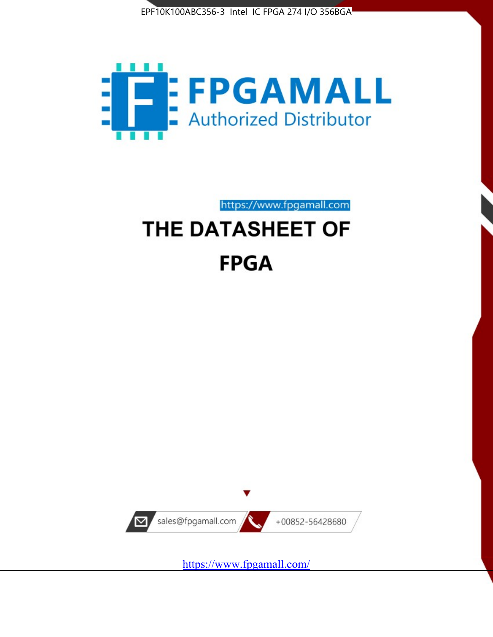



https://www.fpgamall.com

# THE DATASHEET OF **FPGA**



<https://www.fpgamall.com/>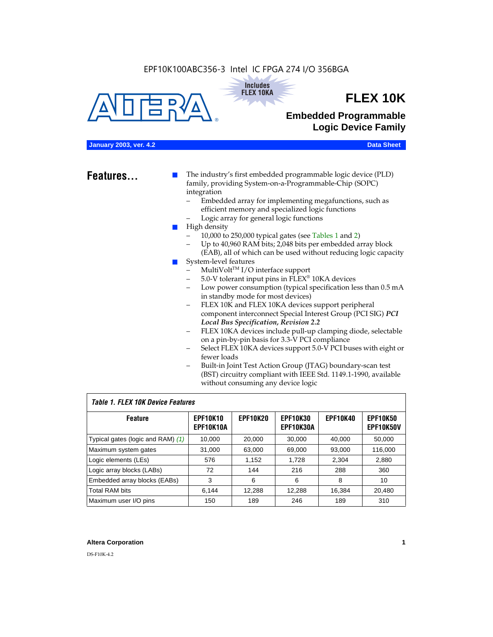#### EPF10K100ABC356-3 Intel IC FPGA 274 I/O 356BGA





## **FLEX 10K**

### **Embedded Programmable Logic Device Family**

#### **January 2003, ver. 4.2 Data Sheet**

**Features...** ■ The industry's first embedded programmable logic device (PLD) family, providing System-on-a-Programmable-Chip (SOPC) integration

- Embedded array for implementing megafunctions, such as efficient memory and specialized logic functions
- Logic array for general logic functions
- High density
	- 10,000 to 250,000 typical gates (see Tables 1 and 2)
	- Up to 40,960 RAM bits; 2,048 bits per embedded array block (EAB), all of which can be used without reducing logic capacity
- System-level features
	- $MultiVolt<sup>TM</sup> I/O interface support$
	- 5.0-V tolerant input pins in FLEX® 10KA devices
	- Low power consumption (typical specification less than 0.5 mA in standby mode for most devices)
	- FLEX 10K and FLEX 10KA devices support peripheral component interconnect Special Interest Group (PCI SIG) *PCI Local Bus Specification, Revision 2.2*
	- FLEX 10KA devices include pull-up clamping diode, selectable on a pin-by-pin basis for 3.3-V PCI compliance
	- Select FLEX 10KA devices support 5.0-V PCI buses with eight or fewer loads
	- Built-in Joint Test Action Group (JTAG) boundary-scan test (BST) circuitry compliant with IEEE Std. 1149.1-1990, available without consuming any device logic

#### *Table 1. FLEX 10K Device Features*

| <b>Feature</b>                    | <b>EPF10K10</b><br>EPF10K10A | <b>EPF10K20</b> | <b>EPF10K30</b><br><b>EPF10K30A</b> | <b>EPF10K40</b> | <b>EPF10K50</b><br><b>EPF10K50V</b> |
|-----------------------------------|------------------------------|-----------------|-------------------------------------|-----------------|-------------------------------------|
| Typical gates (logic and RAM) (1) | 10,000                       | 20,000          | 30,000                              | 40,000          | 50,000                              |
| Maximum system gates              | 31,000                       | 63,000          | 69,000                              | 93,000          | 116,000                             |
| Logic elements (LEs)              | 576                          | 1,152           | 1,728                               | 2,304           | 2,880                               |
| Logic array blocks (LABs)         | 72                           | 144             | 216                                 | 288             | 360                                 |
| Embedded array blocks (EABs)      | 3                            | 6               | 6                                   | 8               | 10                                  |
| <b>Total RAM bits</b>             | 6.144                        | 12,288          | 12,288                              | 16,384          | 20,480                              |
| Maximum user I/O pins             | 150                          | 189             | 246                                 | 189             | 310                                 |

#### **Altera Corporation 1**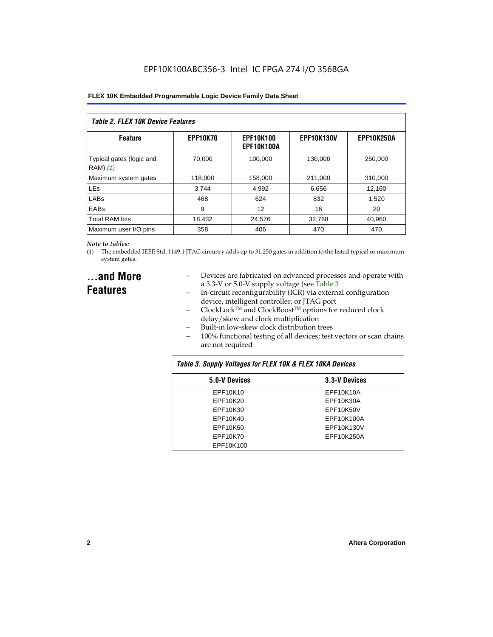| Table 2. FLEX 10K Device Features    |                 |                                |                   |                   |  |
|--------------------------------------|-----------------|--------------------------------|-------------------|-------------------|--|
| <b>Feature</b>                       | <b>EPF10K70</b> | <b>EPF10K100</b><br>EPF10K100A | <b>EPF10K130V</b> | <b>EPF10K250A</b> |  |
| Typical gates (logic and<br>RAM) (1) | 70.000          | 100.000                        | 130.000           | 250,000           |  |
| Maximum system gates                 | 118,000         | 158,000                        | 211,000           | 310,000           |  |
| <b>LE<sub>s</sub></b>                | 3.744           | 4,992                          | 6,656             | 12,160            |  |
| LABs                                 | 468             | 624                            | 832               | 1.520             |  |
| EABs                                 | 9               | 12                             | 16                | 20                |  |
| <b>Total RAM bits</b>                | 18,432          | 24.576                         | 32,768            | 40,960            |  |
| Maximum user I/O pins                | 358             | 406                            | 470               | 470               |  |

#### *Note to tables:*

(1) The embedded IEEE Std. 1149.1 JTAG circuitry adds up to 31,250 gates in addition to the listed typical or maximum system gates.

### **...and More Features**

- Devices are fabricated on advanced processes and operate with a 3.3-V or 5.0-V supply voltage (see Table 3
- In-circuit reconfigurability (ICR) via external configuration device, intelligent controller, or JTAG port
- $ClockLock^{TM}$  and  $ClockBoost^{TM}$  options for reduced clock delay/skew and clock multiplication
- Built-in low-skew clock distribution trees
- 100% functional testing of all devices; test vectors or scan chains are not required

| Table 3. Supply Voltages for FLEX 10K & FLEX 10KA Devices |               |  |  |  |
|-----------------------------------------------------------|---------------|--|--|--|
| 5.0-V Devices                                             | 3.3-V Devices |  |  |  |
| EPF10K10                                                  | EPF10K10A     |  |  |  |
| EPF10K20                                                  | EPF10K30A     |  |  |  |
| EPF10K30                                                  | EPF10K50V     |  |  |  |
| EPF10K40                                                  | EPF10K100A    |  |  |  |
| EPF10K50                                                  | EPF10K130V    |  |  |  |
| EPF10K70                                                  | EPF10K250A    |  |  |  |
| EPF10K100                                                 |               |  |  |  |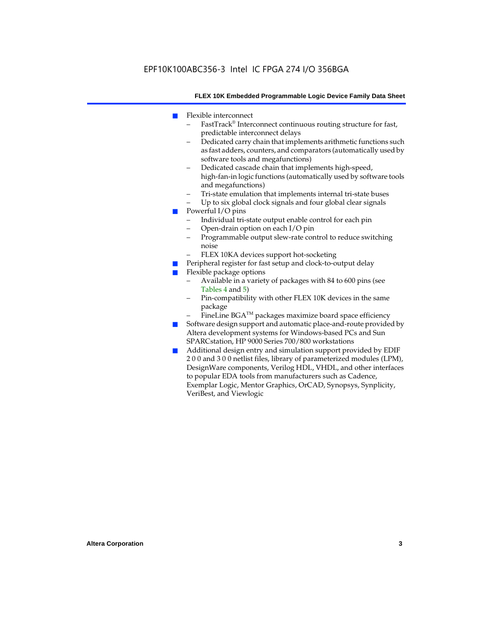- Flexible interconnect
	- FastTrack® Interconnect continuous routing structure for fast, predictable interconnect delays
	- Dedicated carry chain that implements arithmetic functions such as fast adders, counters, and comparators (automatically used by software tools and megafunctions)
	- Dedicated cascade chain that implements high-speed, high-fan-in logic functions (automatically used by software tools and megafunctions)
	- Tri-state emulation that implements internal tri-state buses
	- Up to six global clock signals and four global clear signals
- Powerful I/O pins
	- Individual tri-state output enable control for each pin
	- Open-drain option on each I/O pin
	- Programmable output slew-rate control to reduce switching noise
	- FLEX 10KA devices support hot-socketing
- Peripheral register for fast setup and clock-to-output delay
- Flexible package options
	- Available in a variety of packages with 84 to 600 pins (see Tables 4 and 5)
	- Pin-compatibility with other FLEX 10K devices in the same package
	- FineLine BGA<sup>TM</sup> packages maximize board space efficiency
- Software design support and automatic place-and-route provided by Altera development systems for Windows-based PCs and Sun SPARCstation, HP 9000 Series 700/800 workstations
- Additional design entry and simulation support provided by EDIF 2 0 0 and 3 0 0 netlist files, library of parameterized modules (LPM), DesignWare components, Verilog HDL, VHDL, and other interfaces to popular EDA tools from manufacturers such as Cadence, Exemplar Logic, Mentor Graphics, OrCAD, Synopsys, Synplicity, VeriBest, and Viewlogic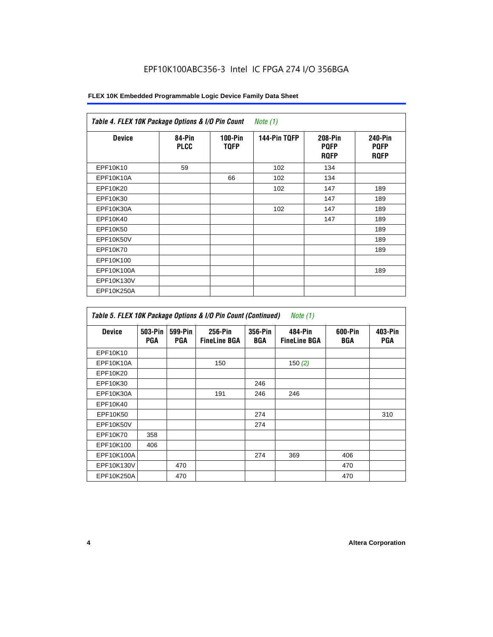### EPF10K100ABC356-3 Intel IC FPGA 274 I/O 356BGA

#### **FLEX 10K Embedded Programmable Logic Device Family Data Sheet**

| <b>Device</b> | 84-Pin<br><b>PLCC</b> | $100-Pin$<br><b>TQFP</b> | 144-Pin TQFP | 208-Pin<br><b>PQFP</b><br><b>ROFP</b> | <b>240-Pin</b><br><b>PQFP</b><br><b>ROFP</b> |
|---------------|-----------------------|--------------------------|--------------|---------------------------------------|----------------------------------------------|
| EPF10K10      | 59                    |                          | 102          | 134                                   |                                              |
| EPF10K10A     |                       | 66                       | 102          | 134                                   |                                              |
| EPF10K20      |                       |                          | 102          | 147                                   | 189                                          |
| EPF10K30      |                       |                          |              | 147                                   | 189                                          |
| EPF10K30A     |                       |                          | 102          | 147                                   | 189                                          |
| EPF10K40      |                       |                          |              | 147                                   | 189                                          |
| EPF10K50      |                       |                          |              |                                       | 189                                          |
| EPF10K50V     |                       |                          |              |                                       | 189                                          |
| EPF10K70      |                       |                          |              |                                       | 189                                          |
| EPF10K100     |                       |                          |              |                                       |                                              |
| EPF10K100A    |                       |                          |              |                                       | 189                                          |
| EPF10K130V    |                       |                          |              |                                       |                                              |
| EPF10K250A    |                       |                          |              |                                       |                                              |

| Table 5. FLEX 10K Package Options & I/O Pin Count (Continued)<br>Note $(1)$ |                       |                |                                |                |                                |                |                       |
|-----------------------------------------------------------------------------|-----------------------|----------------|--------------------------------|----------------|--------------------------------|----------------|-----------------------|
| Device                                                                      | 503-Pin<br><b>PGA</b> | 599-Pin<br>PGA | 256-Pin<br><b>FineLine BGA</b> | 356-Pin<br>BGA | 484-Pin<br><b>FineLine BGA</b> | 600-Pin<br>BGA | 403-Pin<br><b>PGA</b> |
| EPF10K10                                                                    |                       |                |                                |                |                                |                |                       |
| EPF10K10A                                                                   |                       |                | 150                            |                | 150 $(2)$                      |                |                       |
| EPF10K20                                                                    |                       |                |                                |                |                                |                |                       |
| EPF10K30                                                                    |                       |                |                                | 246            |                                |                |                       |
| EPF10K30A                                                                   |                       |                | 191                            | 246            | 246                            |                |                       |
| EPF10K40                                                                    |                       |                |                                |                |                                |                |                       |
| EPF10K50                                                                    |                       |                |                                | 274            |                                |                | 310                   |
| EPF10K50V                                                                   |                       |                |                                | 274            |                                |                |                       |
| EPF10K70                                                                    | 358                   |                |                                |                |                                |                |                       |
| EPF10K100                                                                   | 406                   |                |                                |                |                                |                |                       |
| EPF10K100A                                                                  |                       |                |                                | 274            | 369                            | 406            |                       |
| EPF10K130V                                                                  |                       | 470            |                                |                |                                | 470            |                       |
| EPF10K250A                                                                  |                       | 470            |                                |                |                                | 470            |                       |

 $\mathbf{r}$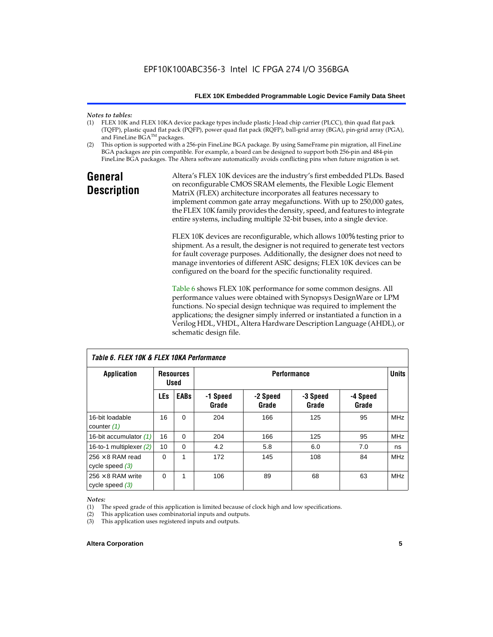## *Notes to tables:*

- FLEX 10K and FLEX 10KA device package types include plastic J-lead chip carrier (PLCC), thin quad flat pack (TQFP), plastic quad flat pack (PQFP), power quad flat pack (RQFP), ball-grid array (BGA), pin-grid array (PGA), and FineLine BGA™ packages.
- (2) This option is supported with a 256-pin FineLine BGA package. By using SameFrame pin migration, all FineLine BGA packages are pin compatible. For example, a board can be designed to support both 256-pin and 484-pin FineLine BGA packages. The Altera software automatically avoids conflicting pins when future migration is set.

### **General Description**

Altera's FLEX 10K devices are the industry's first embedded PLDs. Based on reconfigurable CMOS SRAM elements, the Flexible Logic Element MatriX (FLEX) architecture incorporates all features necessary to implement common gate array megafunctions. With up to 250,000 gates, the FLEX 10K family provides the density, speed, and features to integrate entire systems, including multiple 32-bit buses, into a single device.

FLEX 10K devices are reconfigurable, which allows 100% testing prior to shipment. As a result, the designer is not required to generate test vectors for fault coverage purposes. Additionally, the designer does not need to manage inventories of different ASIC designs; FLEX 10K devices can be configured on the board for the specific functionality required.

Table 6 shows FLEX 10K performance for some common designs. All performance values were obtained with Synopsys DesignWare or LPM functions. No special design technique was required to implement the applications; the designer simply inferred or instantiated a function in a Verilog HDL, VHDL, Altera Hardware Description Language (AHDL), or schematic design file.

| TADIE D. FLEA TUN & FLEA TUNA FEITUITITAIICE  |                                                       |             |                   |                   |                   |                   |            |
|-----------------------------------------------|-------------------------------------------------------|-------------|-------------------|-------------------|-------------------|-------------------|------------|
| Application                                   | <b>Performance</b><br><b>Resources</b><br><b>Used</b> |             |                   |                   |                   | <b>Units</b>      |            |
|                                               | <b>LEs</b>                                            | <b>EABs</b> | -1 Speed<br>Grade | -2 Speed<br>Grade | -3 Speed<br>Grade | -4 Speed<br>Grade |            |
| 16-bit loadable<br>counter $(1)$              | 16                                                    | $\mathbf 0$ | 204               | 166               | 125               | 95                | <b>MHz</b> |
| 16-bit accumulator (1)                        | 16                                                    | $\Omega$    | 204               | 166               | 125               | 95                | <b>MHz</b> |
| 16-to-1 multiplexer $(2)$                     | 10                                                    | $\Omega$    | 4.2               | 5.8               | 6.0               | 7.0               | ns         |
| $256 \times 8$ RAM read<br>cycle speed $(3)$  | $\Omega$                                              | 1           | 172               | 145               | 108               | 84                | <b>MHz</b> |
| $256 \times 8$ RAM write<br>cycle speed $(3)$ | 0                                                     | 1           | 106               | 89                | 68                | 63                | <b>MHz</b> |

*Table 6. FLEX 10K & FLEX 10KA Performance*

#### *Notes:*

(1) The speed grade of this application is limited because of clock high and low specifications.

(2) This application uses combinatorial inputs and outputs.

(3) This application uses registered inputs and outputs.

#### **Altera Corporation 5**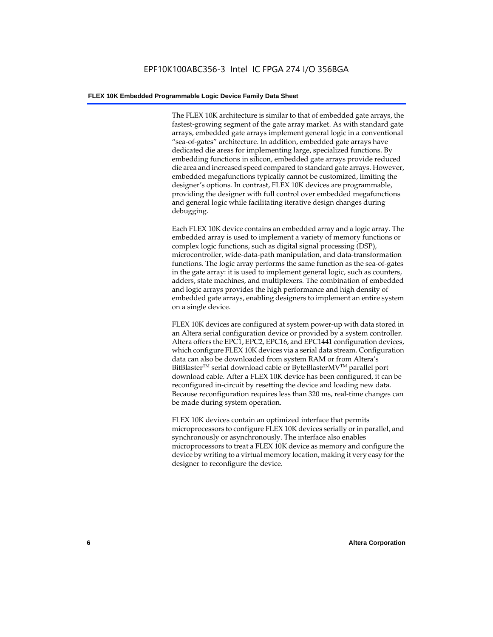The FLEX 10K architecture is similar to that of embedded gate arrays, the fastest-growing segment of the gate array market. As with standard gate arrays, embedded gate arrays implement general logic in a conventional "sea-of-gates" architecture. In addition, embedded gate arrays have dedicated die areas for implementing large, specialized functions. By embedding functions in silicon, embedded gate arrays provide reduced die area and increased speed compared to standard gate arrays. However, embedded megafunctions typically cannot be customized, limiting the designer's options. In contrast, FLEX 10K devices are programmable, providing the designer with full control over embedded megafunctions and general logic while facilitating iterative design changes during debugging.

Each FLEX 10K device contains an embedded array and a logic array. The embedded array is used to implement a variety of memory functions or complex logic functions, such as digital signal processing (DSP), microcontroller, wide-data-path manipulation, and data-transformation functions. The logic array performs the same function as the sea-of-gates in the gate array: it is used to implement general logic, such as counters, adders, state machines, and multiplexers. The combination of embedded and logic arrays provides the high performance and high density of embedded gate arrays, enabling designers to implement an entire system on a single device.

FLEX 10K devices are configured at system power-up with data stored in an Altera serial configuration device or provided by a system controller. Altera offers the EPC1, EPC2, EPC16, and EPC1441 configuration devices, which configure FLEX 10K devices via a serial data stream. Configuration data can also be downloaded from system RAM or from Altera's BitBlaster<sup>™</sup> serial download cable or ByteBlasterMV<sup>™</sup> parallel port download cable. After a FLEX 10K device has been configured, it can be reconfigured in-circuit by resetting the device and loading new data. Because reconfiguration requires less than 320 ms, real-time changes can be made during system operation.

FLEX 10K devices contain an optimized interface that permits microprocessors to configure FLEX 10K devices serially or in parallel, and synchronously or asynchronously. The interface also enables microprocessors to treat a FLEX 10K device as memory and configure the device by writing to a virtual memory location, making it very easy for the designer to reconfigure the device.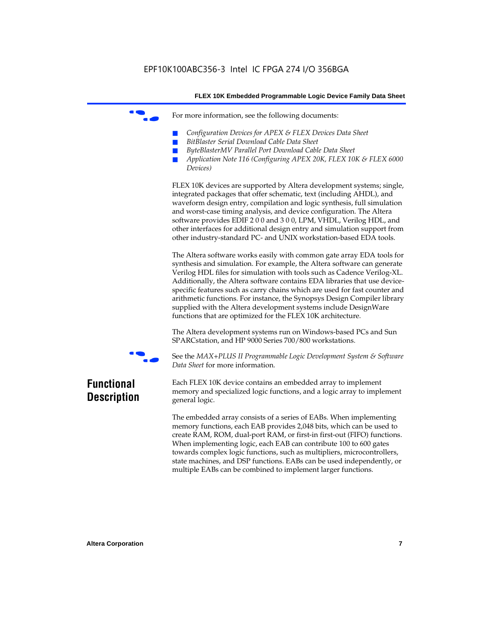For more information, see the following documents:

- *Configuration Devices for APEX & FLEX Devices Data Sheet*
- $BitBlaster$  Serial Download Cable Data Sheet
- *ByteBlasterMV Parallel Port Download Cable Data Sheet*
- *Application Note 116 (Configuring APEX 20K, FLEX 10K & FLEX 6000 Devices)*

FLEX 10K devices are supported by Altera development systems; single, integrated packages that offer schematic, text (including AHDL), and waveform design entry, compilation and logic synthesis, full simulation and worst-case timing analysis, and device configuration. The Altera software provides EDIF 2 0 0 and 3 0 0, LPM, VHDL, Verilog HDL, and other interfaces for additional design entry and simulation support from other industry-standard PC- and UNIX workstation-based EDA tools.

The Altera software works easily with common gate array EDA tools for synthesis and simulation. For example, the Altera software can generate Verilog HDL files for simulation with tools such as Cadence Verilog-XL. Additionally, the Altera software contains EDA libraries that use devicespecific features such as carry chains which are used for fast counter and arithmetic functions. For instance, the Synopsys Design Compiler library supplied with the Altera development systems include DesignWare functions that are optimized for the FLEX 10K architecture.

The Altera development systems run on Windows-based PCs and Sun SPARCstation, and HP 9000 Series 700/800 workstations.



f See the *MAX+PLUS II Programmable Logic Development System & Software Data Sheet* for more information.

### **Functional Description**

Each FLEX 10K device contains an embedded array to implement memory and specialized logic functions, and a logic array to implement general logic.

The embedded array consists of a series of EABs. When implementing memory functions, each EAB provides 2,048 bits, which can be used to create RAM, ROM, dual-port RAM, or first-in first-out (FIFO) functions. When implementing logic, each EAB can contribute 100 to 600 gates towards complex logic functions, such as multipliers, microcontrollers, state machines, and DSP functions. EABs can be used independently, or multiple EABs can be combined to implement larger functions.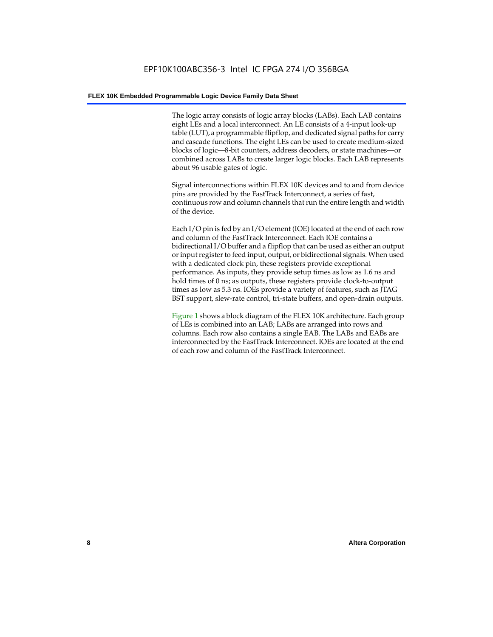The logic array consists of logic array blocks (LABs). Each LAB contains eight LEs and a local interconnect. An LE consists of a 4-input look-up table (LUT), a programmable flipflop, and dedicated signal paths for carry and cascade functions. The eight LEs can be used to create medium-sized blocks of logic—8-bit counters, address decoders, or state machines—or combined across LABs to create larger logic blocks. Each LAB represents about 96 usable gates of logic.

Signal interconnections within FLEX 10K devices and to and from device pins are provided by the FastTrack Interconnect, a series of fast, continuous row and column channels that run the entire length and width of the device.

Each I/O pin is fed by an I/O element (IOE) located at the end of each row and column of the FastTrack Interconnect. Each IOE contains a bidirectional I/O buffer and a flipflop that can be used as either an output or input register to feed input, output, or bidirectional signals. When used with a dedicated clock pin, these registers provide exceptional performance. As inputs, they provide setup times as low as 1.6 ns and hold times of 0 ns; as outputs, these registers provide clock-to-output times as low as 5.3 ns. IOEs provide a variety of features, such as JTAG BST support, slew-rate control, tri-state buffers, and open-drain outputs.

Figure 1 shows a block diagram of the FLEX 10K architecture. Each group of LEs is combined into an LAB; LABs are arranged into rows and columns. Each row also contains a single EAB. The LABs and EABs are interconnected by the FastTrack Interconnect. IOEs are located at the end of each row and column of the FastTrack Interconnect.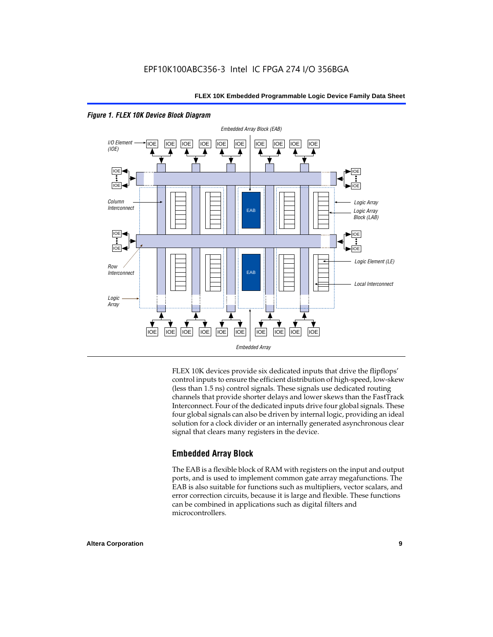

#### *Figure 1. FLEX 10K Device Block Diagram*

FLEX 10K devices provide six dedicated inputs that drive the flipflops' control inputs to ensure the efficient distribution of high-speed, low-skew (less than 1.5 ns) control signals. These signals use dedicated routing channels that provide shorter delays and lower skews than the FastTrack Interconnect. Four of the dedicated inputs drive four global signals. These four global signals can also be driven by internal logic, providing an ideal solution for a clock divider or an internally generated asynchronous clear signal that clears many registers in the device.

### **Embedded Array Block**

The EAB is a flexible block of RAM with registers on the input and output ports, and is used to implement common gate array megafunctions. The EAB is also suitable for functions such as multipliers, vector scalars, and error correction circuits, because it is large and flexible. These functions can be combined in applications such as digital filters and microcontrollers.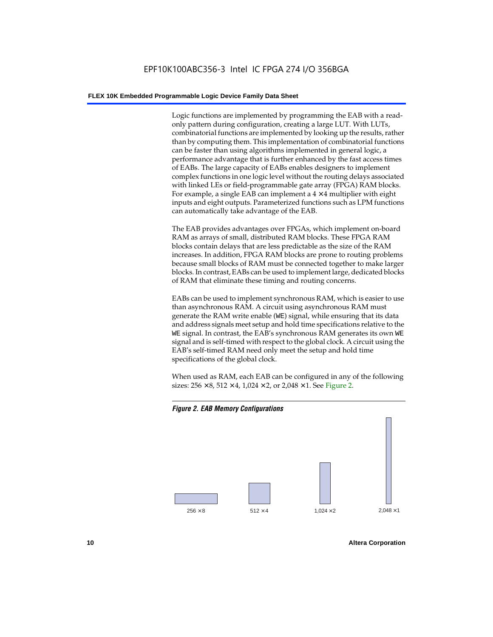Logic functions are implemented by programming the EAB with a readonly pattern during configuration, creating a large LUT. With LUTs, combinatorial functions are implemented by looking up the results, rather than by computing them. This implementation of combinatorial functions can be faster than using algorithms implemented in general logic, a performance advantage that is further enhanced by the fast access times of EABs. The large capacity of EABs enables designers to implement complex functions in one logic level without the routing delays associated with linked LEs or field-programmable gate array (FPGA) RAM blocks. For example, a single EAB can implement a  $4 \times 4$  multiplier with eight inputs and eight outputs. Parameterized functions such as LPM functions can automatically take advantage of the EAB.

The EAB provides advantages over FPGAs, which implement on-board RAM as arrays of small, distributed RAM blocks. These FPGA RAM blocks contain delays that are less predictable as the size of the RAM increases. In addition, FPGA RAM blocks are prone to routing problems because small blocks of RAM must be connected together to make larger blocks. In contrast, EABs can be used to implement large, dedicated blocks of RAM that eliminate these timing and routing concerns.

EABs can be used to implement synchronous RAM, which is easier to use than asynchronous RAM. A circuit using asynchronous RAM must generate the RAM write enable (WE) signal, while ensuring that its data and address signals meet setup and hold time specifications relative to the WE signal. In contrast, the EAB's synchronous RAM generates its own WE signal and is self-timed with respect to the global clock. A circuit using the EAB's self-timed RAM need only meet the setup and hold time specifications of the global clock.

When used as RAM, each EAB can be configured in any of the following sizes:  $256 \times 8$ ,  $512 \times 4$ ,  $1,024 \times 2$ , or  $2,048 \times 1$ . See Figure 2.



**10 Altera Corporation**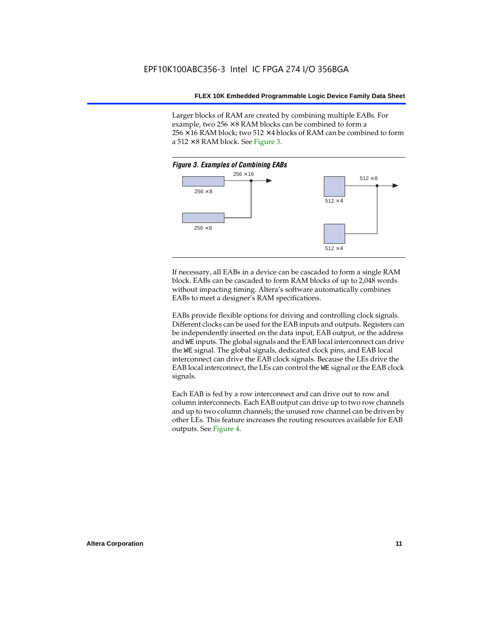Larger blocks of RAM are created by combining multiple EABs. For example, two  $256 \times 8$  RAM blocks can be combined to form a  $256 \times 16$  RAM block; two 512  $\times$  4 blocks of RAM can be combined to form a  $512 \times 8$  RAM block. See Figure 3.



If necessary, all EABs in a device can be cascaded to form a single RAM block. EABs can be cascaded to form RAM blocks of up to 2,048 words without impacting timing. Altera's software automatically combines EABs to meet a designer's RAM specifications.

EABs provide flexible options for driving and controlling clock signals. Different clocks can be used for the EAB inputs and outputs. Registers can be independently inserted on the data input, EAB output, or the address and WE inputs. The global signals and the EAB local interconnect can drive the WE signal. The global signals, dedicated clock pins, and EAB local interconnect can drive the EAB clock signals. Because the LEs drive the EAB local interconnect, the LEs can control the WE signal or the EAB clock signals.

Each EAB is fed by a row interconnect and can drive out to row and column interconnects. Each EAB output can drive up to two row channels and up to two column channels; the unused row channel can be driven by other LEs. This feature increases the routing resources available for EAB outputs. See Figure 4.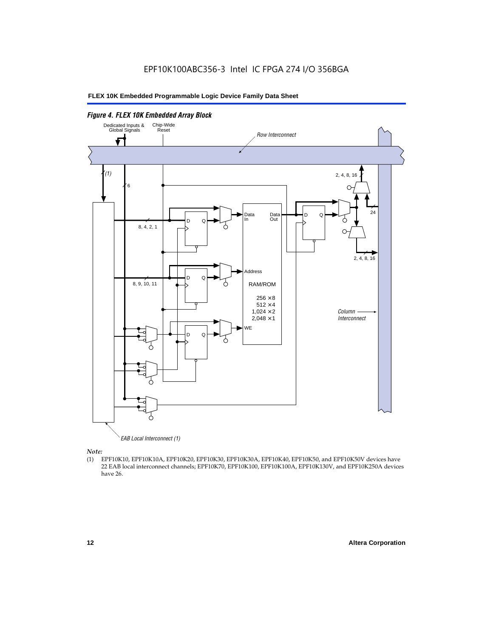

*Note:*<br>(1) **H** 

(1) EPF10K10, EPF10K10A, EPF10K20, EPF10K30, EPF10K30A, EPF10K40, EPF10K50, and EPF10K50V devices have 22 EAB local interconnect channels; EPF10K70, EPF10K100, EPF10K100A, EPF10K130V, and EPF10K250A devices have 26.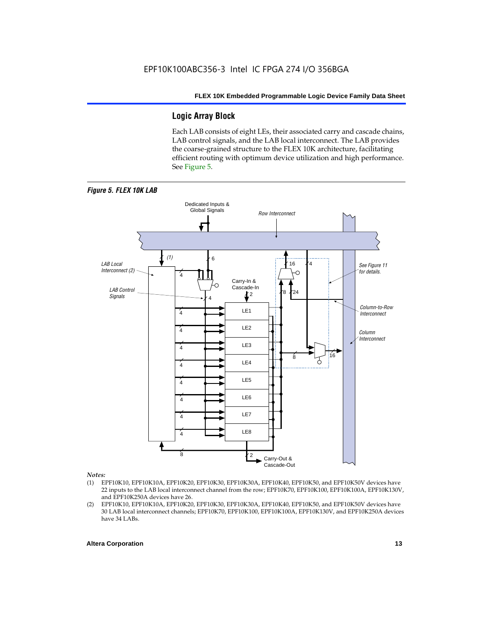### **Logic Array Block**

Each LAB consists of eight LEs, their associated carry and cascade chains, LAB control signals, and the LAB local interconnect. The LAB provides the coarse-grained structure to the FLEX 10K architecture, facilitating efficient routing with optimum device utilization and high performance. See Figure 5.



#### *Notes:*

- (1) EPF10K10, EPF10K10A, EPF10K20, EPF10K30, EPF10K30A, EPF10K40, EPF10K50, and EPF10K50V devices have 22 inputs to the LAB local interconnect channel from the row; EPF10K70, EPF10K100, EPF10K100A, EPF10K130V, and EPF10K250A devices have 26.
- (2) EPF10K10, EPF10K10A, EPF10K20, EPF10K30, EPF10K30A, EPF10K40, EPF10K50, and EPF10K50V devices have 30 LAB local interconnect channels; EPF10K70, EPF10K100, EPF10K100A, EPF10K130V, and EPF10K250A devices have 34 LABs.

#### **Altera Corporation 13 13**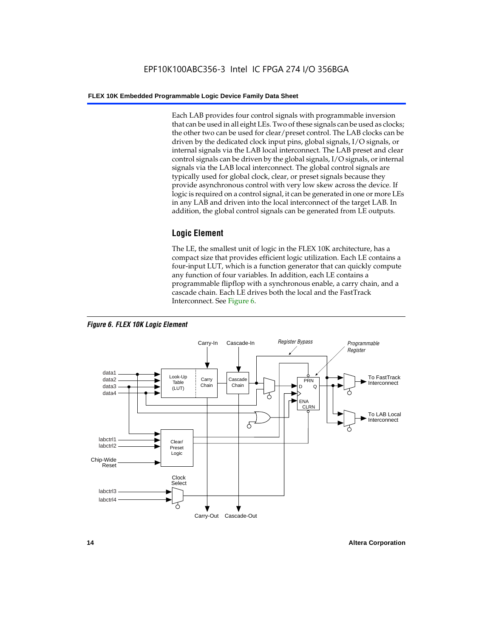Each LAB provides four control signals with programmable inversion that can be used in all eight LEs. Two of these signals can be used as clocks; the other two can be used for clear/preset control. The LAB clocks can be driven by the dedicated clock input pins, global signals, I/O signals, or internal signals via the LAB local interconnect. The LAB preset and clear control signals can be driven by the global signals, I/O signals, or internal signals via the LAB local interconnect. The global control signals are typically used for global clock, clear, or preset signals because they provide asynchronous control with very low skew across the device. If logic is required on a control signal, it can be generated in one or more LEs in any LAB and driven into the local interconnect of the target LAB. In addition, the global control signals can be generated from LE outputs.

### **Logic Element**

The LE, the smallest unit of logic in the FLEX 10K architecture, has a compact size that provides efficient logic utilization. Each LE contains a four-input LUT, which is a function generator that can quickly compute any function of four variables. In addition, each LE contains a programmable flipflop with a synchronous enable, a carry chain, and a cascade chain. Each LE drives both the local and the FastTrack Interconnect. See Figure 6.



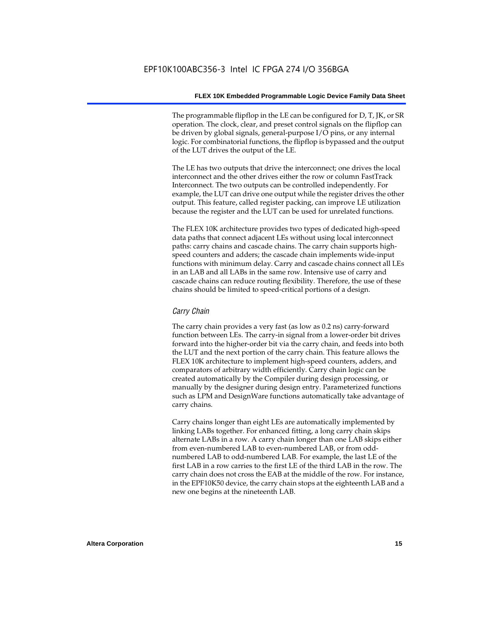The programmable flipflop in the LE can be configured for D, T, JK, or SR operation. The clock, clear, and preset control signals on the flipflop can be driven by global signals, general-purpose I/O pins, or any internal logic. For combinatorial functions, the flipflop is bypassed and the output of the LUT drives the output of the LE.

The LE has two outputs that drive the interconnect; one drives the local interconnect and the other drives either the row or column FastTrack Interconnect. The two outputs can be controlled independently. For example, the LUT can drive one output while the register drives the other output. This feature, called register packing, can improve LE utilization because the register and the LUT can be used for unrelated functions.

The FLEX 10K architecture provides two types of dedicated high-speed data paths that connect adjacent LEs without using local interconnect paths: carry chains and cascade chains. The carry chain supports highspeed counters and adders; the cascade chain implements wide-input functions with minimum delay. Carry and cascade chains connect all LEs in an LAB and all LABs in the same row. Intensive use of carry and cascade chains can reduce routing flexibility. Therefore, the use of these chains should be limited to speed-critical portions of a design.

#### *Carry Chain*

The carry chain provides a very fast (as low as 0.2 ns) carry-forward function between LEs. The carry-in signal from a lower-order bit drives forward into the higher-order bit via the carry chain, and feeds into both the LUT and the next portion of the carry chain. This feature allows the FLEX 10K architecture to implement high-speed counters, adders, and comparators of arbitrary width efficiently. Carry chain logic can be created automatically by the Compiler during design processing, or manually by the designer during design entry. Parameterized functions such as LPM and DesignWare functions automatically take advantage of carry chains.

Carry chains longer than eight LEs are automatically implemented by linking LABs together. For enhanced fitting, a long carry chain skips alternate LABs in a row. A carry chain longer than one LAB skips either from even-numbered LAB to even-numbered LAB, or from oddnumbered LAB to odd-numbered LAB. For example, the last LE of the first LAB in a row carries to the first LE of the third LAB in the row. The carry chain does not cross the EAB at the middle of the row. For instance, in the EPF10K50 device, the carry chain stops at the eighteenth LAB and a new one begins at the nineteenth LAB.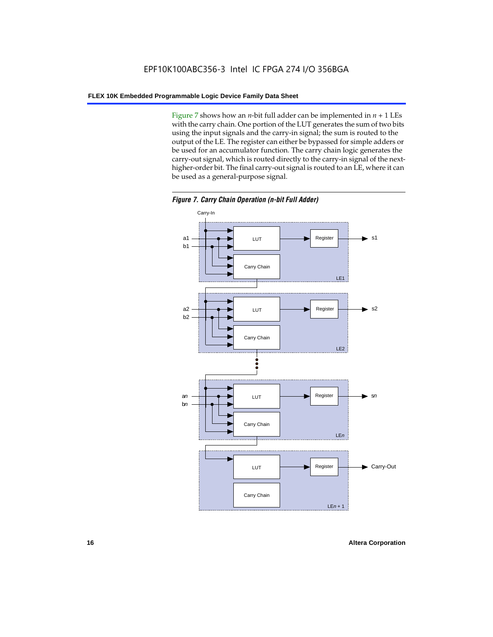Figure 7 shows how an *n*-bit full adder can be implemented in  $n + 1$  LEs with the carry chain. One portion of the LUT generates the sum of two bits using the input signals and the carry-in signal; the sum is routed to the output of the LE. The register can either be bypassed for simple adders or be used for an accumulator function. The carry chain logic generates the carry-out signal, which is routed directly to the carry-in signal of the nexthigher-order bit. The final carry-out signal is routed to an LE, where it can be used as a general-purpose signal.



*Figure 7. Carry Chain Operation (n-bit Full Adder)*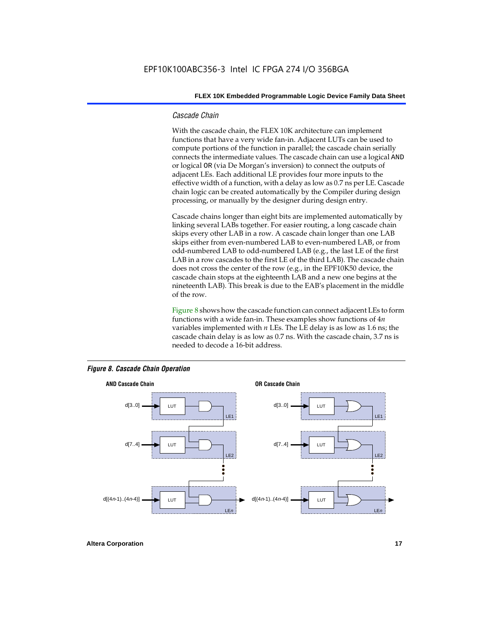#### *Cascade Chain*

With the cascade chain, the FLEX 10K architecture can implement functions that have a very wide fan-in. Adjacent LUTs can be used to compute portions of the function in parallel; the cascade chain serially connects the intermediate values. The cascade chain can use a logical AND or logical OR (via De Morgan's inversion) to connect the outputs of adjacent LEs. Each additional LE provides four more inputs to the effective width of a function, with a delay as low as 0.7 ns per LE. Cascade chain logic can be created automatically by the Compiler during design processing, or manually by the designer during design entry.

Cascade chains longer than eight bits are implemented automatically by linking several LABs together. For easier routing, a long cascade chain skips every other LAB in a row. A cascade chain longer than one LAB skips either from even-numbered LAB to even-numbered LAB, or from odd-numbered LAB to odd-numbered LAB (e.g., the last LE of the first LAB in a row cascades to the first LE of the third LAB). The cascade chain does not cross the center of the row (e.g., in the EPF10K50 device, the cascade chain stops at the eighteenth LAB and a new one begins at the nineteenth LAB). This break is due to the EAB's placement in the middle of the row.

Figure 8 shows how the cascade function can connect adjacent LEs to form functions with a wide fan-in. These examples show functions of 4*n* variables implemented with *n* LEs. The LE delay is as low as 1.6 ns; the cascade chain delay is as low as 0.7 ns. With the cascade chain, 3.7 ns is needed to decode a 16-bit address.



#### *Figure 8. Cascade Chain Operation*

**Altera Corporation 17 17**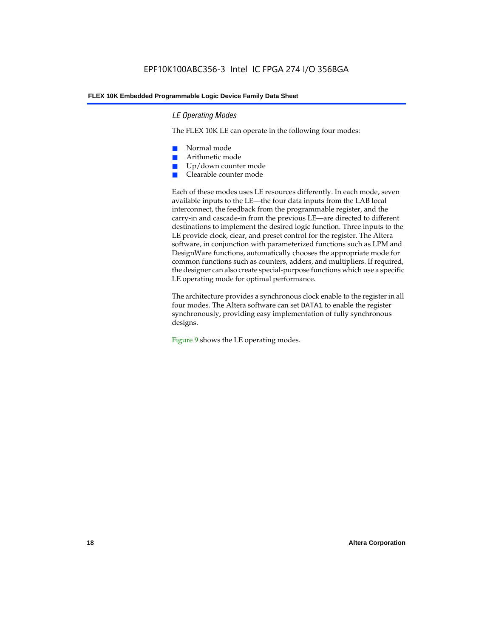#### *LE Operating Modes*

The FLEX 10K LE can operate in the following four modes:

- Normal mode
- Arithmetic mode
- Up/down counter mode
- Clearable counter mode

Each of these modes uses LE resources differently. In each mode, seven available inputs to the LE—the four data inputs from the LAB local interconnect, the feedback from the programmable register, and the carry-in and cascade-in from the previous LE—are directed to different destinations to implement the desired logic function. Three inputs to the LE provide clock, clear, and preset control for the register. The Altera software, in conjunction with parameterized functions such as LPM and DesignWare functions, automatically chooses the appropriate mode for common functions such as counters, adders, and multipliers. If required, the designer can also create special-purpose functions which use a specific LE operating mode for optimal performance.

The architecture provides a synchronous clock enable to the register in all four modes. The Altera software can set DATA1 to enable the register synchronously, providing easy implementation of fully synchronous designs.

Figure 9 shows the LE operating modes.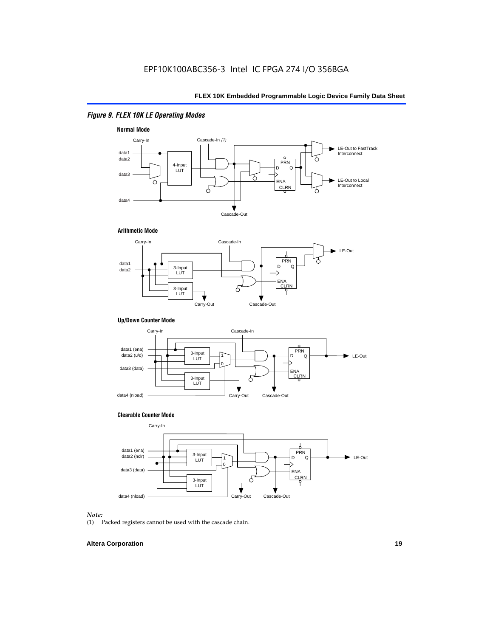### *Figure 9. FLEX 10K LE Operating Modes*







#### **Up/Down Counter Mode**



#### **Clearable Counter Mode**



#### *Note:*

(1) Packed registers cannot be used with the cascade chain.

#### **Altera Corporation 19**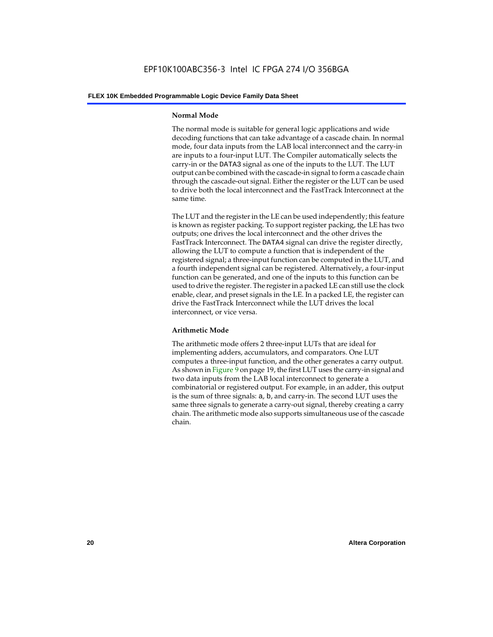#### **Normal Mode**

The normal mode is suitable for general logic applications and wide decoding functions that can take advantage of a cascade chain. In normal mode, four data inputs from the LAB local interconnect and the carry-in are inputs to a four-input LUT. The Compiler automatically selects the carry-in or the DATA3 signal as one of the inputs to the LUT. The LUT output can be combined with the cascade-in signal to form a cascade chain through the cascade-out signal. Either the register or the LUT can be used to drive both the local interconnect and the FastTrack Interconnect at the same time.

The LUT and the register in the LE can be used independently; this feature is known as register packing. To support register packing, the LE has two outputs; one drives the local interconnect and the other drives the FastTrack Interconnect. The DATA4 signal can drive the register directly, allowing the LUT to compute a function that is independent of the registered signal; a three-input function can be computed in the LUT, and a fourth independent signal can be registered. Alternatively, a four-input function can be generated, and one of the inputs to this function can be used to drive the register. The register in a packed LE can still use the clock enable, clear, and preset signals in the LE. In a packed LE, the register can drive the FastTrack Interconnect while the LUT drives the local interconnect, or vice versa.

#### **Arithmetic Mode**

The arithmetic mode offers 2 three-input LUTs that are ideal for implementing adders, accumulators, and comparators. One LUT computes a three-input function, and the other generates a carry output. As shown in Figure 9 on page 19, the first LUT uses the carry-in signal and two data inputs from the LAB local interconnect to generate a combinatorial or registered output. For example, in an adder, this output is the sum of three signals: a, b, and carry-in. The second LUT uses the same three signals to generate a carry-out signal, thereby creating a carry chain. The arithmetic mode also supports simultaneous use of the cascade chain.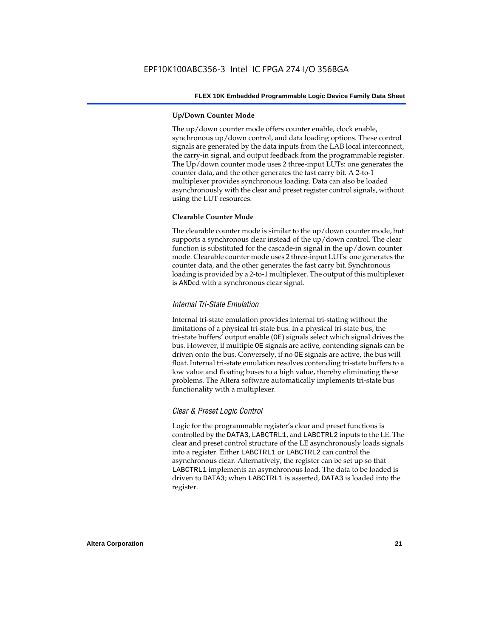#### **Up/Down Counter Mode**

The up/down counter mode offers counter enable, clock enable, synchronous up/down control, and data loading options. These control signals are generated by the data inputs from the LAB local interconnect, the carry-in signal, and output feedback from the programmable register. The Up/down counter mode uses 2 three-input LUTs: one generates the counter data, and the other generates the fast carry bit. A 2-to-1 multiplexer provides synchronous loading. Data can also be loaded asynchronously with the clear and preset register control signals, without using the LUT resources.

#### **Clearable Counter Mode**

The clearable counter mode is similar to the up/down counter mode, but supports a synchronous clear instead of the up/down control. The clear function is substituted for the cascade-in signal in the up/down counter mode. Clearable counter mode uses 2 three-input LUTs: one generates the counter data, and the other generates the fast carry bit. Synchronous loading is provided by a 2-to-1 multiplexer. The output of this multiplexer is ANDed with a synchronous clear signal.

#### *Internal Tri-State Emulation*

Internal tri-state emulation provides internal tri-stating without the limitations of a physical tri-state bus. In a physical tri-state bus, the tri-state buffers' output enable (OE) signals select which signal drives the bus. However, if multiple OE signals are active, contending signals can be driven onto the bus. Conversely, if no OE signals are active, the bus will float. Internal tri-state emulation resolves contending tri-state buffers to a low value and floating buses to a high value, thereby eliminating these problems. The Altera software automatically implements tri-state bus functionality with a multiplexer.

#### *Clear & Preset Logic Control*

Logic for the programmable register's clear and preset functions is controlled by the DATA3, LABCTRL1, and LABCTRL2 inputs to the LE. The clear and preset control structure of the LE asynchronously loads signals into a register. Either LABCTRL1 or LABCTRL2 can control the asynchronous clear. Alternatively, the register can be set up so that LABCTRL1 implements an asynchronous load. The data to be loaded is driven to DATA3; when LABCTRL1 is asserted, DATA3 is loaded into the register.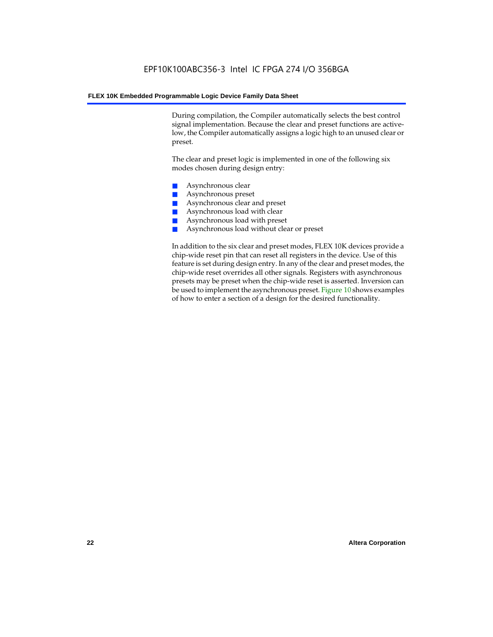During compilation, the Compiler automatically selects the best control signal implementation. Because the clear and preset functions are activelow, the Compiler automatically assigns a logic high to an unused clear or preset.

The clear and preset logic is implemented in one of the following six modes chosen during design entry:

- Asynchronous clear
- Asynchronous preset
- Asynchronous clear and preset
- Asynchronous load with clear
- Asynchronous load with preset
- Asynchronous load without clear or preset

In addition to the six clear and preset modes, FLEX 10K devices provide a chip-wide reset pin that can reset all registers in the device. Use of this feature is set during design entry. In any of the clear and preset modes, the chip-wide reset overrides all other signals. Registers with asynchronous presets may be preset when the chip-wide reset is asserted. Inversion can be used to implement the asynchronous preset. Figure 10 shows examples of how to enter a section of a design for the desired functionality.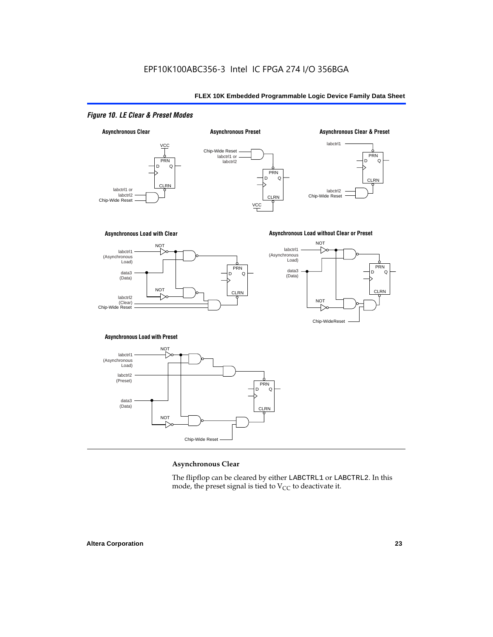### *Figure 10. LE Clear & Preset Modes*



#### **Asynchronous Clear**

The flipflop can be cleared by either LABCTRL1 or LABCTRL2. In this mode, the preset signal is tied to  $V_{CC}$  to deactivate it.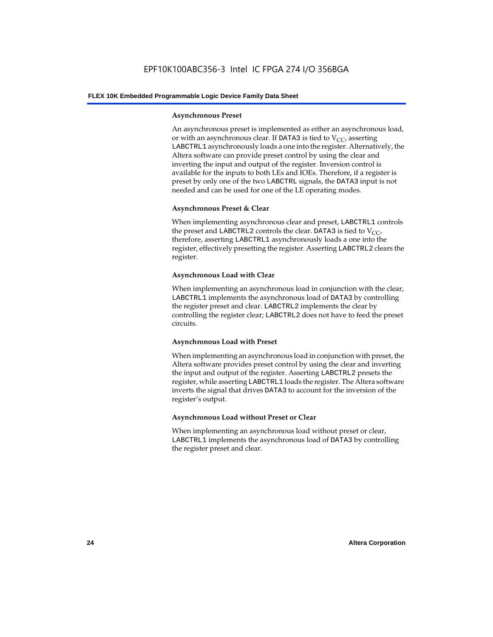#### **Asynchronous Preset**

An asynchronous preset is implemented as either an asynchronous load, or with an asynchronous clear. If DATA3 is tied to  $V_{CC}$ , asserting LABCTRL1 asynchronously loads a one into the register. Alternatively, the Altera software can provide preset control by using the clear and inverting the input and output of the register. Inversion control is available for the inputs to both LEs and IOEs. Therefore, if a register is preset by only one of the two LABCTRL signals, the DATA3 input is not needed and can be used for one of the LE operating modes.

#### **Asynchronous Preset & Clear**

When implementing asynchronous clear and preset, LABCTRL1 controls the preset and LABCTRL2 controls the clear. DATA3 is tied to  $V_{CC}$ , therefore, asserting LABCTRL1 asynchronously loads a one into the register, effectively presetting the register. Asserting LABCTRL2 clears the register.

#### **Asynchronous Load with Clear**

When implementing an asynchronous load in conjunction with the clear, LABCTRL1 implements the asynchronous load of DATA3 by controlling the register preset and clear. LABCTRL2 implements the clear by controlling the register clear; LABCTRL2 does not have to feed the preset circuits.

#### **Asynchronous Load with Preset**

When implementing an asynchronous load in conjunction with preset, the Altera software provides preset control by using the clear and inverting the input and output of the register. Asserting LABCTRL2 presets the register, while asserting LABCTRL1 loads the register. The Altera software inverts the signal that drives DATA3 to account for the inversion of the register's output.

#### **Asynchronous Load without Preset or Clear**

When implementing an asynchronous load without preset or clear, LABCTRL1 implements the asynchronous load of DATA3 by controlling the register preset and clear.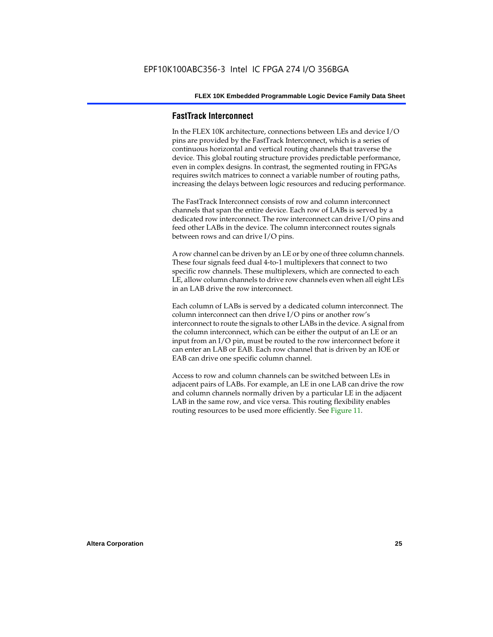#### **FastTrack Interconnect**

In the FLEX 10K architecture, connections between LEs and device I/O pins are provided by the FastTrack Interconnect, which is a series of continuous horizontal and vertical routing channels that traverse the device. This global routing structure provides predictable performance, even in complex designs. In contrast, the segmented routing in FPGAs requires switch matrices to connect a variable number of routing paths, increasing the delays between logic resources and reducing performance.

The FastTrack Interconnect consists of row and column interconnect channels that span the entire device. Each row of LABs is served by a dedicated row interconnect. The row interconnect can drive I/O pins and feed other LABs in the device. The column interconnect routes signals between rows and can drive I/O pins.

A row channel can be driven by an LE or by one of three column channels. These four signals feed dual 4-to-1 multiplexers that connect to two specific row channels. These multiplexers, which are connected to each LE, allow column channels to drive row channels even when all eight LEs in an LAB drive the row interconnect.

Each column of LABs is served by a dedicated column interconnect. The column interconnect can then drive I/O pins or another row's interconnect to route the signals to other LABs in the device. A signal from the column interconnect, which can be either the output of an LE or an input from an I/O pin, must be routed to the row interconnect before it can enter an LAB or EAB. Each row channel that is driven by an IOE or EAB can drive one specific column channel.

Access to row and column channels can be switched between LEs in adjacent pairs of LABs. For example, an LE in one LAB can drive the row and column channels normally driven by a particular LE in the adjacent LAB in the same row, and vice versa. This routing flexibility enables routing resources to be used more efficiently. See Figure 11.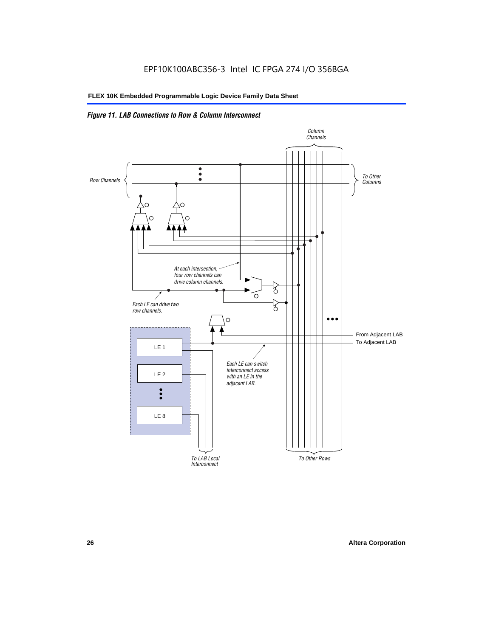### *Figure 11. LAB Connections to Row & Column Interconnect*

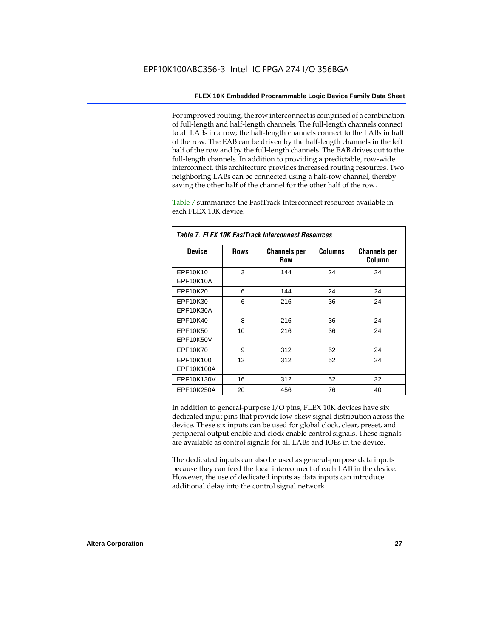For improved routing, the row interconnect is comprised of a combination of full-length and half-length channels. The full-length channels connect to all LABs in a row; the half-length channels connect to the LABs in half of the row. The EAB can be driven by the half-length channels in the left half of the row and by the full-length channels. The EAB drives out to the full-length channels. In addition to providing a predictable, row-wide interconnect, this architecture provides increased routing resources. Two neighboring LABs can be connected using a half-row channel, thereby saving the other half of the channel for the other half of the row.

Table 7 summarizes the FastTrack Interconnect resources available in each FLEX 10K device.

| Table 7. FLEX 10K FastTrack Interconnect Resources |             |                            |                |                               |  |
|----------------------------------------------------|-------------|----------------------------|----------------|-------------------------------|--|
| <b>Device</b>                                      | <b>Rows</b> | <b>Channels per</b><br>Row | <b>Columns</b> | <b>Channels per</b><br>Column |  |
| EPF10K10                                           | 3           | 144                        | 24             | 24                            |  |
| EPF10K10A                                          |             |                            |                |                               |  |
| EPF10K20                                           | 6           | 144                        | 24             | 24                            |  |
| EPF10K30                                           | 6           | 216                        | 36             | 24                            |  |
| EPF10K30A                                          |             |                            |                |                               |  |
| EPF10K40                                           | 8           | 216                        | 36             | 24                            |  |
| EPF10K50                                           | 10          | 216                        | 36             | 24                            |  |
| <b>EPF10K50V</b>                                   |             |                            |                |                               |  |
| EPF10K70                                           | 9           | 312                        | 52             | 24                            |  |
| EPF10K100                                          | 12          | 312                        | 52             | 24                            |  |
| EPF10K100A                                         |             |                            |                |                               |  |
| EPF10K130V                                         | 16          | 312                        | 52             | 32                            |  |
| EPF10K250A                                         | 20          | 456                        | 76             | 40                            |  |

In addition to general-purpose I/O pins, FLEX 10K devices have six dedicated input pins that provide low-skew signal distribution across the device. These six inputs can be used for global clock, clear, preset, and peripheral output enable and clock enable control signals. These signals are available as control signals for all LABs and IOEs in the device.

The dedicated inputs can also be used as general-purpose data inputs because they can feed the local interconnect of each LAB in the device. However, the use of dedicated inputs as data inputs can introduce additional delay into the control signal network.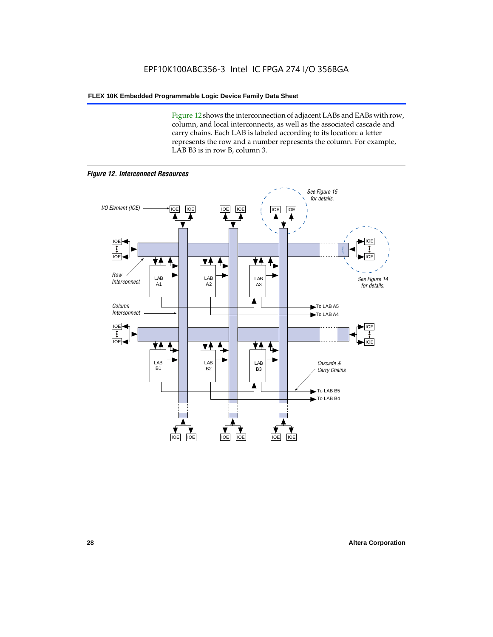Figure 12 shows the interconnection of adjacent LABs and EABs with row, column, and local interconnects, as well as the associated cascade and carry chains. Each LAB is labeled according to its location: a letter represents the row and a number represents the column. For example, LAB B3 is in row B, column 3.



*Figure 12. Interconnect Resources*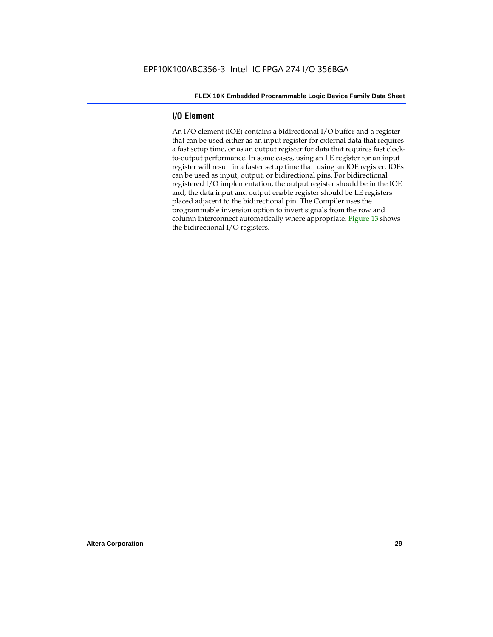#### **I/O Element**

An I/O element (IOE) contains a bidirectional I/O buffer and a register that can be used either as an input register for external data that requires a fast setup time, or as an output register for data that requires fast clockto-output performance. In some cases, using an LE register for an input register will result in a faster setup time than using an IOE register. IOEs can be used as input, output, or bidirectional pins. For bidirectional registered I/O implementation, the output register should be in the IOE and, the data input and output enable register should be LE registers placed adjacent to the bidirectional pin. The Compiler uses the programmable inversion option to invert signals from the row and column interconnect automatically where appropriate. Figure 13 shows the bidirectional I/O registers.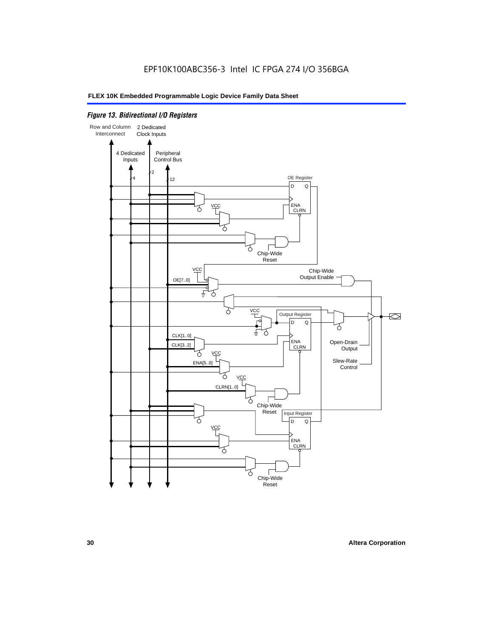#### *Figure 13. Bidirectional I/O Registers*

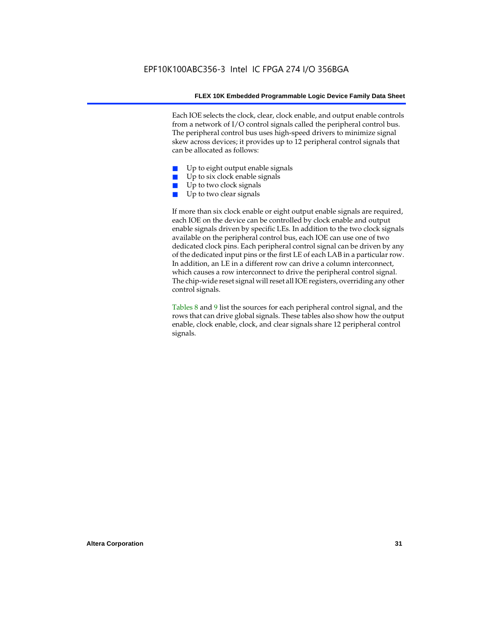Each IOE selects the clock, clear, clock enable, and output enable controls from a network of I/O control signals called the peripheral control bus. The peripheral control bus uses high-speed drivers to minimize signal skew across devices; it provides up to 12 peripheral control signals that can be allocated as follows:

- Up to eight output enable signals
- Up to six clock enable signals
- Up to two clock signals
- Up to two clear signals

If more than six clock enable or eight output enable signals are required, each IOE on the device can be controlled by clock enable and output enable signals driven by specific LEs. In addition to the two clock signals available on the peripheral control bus, each IOE can use one of two dedicated clock pins. Each peripheral control signal can be driven by any of the dedicated input pins or the first LE of each LAB in a particular row. In addition, an LE in a different row can drive a column interconnect, which causes a row interconnect to drive the peripheral control signal. The chip-wide reset signal will reset all IOE registers, overriding any other control signals.

Tables 8 and 9 list the sources for each peripheral control signal, and the rows that can drive global signals. These tables also show how the output enable, clock enable, clock, and clear signals share 12 peripheral control signals.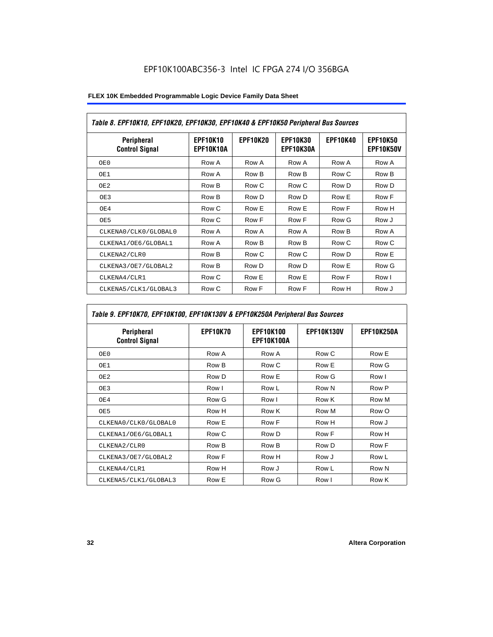| Table 8. EPF10K10, EPF10K20, EPF10K30, EPF10K40 & EPF10K50 Peripheral Bus Sources |                              |                 |                              |                 |                              |
|-----------------------------------------------------------------------------------|------------------------------|-----------------|------------------------------|-----------------|------------------------------|
| <b>Peripheral</b><br><b>Control Signal</b>                                        | <b>EPF10K10</b><br>EPF10K10A | <b>EPF10K20</b> | <b>EPF10K30</b><br>EPF10K30A | <b>EPF10K40</b> | <b>EPF10K50</b><br>EPF10K50V |
| OE0                                                                               | Row A                        | Row A           | Row A                        | Row A           | Row A                        |
| OE1                                                                               | Row A                        | Row B           | Row B                        | Row C           | Row B                        |
| OE2                                                                               | Row B                        | Row C           | Row C                        | Row D           | Row D                        |
| OE3                                                                               | Row B                        | Row D           | Row D                        | Row E           | Row F                        |
| OE4                                                                               | Row C                        | Row E           | Row E                        | Row F           | Row H                        |
| OE5                                                                               | Row C                        | Row F           | Row F                        | Row G           | Row J                        |
| CLKENA0/CLK0/GLOBAL0                                                              | Row A                        | Row A           | Row A                        | Row B           | Row A                        |
| CLKENA1/OE6/GLOBAL1                                                               | Row A                        | Row B           | Row B                        | Row C           | Row C                        |
| CLKENA2/CLR0                                                                      | Row B                        | Row C           | Row C                        | Row D           | Row E                        |
| CLKENA3/OE7/GLOBAL2                                                               | Row B                        | Row D           | Row D                        | Row E           | Row G                        |
| CLKENA4/CLR1                                                                      | Row C                        | Row E           | Row E                        | Row F           | Row I                        |
| CLKENA5/CLK1/GLOBAL3                                                              | Row C                        | Row F           | Row F                        | Row H           | Row J                        |

### *Table 9. EPF10K70, EPF10K100, EPF10K130V & EPF10K250A Peripheral Bus Sources*

| Peripheral<br><b>Control Signal</b> | <b>EPF10K70</b> | <b>EPF10K100</b><br>EPF10K100A | <b>EPF10K130V</b> | <b>EPF10K250A</b> |
|-------------------------------------|-----------------|--------------------------------|-------------------|-------------------|
| OE0                                 | Row A           | Row A                          | Row C             | Row E             |
| OE1                                 | Row B           | Row C                          | Row E             | Row G             |
| OE <sub>2</sub>                     | Row D           | Row E                          | Row G             | Row I             |
| OE3                                 | Row I           | Row L                          | Row N             | Row P             |
| OE4                                 | Row G           | Row I                          | Row K             | Row M             |
| OE5                                 | Row H           | Row K                          | Row M             | Row O             |
| CLKENA0/CLK0/GLOBAL0                | Row E           | Row F                          | Row H             | Row J             |
| CLKENA1/OE6/GLOBAL1                 | Row C           | Row D                          | Row F             | Row H             |
| CLKENA2/CLR0                        | Row B           | Row B                          | Row D             | Row F             |
| CLKENA3/OE7/GLOBAL2                 | Row F           | Row H                          | Row J             | Row L             |
| CLKENA4/CLR1                        | Row H           | Row J                          | Row L             | Row N             |
| CLKENA5/CLK1/GLOBAL3                | Row E           | Row G                          | Row I             | Row K             |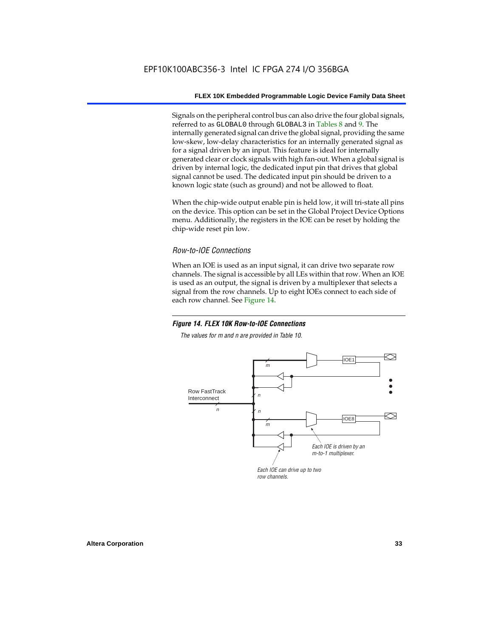Signals on the peripheral control bus can also drive the four global signals, referred to as GLOBAL0 through GLOBAL3 in Tables 8 and 9. The internally generated signal can drive the global signal, providing the same low-skew, low-delay characteristics for an internally generated signal as for a signal driven by an input. This feature is ideal for internally generated clear or clock signals with high fan-out. When a global signal is driven by internal logic, the dedicated input pin that drives that global signal cannot be used. The dedicated input pin should be driven to a known logic state (such as ground) and not be allowed to float.

When the chip-wide output enable pin is held low, it will tri-state all pins on the device. This option can be set in the Global Project Device Options menu. Additionally, the registers in the IOE can be reset by holding the chip-wide reset pin low.

#### *Row-to-IOE Connections*

When an IOE is used as an input signal, it can drive two separate row channels. The signal is accessible by all LEs within that row. When an IOE is used as an output, the signal is driven by a multiplexer that selects a signal from the row channels. Up to eight IOEs connect to each side of each row channel. See Figure 14.

#### *Figure 14. FLEX 10K Row-to-IOE Connections*

*The values for m and n are provided in Table 10.*

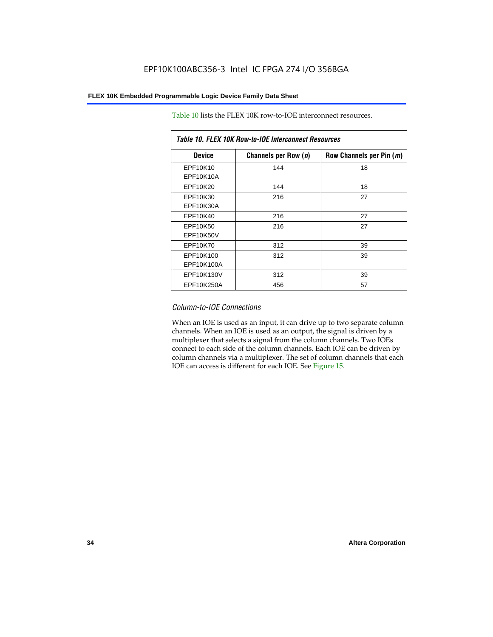| Table 10. FLEX 10K Row-to-IOE Interconnect Resources |                      |                          |  |  |  |
|------------------------------------------------------|----------------------|--------------------------|--|--|--|
| <b>Device</b>                                        | Channels per Row (n) | Row Channels per Pin (m) |  |  |  |
| EPF10K10<br>EPF10K10A                                | 144                  | 18                       |  |  |  |
| EPF10K20                                             | 144                  | 18                       |  |  |  |
| EPF10K30<br>EPF10K30A                                | 216                  | 27                       |  |  |  |
| EPF10K40                                             | 216                  | 27                       |  |  |  |
| EPF10K50<br>EPF10K50V                                | 216                  | 27                       |  |  |  |
| EPF10K70                                             | 312                  | 39                       |  |  |  |
| EPF10K100<br>EPF10K100A                              | 312                  | 39                       |  |  |  |
| EPF10K130V                                           | 312                  | 39                       |  |  |  |
| EPF10K250A                                           | 456                  | 57                       |  |  |  |

Table 10 lists the FLEX 10K row-to-IOE interconnect resources.

#### *Column-to-IOE Connections*

When an IOE is used as an input, it can drive up to two separate column channels. When an IOE is used as an output, the signal is driven by a multiplexer that selects a signal from the column channels. Two IOEs connect to each side of the column channels. Each IOE can be driven by column channels via a multiplexer. The set of column channels that each IOE can access is different for each IOE. See Figure 15.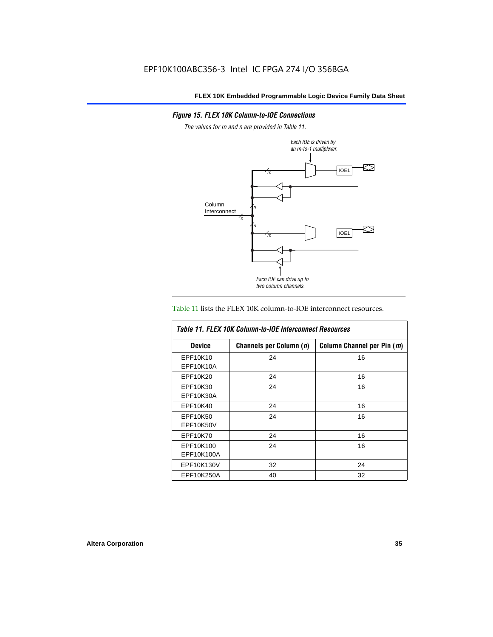#### *Figure 15. FLEX 10K Column-to-IOE Connections*

*The values for m and n are provided in Table 11.*



#### Table 11 lists the FLEX 10K column-to-IOE interconnect resources.

| <b>Table 11. FLEX 10K Column-to-IOE Interconnect Resources</b> |                         |                            |  |  |  |
|----------------------------------------------------------------|-------------------------|----------------------------|--|--|--|
| <b>Device</b>                                                  | Channels per Column (n) | Column Channel per Pin (m) |  |  |  |
| EPF10K10<br>EPF10K10A                                          | 24                      | 16                         |  |  |  |
| EPF10K20                                                       | 24                      | 16                         |  |  |  |
| EPF10K30<br>EPF10K30A                                          | 24                      | 16                         |  |  |  |
| EPF10K40                                                       | 24                      | 16                         |  |  |  |
| EPF10K50<br>EPF10K50V                                          | 24                      | 16                         |  |  |  |
| EPF10K70                                                       | 24                      | 16                         |  |  |  |
| EPF10K100<br>EPF10K100A                                        | 24                      | 16                         |  |  |  |
| EPF10K130V                                                     | 32                      | 24                         |  |  |  |
| EPF10K250A                                                     | 40                      | 32                         |  |  |  |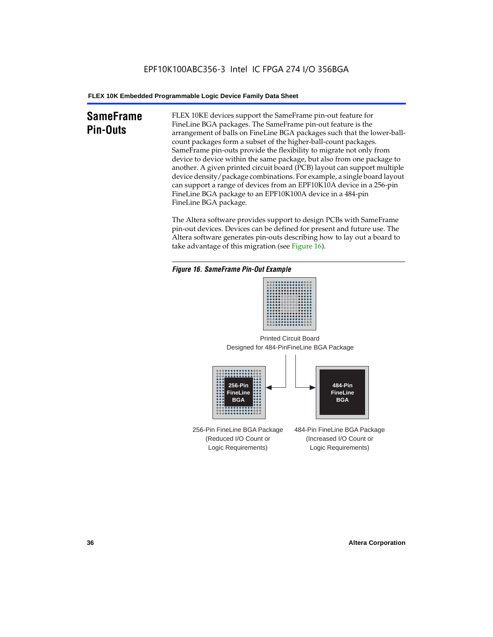# **SameFrame Pin-Outs**

FLEX 10KE devices support the SameFrame pin-out feature for FineLine BGA packages. The SameFrame pin-out feature is the arrangement of balls on FineLine BGA packages such that the lower-ballcount packages form a subset of the higher-ball-count packages. SameFrame pin-outs provide the flexibility to migrate not only from device to device within the same package, but also from one package to another. A given printed circuit board (PCB) layout can support multiple device density/package combinations. For example, a single board layout can support a range of devices from an EPF10K10A device in a 256-pin FineLine BGA package to an EPF10K100A device in a 484-pin FineLine BGA package.

The Altera software provides support to design PCBs with SameFrame pin-out devices. Devices can be defined for present and future use. The Altera software generates pin-outs describing how to lay out a board to take advantage of this migration (see Figure 16).







256-Pin FineLine BGA Package (Reduced I/O Count or Logic Requirements) 484-Pin FineLine BGA Package (Increased I/O Count or Logic Requirements)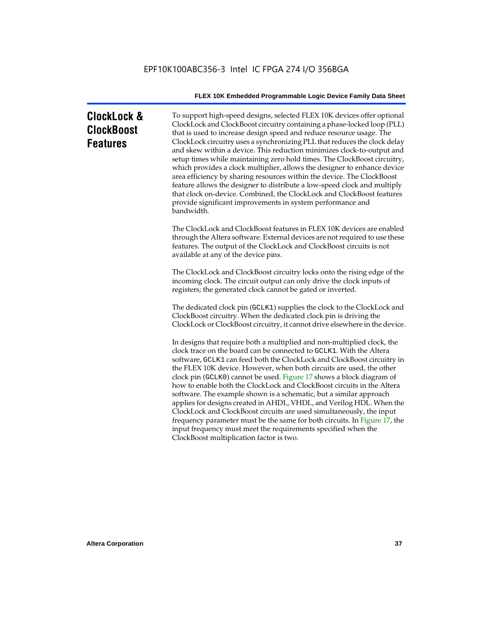| ClockLock &<br>ClockBoost<br><b>Features</b> | To support high-speed designs, selected FLEX 10K devices offer optional<br>ClockLock and ClockBoost circuitry containing a phase-locked loop (PLL)<br>that is used to increase design speed and reduce resource usage. The<br>ClockLock circuitry uses a synchronizing PLL that reduces the clock delay<br>and skew within a device. This reduction minimizes clock-to-output and<br>setup times while maintaining zero hold times. The ClockBoost circuitry,<br>which provides a clock multiplier, allows the designer to enhance device<br>area efficiency by sharing resources within the device. The ClockBoost<br>feature allows the designer to distribute a low-speed clock and multiply<br>that clock on-device. Combined, the ClockLock and ClockBoost features<br>provide significant improvements in system performance and<br>bandwidth.                |
|----------------------------------------------|---------------------------------------------------------------------------------------------------------------------------------------------------------------------------------------------------------------------------------------------------------------------------------------------------------------------------------------------------------------------------------------------------------------------------------------------------------------------------------------------------------------------------------------------------------------------------------------------------------------------------------------------------------------------------------------------------------------------------------------------------------------------------------------------------------------------------------------------------------------------|
|                                              | The ClockLock and ClockBoost features in FLEX 10K devices are enabled<br>through the Altera software. External devices are not required to use these<br>features. The output of the ClockLock and ClockBoost circuits is not<br>available at any of the device pins.                                                                                                                                                                                                                                                                                                                                                                                                                                                                                                                                                                                                |
|                                              | The ClockLock and ClockBoost circuitry locks onto the rising edge of the<br>incoming clock. The circuit output can only drive the clock inputs of<br>registers; the generated clock cannot be gated or inverted.                                                                                                                                                                                                                                                                                                                                                                                                                                                                                                                                                                                                                                                    |
|                                              | The dedicated clock pin (GCLK1) supplies the clock to the ClockLock and<br>ClockBoost circuitry. When the dedicated clock pin is driving the<br>ClockLock or ClockBoost circuitry, it cannot drive elsewhere in the device.                                                                                                                                                                                                                                                                                                                                                                                                                                                                                                                                                                                                                                         |
|                                              | In designs that require both a multiplied and non-multiplied clock, the<br>clock trace on the board can be connected to GCLK1. With the Altera<br>software, GCLK1 can feed both the ClockLock and ClockBoost circuitry in<br>the FLEX 10K device. However, when both circuits are used, the other<br>clock pin (GCLK0) cannot be used. Figure 17 shows a block diagram of<br>how to enable both the ClockLock and ClockBoost circuits in the Altera<br>software. The example shown is a schematic, but a similar approach<br>applies for designs created in AHDL, VHDL, and Verilog HDL. When the<br>ClockLock and ClockBoost circuits are used simultaneously, the input<br>frequency parameter must be the same for both circuits. In Figure 17, the<br>input frequency must meet the requirements specified when the<br>ClockBoost multiplication factor is two. |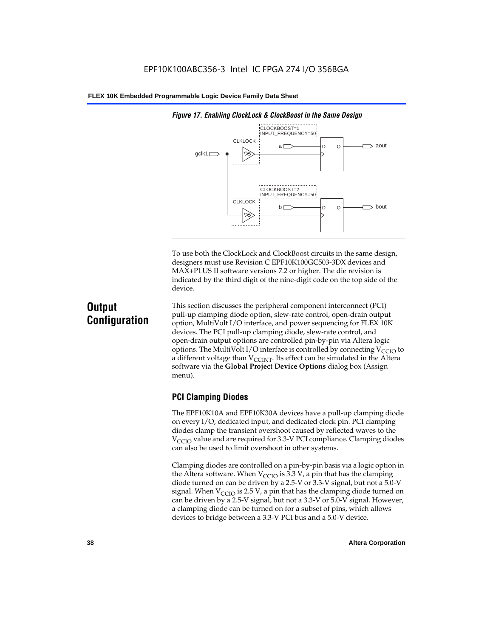

*Figure 17. Enabling ClockLock & ClockBoost in the Same Design*

To use both the ClockLock and ClockBoost circuits in the same design, designers must use Revision C EPF10K100GC503-3DX devices and MAX+PLUS II software versions 7.2 or higher. The die revision is indicated by the third digit of the nine-digit code on the top side of the device.

# **Output Configuration**

This section discusses the peripheral component interconnect (PCI) pull-up clamping diode option, slew-rate control, open-drain output option, MultiVolt I/O interface, and power sequencing for FLEX 10K devices. The PCI pull-up clamping diode, slew-rate control, and open-drain output options are controlled pin-by-pin via Altera logic options. The MultiVolt I/O interface is controlled by connecting  $V_{\text{CCIO}}$  to a different voltage than  $V_{\text{CCINT}}$ . Its effect can be simulated in the Altera software via the **Global Project Device Options** dialog box (Assign menu).

# **PCI Clamping Diodes**

The EPF10K10A and EPF10K30A devices have a pull-up clamping diode on every I/O, dedicated input, and dedicated clock pin. PCI clamping diodes clamp the transient overshoot caused by reflected waves to the  $V_{\text{CCIO}}$  value and are required for 3.3-V PCI compliance. Clamping diodes can also be used to limit overshoot in other systems.

Clamping diodes are controlled on a pin-by-pin basis via a logic option in the Altera software. When  $V_{\text{CCIO}}$  is 3.3 V, a pin that has the clamping diode turned on can be driven by a 2.5-V or 3.3-V signal, but not a 5.0-V signal. When  $V_{\text{CCIO}}$  is 2.5 V, a pin that has the clamping diode turned on can be driven by a 2.5-V signal, but not a 3.3-V or 5.0-V signal. However, a clamping diode can be turned on for a subset of pins, which allows devices to bridge between a 3.3-V PCI bus and a 5.0-V device.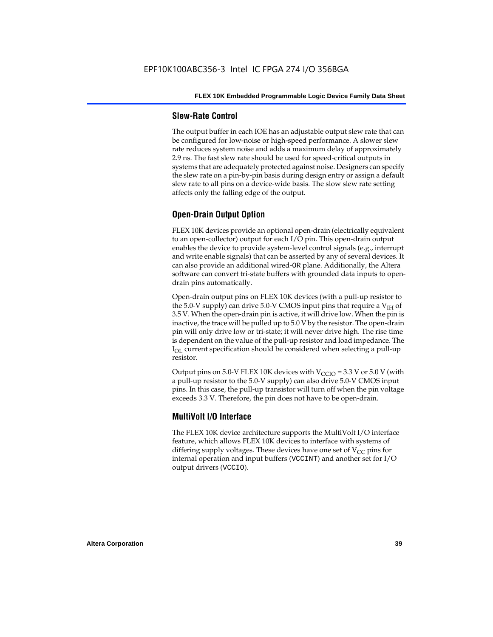#### **Slew-Rate Control**

The output buffer in each IOE has an adjustable output slew rate that can be configured for low-noise or high-speed performance. A slower slew rate reduces system noise and adds a maximum delay of approximately 2.9 ns. The fast slew rate should be used for speed-critical outputs in systems that are adequately protected against noise. Designers can specify the slew rate on a pin-by-pin basis during design entry or assign a default slew rate to all pins on a device-wide basis. The slow slew rate setting affects only the falling edge of the output.

# **Open-Drain Output Option**

FLEX 10K devices provide an optional open-drain (electrically equivalent to an open-collector) output for each I/O pin. This open-drain output enables the device to provide system-level control signals (e.g., interrupt and write enable signals) that can be asserted by any of several devices. It can also provide an additional wired-OR plane. Additionally, the Altera software can convert tri-state buffers with grounded data inputs to opendrain pins automatically.

Open-drain output pins on FLEX 10K devices (with a pull-up resistor to the 5.0-V supply) can drive 5.0-V CMOS input pins that require a  $V<sub>IH</sub>$  of 3.5 V. When the open-drain pin is active, it will drive low. When the pin is inactive, the trace will be pulled up to 5.0 V by the resistor. The open-drain pin will only drive low or tri-state; it will never drive high. The rise time is dependent on the value of the pull-up resistor and load impedance. The  $I_{\text{OL}}$  current specification should be considered when selecting a pull-up resistor.

Output pins on 5.0-V FLEX 10K devices with  $V_{\text{CCIO}} = 3.3$  V or 5.0 V (with a pull-up resistor to the 5.0-V supply) can also drive 5.0-V CMOS input pins. In this case, the pull-up transistor will turn off when the pin voltage exceeds 3.3 V. Therefore, the pin does not have to be open-drain.

## **MultiVolt I/O Interface**

The FLEX 10K device architecture supports the MultiVolt I/O interface feature, which allows FLEX 10K devices to interface with systems of differing supply voltages. These devices have one set of  $V_{CC}$  pins for internal operation and input buffers (VCCINT) and another set for I/O output drivers (VCCIO).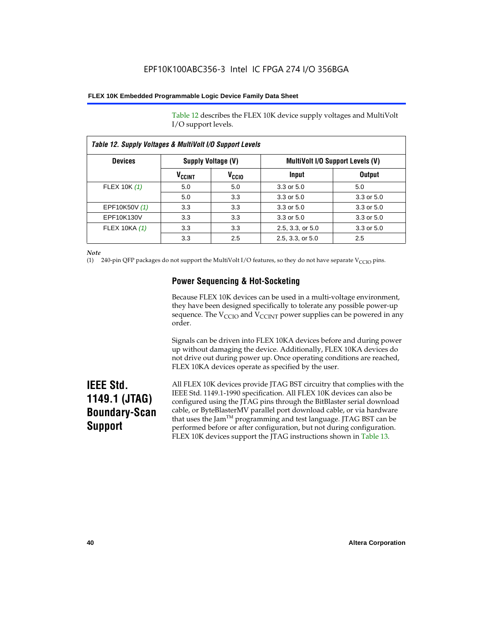Table 12 describes the FLEX 10K device supply voltages and MultiVolt I/O support levels.

| Table 12. Supply Voltages & MultiVolt I/O Support Levels |                          |                    |                  |                                         |  |
|----------------------------------------------------------|--------------------------|--------------------|------------------|-----------------------------------------|--|
| <b>Devices</b>                                           |                          | Supply Voltage (V) |                  | <b>MultiVolt I/O Support Levels (V)</b> |  |
|                                                          | <b>V<sub>CCINT</sub></b> | V <sub>CCIO</sub>  | Input            | <b>Output</b>                           |  |
| FLEX 10K (1)                                             | 5.0                      | 5.0                | 3.3 or 5.0       | 5.0                                     |  |
|                                                          | 5.0                      | 3.3                | 3.3 or 5.0       | 3.3 or 5.0                              |  |
| EPF10K50V (1)                                            | 3.3                      | 3.3                | 3.3 or 5.0       | 3.3 or 5.0                              |  |
| EPF10K130V                                               | 3.3                      | 3.3                | 3.3 or 5.0       | 3.3 or 5.0                              |  |
| FLEX 10KA (1)                                            | 3.3                      | 3.3                | 2.5, 3.3, or 5.0 | 3.3 or 5.0                              |  |
|                                                          | 3.3                      | 2.5                | 2.5, 3.3, or 5.0 | 2.5                                     |  |

*Note*

(1) 240-pin QFP packages do not support the MultiVolt I/O features, so they do not have separate V<sub>CCIO</sub> pins.

# **Power Sequencing & Hot-Socketing**

Because FLEX 10K devices can be used in a multi-voltage environment, they have been designed specifically to tolerate any possible power-up sequence. The  $V_{\text{CCIO}}$  and  $V_{\text{CCINT}}$  power supplies can be powered in any order.

Signals can be driven into FLEX 10KA devices before and during power up without damaging the device. Additionally, FLEX 10KA devices do not drive out during power up. Once operating conditions are reached, FLEX 10KA devices operate as specified by the user.

# **IEEE Std. 1149.1 (JTAG) Boundary-Scan Support**

All FLEX 10K devices provide JTAG BST circuitry that complies with the IEEE Std. 1149.1-1990 specification. All FLEX 10K devices can also be configured using the JTAG pins through the BitBlaster serial download cable, or ByteBlasterMV parallel port download cable, or via hardware that uses the Jam<sup>TM</sup> programming and test language. JTAG BST can be performed before or after configuration, but not during configuration. FLEX 10K devices support the JTAG instructions shown in Table 13.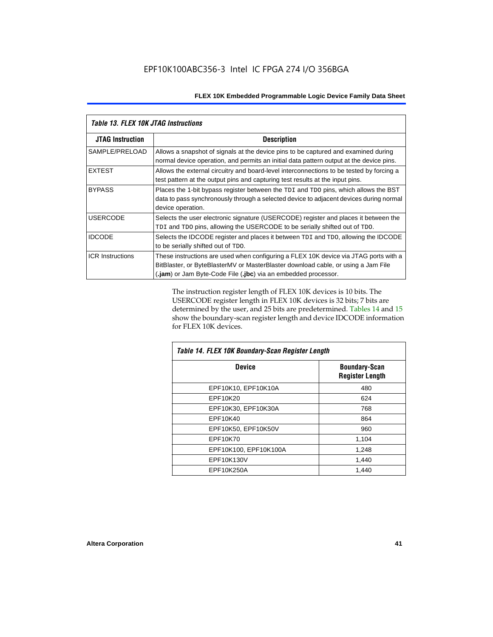|                         | <b>Table 13. FLEX 10K JTAG Instructions</b>                                                                                                                                                                                                 |  |  |  |  |
|-------------------------|---------------------------------------------------------------------------------------------------------------------------------------------------------------------------------------------------------------------------------------------|--|--|--|--|
| <b>JTAG Instruction</b> | <b>Description</b>                                                                                                                                                                                                                          |  |  |  |  |
| SAMPLE/PRELOAD          | Allows a snapshot of signals at the device pins to be captured and examined during<br>normal device operation, and permits an initial data pattern output at the device pins.                                                               |  |  |  |  |
| <b>EXTEST</b>           | Allows the external circuitry and board-level interconnections to be tested by forcing a<br>test pattern at the output pins and capturing test results at the input pins.                                                                   |  |  |  |  |
| <b>BYPASS</b>           | Places the 1-bit bypass register between the TDI and TDO pins, which allows the BST<br>data to pass synchronously through a selected device to adjacent devices during normal<br>device operation.                                          |  |  |  |  |
| <b>USERCODE</b>         | Selects the user electronic signature (USERCODE) register and places it between the<br>TDI and TDO pins, allowing the USERCODE to be serially shifted out of TDO.                                                                           |  |  |  |  |
| <b>IDCODE</b>           | Selects the IDCODE register and places it between TDI and TDO, allowing the IDCODE<br>to be serially shifted out of TDO.                                                                                                                    |  |  |  |  |
| <b>ICR Instructions</b> | These instructions are used when configuring a FLEX 10K device via JTAG ports with a<br>BitBlaster, or ByteBlasterMV or MasterBlaster download cable, or using a Jam File<br>(.jam) or Jam Byte-Code File (.jbc) via an embedded processor. |  |  |  |  |

The instruction register length of FLEX 10K devices is 10 bits. The USERCODE register length in FLEX 10K devices is 32 bits; 7 bits are determined by the user, and 25 bits are predetermined. Tables 14 and 15 show the boundary-scan register length and device IDCODE information for FLEX 10K devices.

| Table 14. FLEX 10K Boundary-Scan Register Length |                                                |  |  |  |
|--------------------------------------------------|------------------------------------------------|--|--|--|
| <b>Device</b>                                    | <b>Boundary-Scan</b><br><b>Register Length</b> |  |  |  |
| EPF10K10, EPF10K10A                              | 480                                            |  |  |  |
| EPF10K20                                         | 624                                            |  |  |  |
| EPF10K30, EPF10K30A                              | 768                                            |  |  |  |
| EPF10K40                                         | 864                                            |  |  |  |
| EPF10K50, EPF10K50V                              | 960                                            |  |  |  |
| EPF10K70                                         | 1,104                                          |  |  |  |
| EPF10K100, EPF10K100A                            | 1,248                                          |  |  |  |
| EPF10K130V                                       | 1,440                                          |  |  |  |
| EPF10K250A                                       | 1,440                                          |  |  |  |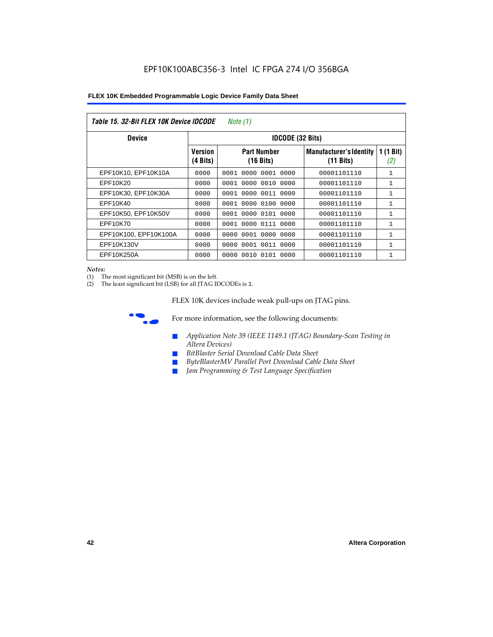| Table 15. 32-Bit FLEX 10K Device IDCODE<br>Note (1) |                            |                                           |                                                       |                    |  |  |  |  |
|-----------------------------------------------------|----------------------------|-------------------------------------------|-------------------------------------------------------|--------------------|--|--|--|--|
| <b>Device</b>                                       | <b>IDCODE (32 Bits)</b>    |                                           |                                                       |                    |  |  |  |  |
|                                                     | <b>Version</b><br>(4 Bits) | <b>Part Number</b><br>$(16 \text{ bits})$ | <b>Manufacturer's Identity</b><br>$(11 \text{ bits})$ | 1 $(1$ Bit)<br>(2) |  |  |  |  |
| EPF10K10, EPF10K10A                                 | 0000                       | 0001<br>0000<br>0001 0000                 | 00001101110                                           | $\mathbf{1}$       |  |  |  |  |
| EPF10K20                                            | 0000                       | 0000 0010 0000<br>0001                    | 00001101110                                           | 1                  |  |  |  |  |
| EPF10K30, EPF10K30A                                 | 0000                       | 0001 0000 0011 0000                       | 00001101110                                           | 1                  |  |  |  |  |
| EPF10K40                                            | 0000                       | 0000<br>0100<br>0001<br>0000              | 00001101110                                           | $\mathbf{1}$       |  |  |  |  |
| EPF10K50, EPF10K50V                                 | 0000                       | 0001 0000 0101 0000                       | 00001101110                                           | 1                  |  |  |  |  |
| EPF10K70                                            | 0000                       | 0000 0111 0000<br>0001                    | 00001101110                                           | $\mathbf{1}$       |  |  |  |  |
| EPF10K100, EPF10K100A                               | 0000                       | 0001 0000 0000<br>0000                    | 00001101110                                           | 1                  |  |  |  |  |
| EPF10K130V                                          | 0000                       | 0000<br>0001 0011 0000                    | 00001101110                                           | 1                  |  |  |  |  |
| EPF10K250A                                          | 0000                       | 0000<br>0010 0101 0000                    | 00001101110                                           | $\mathbf{1}$       |  |  |  |  |

#### *Notes:*

(1) The most significant bit (MSB) is on the left.

(2) The least significant bit (LSB) for all JTAG IDCODEs is 1.

FLEX 10K devices include weak pull-ups on JTAG pins.



**for more information, see the following documents:** 

- *Application Note 39 (IEEE 1149.1 (JTAG) Boundary-Scan Testing in Altera Devices)*
- *BitBlaster Serial Download Cable Data Sheet*
- *ByteBlasterMV Parallel Port Download Cable Data Sheet*
- *Jam Programming & Test Language Specification*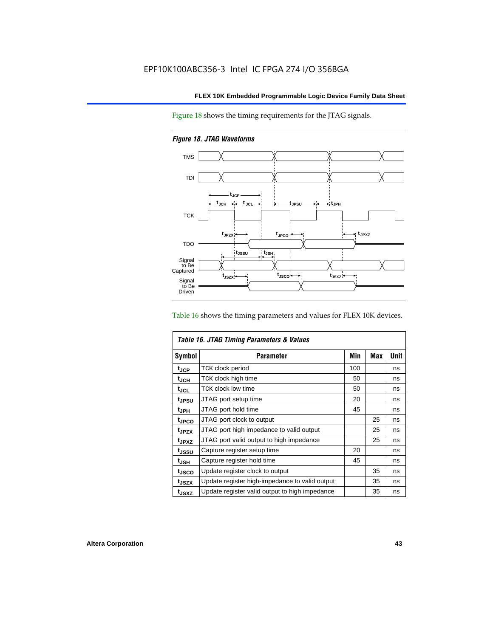Figure 18 shows the timing requirements for the JTAG signals.

*Figure 18. JTAG Waveforms*



Table 16 shows the timing parameters and values for FLEX 10K devices.

| Table 16. JTAG Timing Parameters & Values |                                                |     |            |      |  |
|-------------------------------------------|------------------------------------------------|-----|------------|------|--|
| <b>Symbol</b>                             | Parameter                                      | Min | <b>Max</b> | Unit |  |
| $t_{\rm JCP}$                             | <b>TCK clock period</b>                        | 100 |            | ns   |  |
| t <sub>JCH</sub>                          | TCK clock high time                            | 50  |            | ns   |  |
| $t_{JCL}$                                 | TCK clock low time                             | 50  |            | ns   |  |
| tjpsu                                     | JTAG port setup time                           | 20  |            | ns   |  |
| t <sub>JPH</sub>                          | JTAG port hold time                            | 45  |            | ns   |  |
| <sup>t</sup> JPCO                         | JTAG port clock to output                      |     | 25         | ns   |  |
| t <sub>JPZX</sub>                         | JTAG port high impedance to valid output       |     | 25         | ns   |  |
| t <sub>JPXZ</sub>                         | JTAG port valid output to high impedance       |     | 25         | ns   |  |
| tjssu                                     | Capture register setup time                    | 20  |            | ns   |  |
| $t_{\mathsf{JSH}}$                        | Capture register hold time                     | 45  |            | ns   |  |
| t <sub>JSCO</sub>                         | Update register clock to output                |     | 35         | ns   |  |
| t <sub>JSZX</sub>                         | Update register high-impedance to valid output |     | 35         | ns   |  |
| t <sub>JSXZ</sub>                         | Update register valid output to high impedance |     | 35         | ns   |  |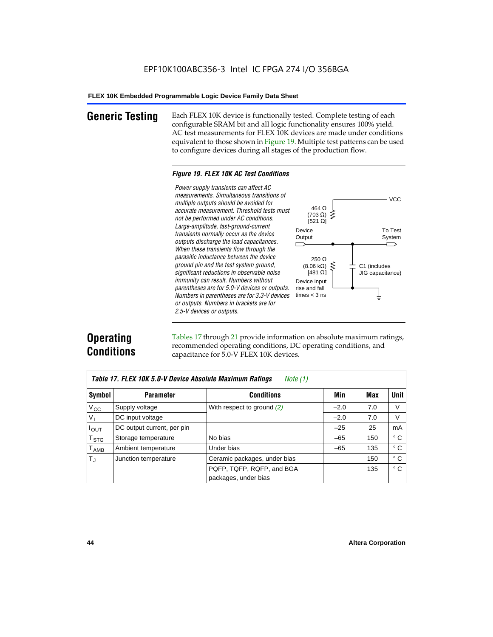**Generic Testing** Each FLEX 10K device is functionally tested. Complete testing of each configurable SRAM bit and all logic functionality ensures 100% yield. AC test measurements for FLEX 10K devices are made under conditions equivalent to those shown in Figure 19. Multiple test patterns can be used to configure devices during all stages of the production flow.

#### *Figure 19. FLEX 10K AC Test Conditions*

*Power supply transients can affect AC measurements. Simultaneous transitions of*  $V<sub>CC</sub>$ *multiple outputs should be avoided for* 464 Ω *accurate measurement. Threshold tests must* (703 Ω) ξ *not be performed under AC conditions.*  $[521 \Omega]$ *Large-amplitude, fast-ground-current* To Test Device *transients normally occur as the device* Output System *outputs discharge the load capacitances. When these transients flow through the parasitic inductance between the device* 250 Ω *ground pin and the test system ground,*  $(8.06 \text{ k}\Omega)$ C1 (includes *significant reductions in observable noise* [481 $\Omega$ ] JIG capacitance) *immunity can result. Numbers without*  Device input *parentheses are for 5.0-V devices or outputs.*  rise and fall *Numbers in parentheses are for 3.3-V devices*  times  $<$  3 ns ŧ *or outputs. Numbers in brackets are for 2.5-V devices or outputs.*

# **Operating Conditions**

Tables 17 through 21 provide information on absolute maximum ratings, recommended operating conditions, DC operating conditions, and capacitance for 5.0-V FLEX 10K devices.

| Table 17. FLEX 10K 5.0-V Device Absolute Maximum Ratings<br>Note (1) |                            |                              |        |     |              |  |
|----------------------------------------------------------------------|----------------------------|------------------------------|--------|-----|--------------|--|
| Symbol                                                               | <b>Parameter</b>           | <b>Conditions</b>            | Min    | Max | <b>Unit</b>  |  |
| $V_{\rm CC}$                                                         | Supply voltage             | With respect to ground $(2)$ | $-2.0$ | 7.0 | V            |  |
| $V_{I}$                                                              | DC input voltage           |                              | $-2.0$ | 7.0 | V            |  |
| $I_{\text{OUT}}$                                                     | DC output current, per pin |                              | $-25$  | 25  | mA           |  |
| $\mathsf{T}_{\texttt{STG}}$                                          | Storage temperature        | No bias                      | $-65$  | 150 | ° C          |  |
| $\mathsf{T}_{\mathsf{AMB}}$                                          | Ambient temperature        | Under bias                   | $-65$  | 135 | $^{\circ}$ C |  |
| $T_{\rm J}$                                                          | Junction temperature       | Ceramic packages, under bias |        | 150 | ° C          |  |
|                                                                      |                            | PQFP, TQFP, RQFP, and BGA    |        | 135 | $^{\circ}$ C |  |
|                                                                      |                            | packages, under bias         |        |     |              |  |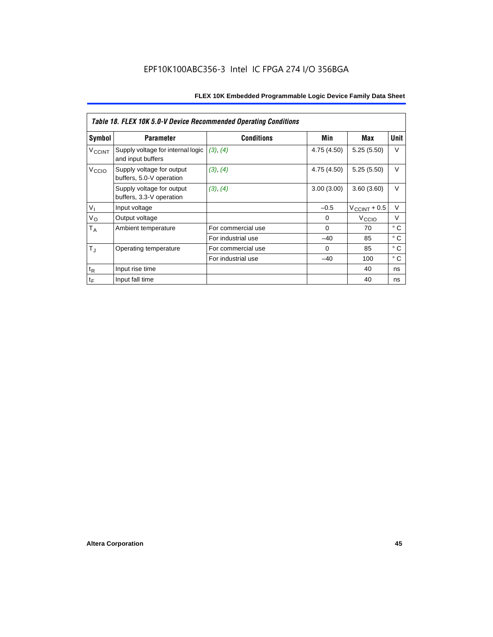|                          | Table 18. FLEX 10K 5.0-V Device Recommended Operating Conditions |                    |             |                       |              |  |  |
|--------------------------|------------------------------------------------------------------|--------------------|-------------|-----------------------|--------------|--|--|
| Symbol                   | <b>Parameter</b>                                                 | <b>Conditions</b>  | Min         | Max                   | Unit         |  |  |
| <b>V<sub>CCINT</sub></b> | Supply voltage for internal logic<br>and input buffers           | (3), (4)           | 4.75 (4.50) | 5.25(5.50)            | V            |  |  |
| V <sub>CCIO</sub>        | Supply voltage for output<br>buffers, 5.0-V operation            | (3), (4)           | 4.75 (4.50) | 5.25(5.50)            | $\vee$       |  |  |
|                          | Supply voltage for output<br>buffers, 3.3-V operation            | (3), (4)           | 3.00(3.00)  | 3.60(3.60)            | $\vee$       |  |  |
| V <sub>1</sub>           | Input voltage                                                    |                    | $-0.5$      | $V_{\rm CCINT}$ + 0.5 | V            |  |  |
| $V_{\rm O}$              | Output voltage                                                   |                    | 0           | V <sub>ccio</sub>     | V            |  |  |
| $T_A$                    | Ambient temperature                                              | For commercial use | $\mathbf 0$ | 70                    | ° C          |  |  |
|                          |                                                                  | For industrial use | $-40$       | 85                    | $^{\circ}$ C |  |  |
| $T_{\rm J}$              | Operating temperature                                            | For commercial use | $\Omega$    | 85                    | ° C          |  |  |
|                          |                                                                  | For industrial use | $-40$       | 100                   | $^{\circ}$ C |  |  |
| $t_{R}$                  | Input rise time                                                  |                    |             | 40                    | ns           |  |  |
| $t_F$                    | Input fall time                                                  |                    |             | 40                    | ns           |  |  |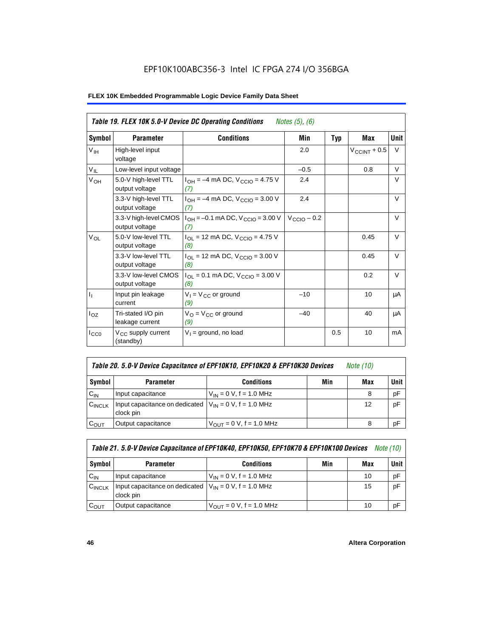# EPF10K100ABC356-3 Intel IC FPGA 274 I/O 356BGA

|                           | Table 19. FLEX 10K 5.0-V Device DC Operating Conditions<br><i>Notes</i> $(5)$ , $(6)$ |                                                   |                         |            |                    |             |  |
|---------------------------|---------------------------------------------------------------------------------------|---------------------------------------------------|-------------------------|------------|--------------------|-------------|--|
| Symbol                    | <b>Parameter</b>                                                                      | <b>Conditions</b>                                 | Min                     | <b>Typ</b> | <b>Max</b>         | <b>Unit</b> |  |
| $V_{\text{IH}}$           | High-level input<br>voltage                                                           |                                                   | 2.0                     |            | $V_{C CINT} + 0.5$ | V           |  |
| $V_{IL}$                  | Low-level input voltage                                                               |                                                   | $-0.5$                  |            | 0.8                | V           |  |
| V <sub>OH</sub>           | 5.0-V high-level TTL<br>output voltage                                                | $I_{OH} = -4$ mA DC, $V_{CGIO} = 4.75$ V<br>(7)   | 2.4                     |            |                    | V           |  |
|                           | 3.3-V high-level TTL<br>output voltage                                                | $I_{OH} = -4$ mA DC, $V_{CGIO} = 3.00$ V<br>(7)   | 2.4                     |            |                    | V           |  |
|                           | 3.3-V high-level CMOS<br>output voltage                                               | $1_{OH} = -0.1$ mA DC, $V_{CCIO} = 3.00$ V<br>(7) | $V_{\text{CCIO}} - 0.2$ |            |                    | $\vee$      |  |
| $V_{OL}$                  | 5.0-V low-level TTL<br>output voltage                                                 | $I_{OL}$ = 12 mA DC, $V_{CCIO}$ = 4.75 V<br>(8)   |                         |            | 0.45               | $\vee$      |  |
|                           | 3.3-V low-level TTL<br>output voltage                                                 | $I_{OL}$ = 12 mA DC, $V_{CCIO}$ = 3.00 V<br>(8)   |                         |            | 0.45               | V           |  |
|                           | 3.3-V low-level CMOS<br>output voltage                                                | $I_{OL}$ = 0.1 mA DC, $V_{CCIO}$ = 3.00 V<br>(8)  |                         |            | 0.2                | $\vee$      |  |
| $\mathbf{I}_{\mathbf{I}}$ | Input pin leakage<br>current                                                          | $V_1 = V_{CC}$ or ground<br>(9)                   | $-10$                   |            | 10                 | μA          |  |
| $I_{OZ}$                  | Tri-stated I/O pin<br>leakage current                                                 | $V_O = V_{CC}$ or ground<br>(9)                   | $-40$                   |            | 40                 | μA          |  |
| $I_{CC0}$                 | V <sub>CC</sub> supply current<br>(standby)                                           | $V_1$ = ground, no load                           |                         | 0.5        | 10                 | mA          |  |

| Table 20. 5.0-V Device Capacitance of EPF10K10, EPF10K20 & EPF10K30 Devices | <i>Note</i> (10) |  |
|-----------------------------------------------------------------------------|------------------|--|
|-----------------------------------------------------------------------------|------------------|--|

| Symbol             | <b>Parameter</b>                                                        | <b>Conditions</b>                   | Min | Max | <b>Unit</b> |
|--------------------|-------------------------------------------------------------------------|-------------------------------------|-----|-----|-------------|
| $C_{IN}$           | Input capacitance                                                       | $V_{IN} = 0 V$ , f = 1.0 MHz        |     |     | pF          |
| $C_{\text{INCLK}}$ | Input capacitance on dedicated $V_{1N} = 0$ V, f = 1.0 MHz<br>clock pin |                                     |     | 12  | pF          |
| $C_{OUT}$          | Output capacitance                                                      | $V_{\text{OUT}} = 0 V, f = 1.0 MHz$ |     | 8   | pF          |

| Table 21. 5.0-V Device Capacitance of EPF10K40, EPF10K50, EPF10K70 & EPF10K100 Devices<br><i>Note (10)</i> |                                                                           |                                     |     |     |             |  |
|------------------------------------------------------------------------------------------------------------|---------------------------------------------------------------------------|-------------------------------------|-----|-----|-------------|--|
| Symbol                                                                                                     | <b>Parameter</b>                                                          | <b>Conditions</b>                   | Min | Max | <b>Unit</b> |  |
| $C_{IN}$                                                                                                   | Input capacitance                                                         | $V_{IN} = 0 V$ , f = 1.0 MHz        |     | 10  | рF          |  |
| $C_{\text{INCLK}}$                                                                                         | Input capacitance on dedicated $ V_{IN} = 0 V$ , f = 1.0 MHz<br>clock pin |                                     |     | 15  | pF          |  |
| $C_{OUT}$                                                                                                  | Output capacitance                                                        | $V_{\text{OUT}} = 0$ V, f = 1.0 MHz |     | 10  | рF          |  |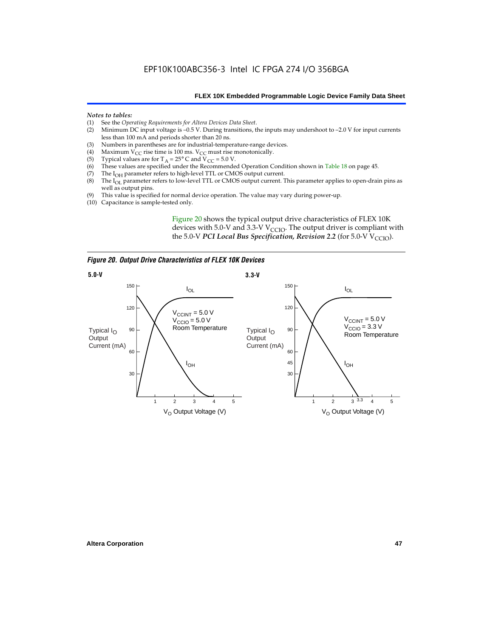#### *Notes to tables:*

- (1) See the *Operating Requirements for Altera Devices Data Sheet*.
- Minimum DC input voltage is  $-0.5$  V. During transitions, the inputs may undershoot to  $-2.0$  V for input currents less than 100 mA and periods shorter than 20 ns.
- (3) Numbers in parentheses are for industrial-temperature-range devices.<br>(4) Maximum  $V_{CC}$  rise time is 100 ms.  $V_{CC}$  must rise monotonically.
- (4) Maximum V<sub>CC</sub> rise time is 100 ms. V<sub>CC</sub> must rise monotonically.<br>(5) Typical values are for T<sub>A</sub> = 25° C and V<sub>CC</sub> = 5.0 V.
- (5) Typical values are for  $T_A = 25^\circ$  C and  $V_{CC} = 5.0$  V.<br>(6) These values are specified under the Recommende
- (6) These values are specified under the Recommended Operation Condition shown in Table 18 on page 45.<br>(7) The  $I_{OH}$  parameter refers to high-level TTL or CMOS output current.
- (7) The  $I_{OH}$  parameter refers to high-level TTL or CMOS output current.<br>(8) The  $I_{OL}$  parameter refers to low-level TTL or CMOS output current. T
- The I<sub>OL</sub> parameter refers to low-level TTL or CMOS output current. This parameter applies to open-drain pins as well as output pins.
- (9) This value is specified for normal device operation. The value may vary during power-up.
- (10) Capacitance is sample-tested only.

Figure 20 shows the typical output drive characteristics of FLEX 10K devices with 5.0-V and 3.3-V  $V_{CCIO}$ . The output driver is compliant with the 5.0-V *PCI Local Bus Specification, Revision 2.2* (for 5.0-V  $V_{\text{CCIO}}$ ).

*Figure 20. Output Drive Characteristics of FLEX 10K Devices*

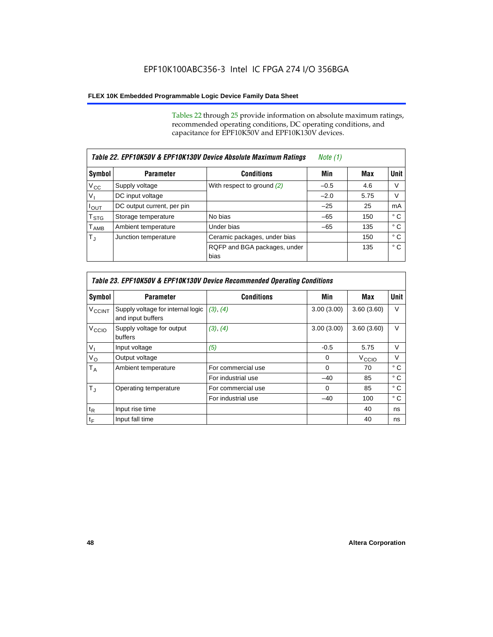Tables 22 through 25 provide information on absolute maximum ratings, recommended operating conditions, DC operating conditions, and capacitance for EPF10K50V and EPF10K130V devices.

| Table 22. EPF10K50V & EPF10K130V Device Absolute Maximum Ratings |                            |                                      |        |      |              |
|------------------------------------------------------------------|----------------------------|--------------------------------------|--------|------|--------------|
| Symbol                                                           | <b>Parameter</b>           | <b>Conditions</b>                    | Min    | Max  | <b>Unit</b>  |
| $V_{\rm CC}$                                                     | Supply voltage             | With respect to ground $(2)$         | $-0.5$ | 4.6  | V            |
| $V_{\parallel}$                                                  | DC input voltage           |                                      | $-2.0$ | 5.75 | v            |
| $I_{\text{OUT}}$                                                 | DC output current, per pin |                                      | $-25$  | 25   | mA           |
| $\mathsf{T}_{\text{STG}}$                                        | Storage temperature        | No bias                              | $-65$  | 150  | ° C          |
| $\mathsf{T}_{\mathsf{AMB}}$                                      | Ambient temperature        | Under bias                           | $-65$  | 135  | ° C          |
| $T_{\rm J}$                                                      | Junction temperature       | Ceramic packages, under bias         |        | 150  | ° C          |
|                                                                  |                            | RQFP and BGA packages, under<br>bias |        | 135  | $^{\circ}$ C |

|                          | Table 23. EPF10K50V & EPF10K130V Device Recommended Operating Conditions |                    |            |                   |             |  |  |  |
|--------------------------|--------------------------------------------------------------------------|--------------------|------------|-------------------|-------------|--|--|--|
| Symbol                   | <b>Parameter</b>                                                         | <b>Conditions</b>  | Min        | Max               | <b>Unit</b> |  |  |  |
| <b>V<sub>CCINT</sub></b> | Supply voltage for internal logic<br>and input buffers                   | (3), (4)           | 3.00(3.00) | 3.60(3.60)        | V           |  |  |  |
| V <sub>CCIO</sub>        | Supply voltage for output<br>buffers                                     | (3), (4)           | 3.00(3.00) | 3.60(3.60)        | $\vee$      |  |  |  |
| $V_{1}$                  | Input voltage                                                            | (5)                | $-0.5$     | 5.75              | $\vee$      |  |  |  |
| $V_{\rm O}$              | Output voltage                                                           |                    | $\Omega$   | V <sub>CCIO</sub> | V           |  |  |  |
| $T_A$                    | Ambient temperature                                                      | For commercial use | $\Omega$   | 70                | ° C         |  |  |  |
|                          |                                                                          | For industrial use | $-40$      | 85                | ° C         |  |  |  |
| $T_{\rm J}$              | Operating temperature                                                    | For commercial use | $\Omega$   | 85                | ° C         |  |  |  |
|                          |                                                                          | For industrial use | $-40$      | 100               | ° C         |  |  |  |
| $t_{R}$                  | Input rise time                                                          |                    |            | 40                | ns          |  |  |  |
| $t_F$                    | Input fall time                                                          |                    |            | 40                | ns          |  |  |  |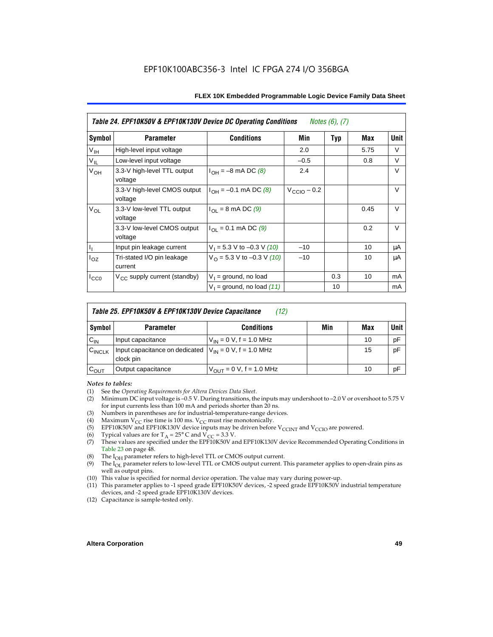| Table 24. EPF10K50V & EPF10K130V Device DC Operating Conditions<br><i>Notes <math>(6)</math>, <math>(7)</math></i> |                                          |                                          |                         |            |      |        |
|--------------------------------------------------------------------------------------------------------------------|------------------------------------------|------------------------------------------|-------------------------|------------|------|--------|
| Symbol                                                                                                             | <b>Parameter</b>                         | <b>Conditions</b>                        | Min                     | <b>Typ</b> | Max  | Unit   |
| V <sub>IH</sub>                                                                                                    | High-level input voltage                 |                                          | 2.0                     |            | 5.75 | V      |
| $V_{IL}$                                                                                                           | Low-level input voltage                  |                                          | $-0.5$                  |            | 0.8  | V      |
| V <sub>OH</sub>                                                                                                    | 3.3-V high-level TTL output<br>voltage   | $I_{OH} = -8$ mA DC (8)                  | 2.4                     |            |      | V      |
|                                                                                                                    | 3.3-V high-level CMOS output<br>voltage  | $I_{OH} = -0.1$ mA DC (8)                | $V_{\text{CCIO}} - 0.2$ |            |      | V      |
| $V_{OL}$                                                                                                           | 3.3-V low-level TTL output<br>voltage    | $I_{\Omega I}$ = 8 mA DC (9)             |                         |            | 0.45 | $\vee$ |
|                                                                                                                    | 3.3-V low-level CMOS output<br>voltage   | $I_{\text{OI}} = 0.1 \text{ mA DC } (9)$ |                         |            | 0.2  | V      |
| $\mathsf{I}_1$                                                                                                     | Input pin leakage current                | $V_1 = 5.3$ V to -0.3 V (10)             | $-10$                   |            | 10   | μA     |
| $I_{OZ}$                                                                                                           | Tri-stated I/O pin leakage<br>current    | $V_O = 5.3 V$ to -0.3 V (10)             | $-10$                   |            | 10   | μA     |
| $I_{CC0}$                                                                                                          | V <sub>CC</sub> supply current (standby) | $V_1$ = ground, no load                  |                         | 0.3        | 10   | mA     |
|                                                                                                                    |                                          | $V_1$ = ground, no load (11)             |                         | 10         |      | mA     |

| Table 25. EPF10K50V & EPF10K130V Device Capacitance<br>(12) |                                                                          |                               |     |     |             |  |
|-------------------------------------------------------------|--------------------------------------------------------------------------|-------------------------------|-----|-----|-------------|--|
| Symbol                                                      | <b>Parameter</b>                                                         | <b>Conditions</b>             | Min | Max | <b>Unit</b> |  |
| $C_{IN}$                                                    | Input capacitance                                                        | $V_{IN} = 0 V$ , f = 1.0 MHz  |     | 10  | pF          |  |
| $C_{\text{INCLK}}$                                          | Input capacitance on dedicated $V_{IN} = 0 V$ , f = 1.0 MHz<br>clock pin |                               |     | 15  | pF          |  |
| $C_{OUT}$                                                   | Output capacitance                                                       | $V_{OUT} = 0 V$ , f = 1.0 MHz |     | 10  | pF          |  |

#### *Notes to tables:*

- (1) See the *Operating Requirements for Altera Devices Data Sheet*.
- Minimum DC input voltage is –0.5 V. During transitions, the inputs may undershoot to –2.0 V or overshoot to 5.75 V for input currents less than 100 mA and periods shorter than 20 ns.
- (3) Numbers in parentheses are for industrial-temperature-range devices.<br>(4) Maximum  $V_{CC}$  rise time is 100 ms.  $V_{CC}$  must rise monotonically.
- (4) Maximum  $V_{CC}$  rise time is 100 ms.  $V_{CC}$  must rise monotonically.<br>(5) EPF10K50V and EPF10K130V device inputs may be driven before
- (5) EPF10K50V and EPF10K130V device inputs may be driven before V<sub>CCINT</sub> and V<sub>CCIO</sub> are powered.<br>(6) Typical values are for T<sub>A</sub> = 25° C and V<sub>CC</sub> = 3.3 V.
- Typical values are for  $T_A = 25^\circ$  C and  $V_{CC} = 3.3$  V.
- (7) These values are specified under the EPF10K50V and EPF10K130V device Recommended Operating Conditions in Table 23 on page 48.
- (8) The  $I<sub>OH</sub>$  parameter refers to high-level TTL or CMOS output current.
- (9) The  $I_{OL}$  parameter refers to low-level TTL or CMOS output current. This parameter applies to open-drain pins as well as output pins.
- (10) This value is specified for normal device operation. The value may vary during power-up.
- (11) This parameter applies to -1 speed grade EPF10K50V devices, -2 speed grade EPF10K50V industrial temperature devices, and -2 speed grade EPF10K130V devices.
- (12) Capacitance is sample-tested only.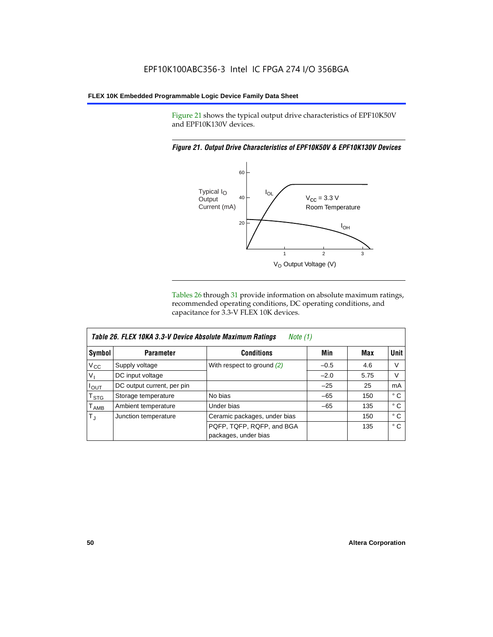Figure 21 shows the typical output drive characteristics of EPF10K50V and EPF10K130V devices.

#### *Figure 21. Output Drive Characteristics of EPF10K50V & EPF10K130V Devices*



Tables 26 through 31 provide information on absolute maximum ratings, recommended operating conditions, DC operating conditions, and capacitance for 3.3-V FLEX 10K devices.

| Table 26. FLEX 10KA 3.3-V Device Absolute Maximum Ratings<br>Note (1) |                            |                              |        |      |              |  |  |
|-----------------------------------------------------------------------|----------------------------|------------------------------|--------|------|--------------|--|--|
| Symbol                                                                | <b>Parameter</b>           | <b>Conditions</b>            | Min    | Max  | <b>Unit</b>  |  |  |
| $V_{\rm CC}$                                                          | Supply voltage             | With respect to ground $(2)$ | $-0.5$ | 4.6  | V            |  |  |
| $V_{1}$                                                               | DC input voltage           |                              | $-2.0$ | 5.75 | V            |  |  |
| $I_{OUT}$                                                             | DC output current, per pin |                              | $-25$  | 25   | mA           |  |  |
| $T_{\text{STG}}$                                                      | Storage temperature        | No bias                      | $-65$  | 150  | $^{\circ}$ C |  |  |
| T <sub>AMB</sub>                                                      | Ambient temperature        | Under bias                   | $-65$  | 135  | ° C          |  |  |
| $T_{\rm J}$                                                           | Junction temperature       | Ceramic packages, under bias |        | 150  | ° C          |  |  |
|                                                                       |                            | PQFP, TQFP, RQFP, and BGA    |        | 135  | $^{\circ}$ C |  |  |
|                                                                       |                            | packages, under bias         |        |      |              |  |  |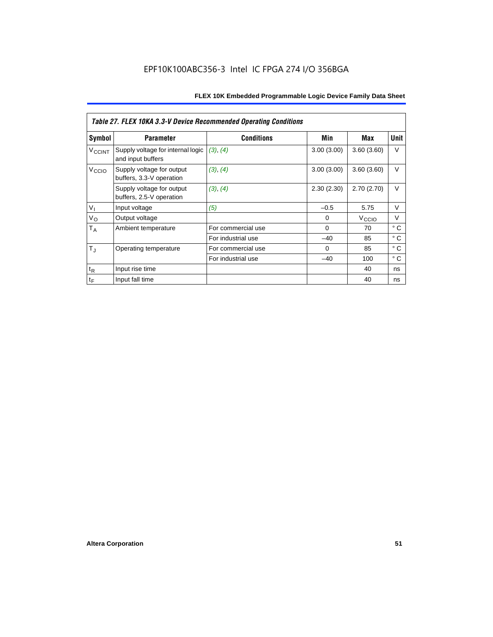| <b>Table 27. FLEX 10KA 3.3-V Device Recommended Operating Conditions</b> |                                                        |                    |             |                   |              |  |  |
|--------------------------------------------------------------------------|--------------------------------------------------------|--------------------|-------------|-------------------|--------------|--|--|
| Symbol                                                                   | <b>Parameter</b>                                       | <b>Conditions</b>  | Min         | Max               | Unit         |  |  |
| <b>V<sub>CCINT</sub></b>                                                 | Supply voltage for internal logic<br>and input buffers | (3), (4)           | 3.00(3.00)  | 3.60(3.60)        | V            |  |  |
| V <sub>CCIO</sub>                                                        | Supply voltage for output<br>buffers, 3.3-V operation  | (3), (4)           | 3.00(3.00)  | 3.60(3.60)        | $\vee$       |  |  |
|                                                                          | Supply voltage for output<br>buffers, 2.5-V operation  | (3), (4)           | 2.30(2.30)  | 2.70(2.70)        | $\vee$       |  |  |
| $V_{I}$                                                                  | Input voltage                                          | (5)                | $-0.5$      | 5.75              | V            |  |  |
| $V_{\rm O}$                                                              | Output voltage                                         |                    | 0           | V <sub>CCIO</sub> | V            |  |  |
| $T_A$                                                                    | Ambient temperature                                    | For commercial use | $\mathbf 0$ | 70                | ° C          |  |  |
|                                                                          |                                                        | For industrial use | $-40$       | 85                | $^{\circ}$ C |  |  |
| $T_{\rm J}$                                                              | Operating temperature                                  | For commercial use | $\Omega$    | 85                | ° C          |  |  |
|                                                                          |                                                        | For industrial use | $-40$       | 100               | $^{\circ}$ C |  |  |
| $t_{R}$                                                                  | Input rise time                                        |                    |             | 40                | ns           |  |  |
| $t_F$                                                                    | Input fall time                                        |                    |             | 40                | ns           |  |  |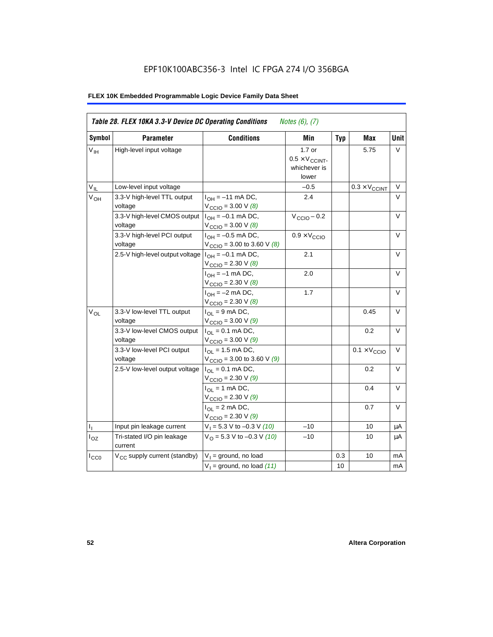# EPF10K100ABC356-3 Intel IC FPGA 274 I/O 356BGA

| Table 28. FLEX 10KA 3.3-V Device DC Operating Conditions<br><i>Notes</i> $(6)$ , $(7)$ |                                          |                                                                   |                                                             |            |                              |        |
|----------------------------------------------------------------------------------------|------------------------------------------|-------------------------------------------------------------------|-------------------------------------------------------------|------------|------------------------------|--------|
| Symbol                                                                                 | <b>Parameter</b>                         | <b>Conditions</b>                                                 | Min                                                         | <b>Typ</b> | Max                          | Unit   |
| $V_{\text{IH}}$                                                                        | High-level input voltage                 |                                                                   | $1.7$ or<br>$0.5 \times V_{CCINT}$<br>whichever is<br>lower |            | 5.75                         | V      |
| $V_{IL}$                                                                               | Low-level input voltage                  |                                                                   | $-0.5$                                                      |            | $0.3 \times V_{CCINT}$       | V      |
| V <sub>OH</sub>                                                                        | 3.3-V high-level TTL output<br>voltage   | $I_{OH} = -11$ mA DC,<br>$V_{\text{CCIO}} = 3.00 V (8)$           | 2.4                                                         |            |                              | V      |
|                                                                                        | 3.3-V high-level CMOS output<br>voltage  | $I_{OH} = -0.1$ mA DC,<br>$V_{\text{CCIO}} = 3.00 \text{ V } (8)$ | $V_{\text{CCIO}} - 0.2$                                     |            |                              | V      |
|                                                                                        | 3.3-V high-level PCI output<br>voltage   | $I_{OH} = -0.5$ mA DC,<br>$V_{\text{CCIO}} = 3.00$ to 3.60 V (8)  | $0.9 \times V_{\text{CCIO}}$                                |            |                              | V      |
|                                                                                        | 2.5-V high-level output voltage          | $I_{OH} = -0.1$ mA DC,<br>$V_{\text{CCIO}} = 2.30 \text{ V } (8)$ | 2.1                                                         |            |                              | V      |
|                                                                                        |                                          | $I_{OH} = -1$ mA DC,<br>$V_{\text{CCIO}} = 2.30 \text{ V } (8)$   | 2.0                                                         |            |                              | $\vee$ |
|                                                                                        |                                          | $I_{OH} = -2$ mA DC,<br>$V_{\text{CCIO}} = 2.30 V (8)$            | 1.7                                                         |            |                              | V      |
| V <sub>OL</sub>                                                                        | 3.3-V low-level TTL output<br>voltage    | $I_{OL}$ = 9 mA DC,<br>$V_{\text{CCIO}} = 3.00 V (9)$             |                                                             |            | 0.45                         | V      |
|                                                                                        | 3.3-V low-level CMOS output<br>voltage   | $I_{OL} = 0.1$ mA DC,<br>$V_{\text{CCIO}} = 3.00 \text{ V} (9)$   |                                                             |            | 0.2                          | $\vee$ |
|                                                                                        | 3.3-V low-level PCI output<br>voltage    | $I_{OL}$ = 1.5 mA DC,<br>$V_{\text{CCIO}} = 3.00$ to 3.60 V (9)   |                                                             |            | $0.1 \times V_{\text{CCIO}}$ | $\vee$ |
|                                                                                        | 2.5-V low-level output voltage           | $I_{OL} = 0.1$ mA DC,<br>$V_{\text{CCIO}} = 2.30 V (9)$           |                                                             |            | 0.2                          | V      |
|                                                                                        |                                          | $I_{OL}$ = 1 mA DC,<br>$V_{\text{CCIO}} = 2.30 V (9)$             |                                                             |            | 0.4                          | V      |
|                                                                                        |                                          | $I_{OL}$ = 2 mA DC,<br>$V_{\text{CCIO}} = 2.30 V(9)$              |                                                             |            | 0.7                          | V      |
| $\mathbf{I}_{\mathbf{I}}$                                                              | Input pin leakage current                | $V_1 = 5.3$ V to $-0.3$ V (10)                                    | $-10$                                                       |            | 10                           | μA     |
| $I_{OZ}$                                                                               | Tri-stated I/O pin leakage<br>current    | $VO = 5.3 V to -0.3 V (10)$                                       | $-10$                                                       |            | 10                           | μA     |
| $I_{CC0}$                                                                              | V <sub>CC</sub> supply current (standby) | $V_1$ = ground, no load                                           |                                                             | 0.3        | 10                           | mA     |
|                                                                                        |                                          | $V_1$ = ground, no load (11)                                      |                                                             | 10         |                              | mA     |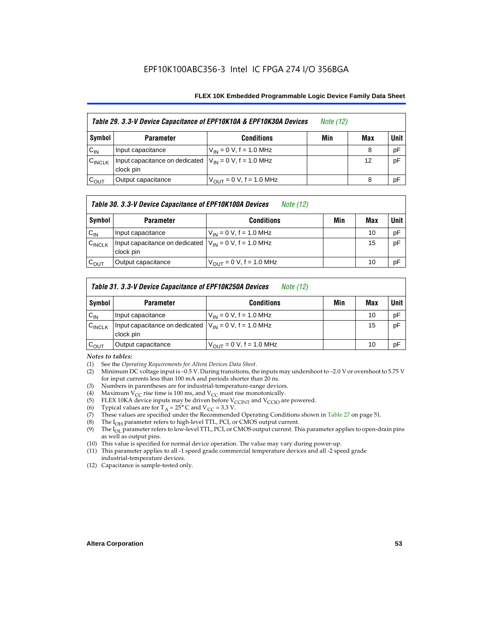| Table 29. 3.3-V Device Capacitance of EPF10K10A & EPF10K30A Devices |                                                                           |                               | <i>Note</i> (12) |     |        |
|---------------------------------------------------------------------|---------------------------------------------------------------------------|-------------------------------|------------------|-----|--------|
| Symbol                                                              | <b>Parameter</b>                                                          | <b>Conditions</b>             | Min              | Max | Unit I |
| $C_{IN}$                                                            | Input capacitance                                                         | $V_{IN} = 0 V$ , f = 1.0 MHz  |                  | 8   | pF     |
| $C_{\text{INCLK}}$                                                  | Input capacitance on dedicated $ V_{IN} = 0 V$ , f = 1.0 MHz<br>clock pin |                               |                  | 12  | pF     |
| $C_{OUT}$                                                           | Output capacitance                                                        | $V_{OUT} = 0 V$ , f = 1.0 MHz |                  | 8   | pF     |

#### *Table 30. 3.3-V Device Capacitance of EPF10K100A Devices Note (12)*

| Symbol             | <b>Parameter</b>                                                        | <b>Conditions</b>                   | Min | Max | <b>Unit</b> |
|--------------------|-------------------------------------------------------------------------|-------------------------------------|-----|-----|-------------|
| $C_{IN}$           | Input capacitance                                                       | $V_{IN} = 0 V$ , f = 1.0 MHz        |     | 10  | pF          |
| $C_{\text{INCLK}}$ | Input capacitance on dedicated $V_{1N} = 0$ V, f = 1.0 MHz<br>clock pin |                                     |     | 15  | pF          |
| $\mathrm{c_{out}}$ | Output capacitance                                                      | $V_{\text{OUT}} = 0$ V, f = 1.0 MHz |     | 10  | pF          |

### *Table 31. 3.3-V Device Capacitance of EPF10K250A Devices Note (12)*

| Symbol             | <b>Parameter</b>                                                          | <b>Conditions</b>                                           | Min | Max | <b>Unit</b> |
|--------------------|---------------------------------------------------------------------------|-------------------------------------------------------------|-----|-----|-------------|
| $C_{IN}$           | Input capacitance                                                         | $V_{IN} = 0 V$ , f = 1.0 MHz                                |     | 10  | pF          |
| $C_{\text{INCLK}}$ | Input capacitance on dedicated $ V_{IN} = 0 V$ , f = 1.0 MHz<br>clock pin |                                                             |     | 15  | pF          |
| $C_{\text{OUT}}$   | Output capacitance                                                        | $V_{\text{OUT}} = 0 \text{ V}, \text{ f} = 1.0 \text{ MHz}$ |     | 10  | pF          |

#### *Notes to tables:*

- (1) See the *Operating Requirements for Altera Devices Data Sheet*.
- (2) Minimum DC voltage input is –0.5 V. During transitions, the inputs may undershoot to –2.0 V or overshoot to 5.75 V for input currents less than 100 mA and periods shorter than 20 ns.
- (3) Numbers in parentheses are for industrial-temperature-range devices.
- (4) Maximum V<sub>CC</sub> rise time is 100 ms, and V<sub>CC</sub> must rise monotonically.<br>(5) ELEX 10KA device inputs may be driven before V<sub>CCINT</sub> and V<sub>CCIO</sub> ar
- (5) FLEX 10KA device inputs may be driven before  $V_{CCTN}$  and  $V_{CCTO}$  are powered.<br>(6) Typical values are for T<sub>A</sub> = 25° C and  $V_{CC}$  = 3.3 V.
- (6) Typical values are for  $T_A = 25^\circ$  C and  $V_{CC} = 3.3$  V.<br>(7) These values are specified under the Recommende
- These values are specified under the Recommended Operating Conditions shown in Table 27 on page 51.
- (8) The  $I_{OH}$  parameter refers to high-level TTL, PCI, or CMOS output current. The  $I_{OH}$  parameter refers to low-level TTL, PCI, or CMOS output current. The
- The I<sub>OL</sub> parameter refers to low-level TTL, PCI, or CMOS output current. This parameter applies to open-drain pins as well as output pins.
- (10) This value is specified for normal device operation. The value may vary during power-up.
- (11) This parameter applies to all -1 speed grade commercial temperature devices and all -2 speed grade industrial-temperature devices.
- (12) Capacitance is sample-tested only.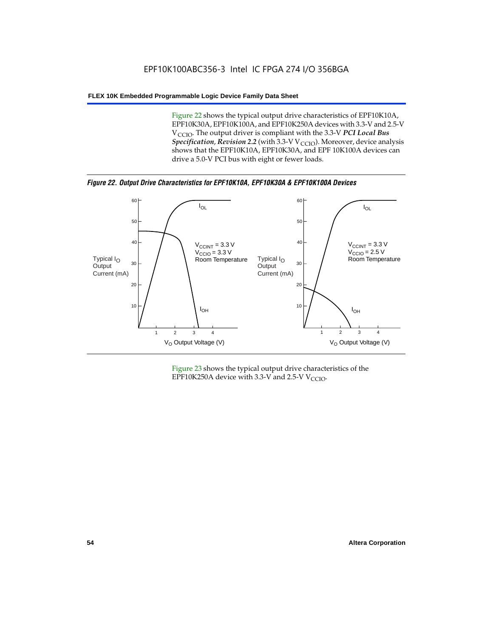Figure 22 shows the typical output drive characteristics of EPF10K10A, EPF10K30A, EPF10K100A, and EPF10K250A devices with 3.3-V and 2.5-V V<sub>CCIO</sub>. The output driver is compliant with the 3.3-V PCI Local Bus *Specification, Revision 2.2* (with 3.3-V V<sub>CCIO</sub>). Moreover, device analysis shows that the EPF10K10A, EPF10K30A, and EPF 10K100A devices can drive a 5.0-V PCI bus with eight or fewer loads.

*Figure 22. Output Drive Characteristics for EPF10K10A, EPF10K30A & EPF10K100A Devices*



Figure 23 shows the typical output drive characteristics of the EPF10K250A device with 3.3-V and 2.5-V  $V_{\text{CCIO}}$ .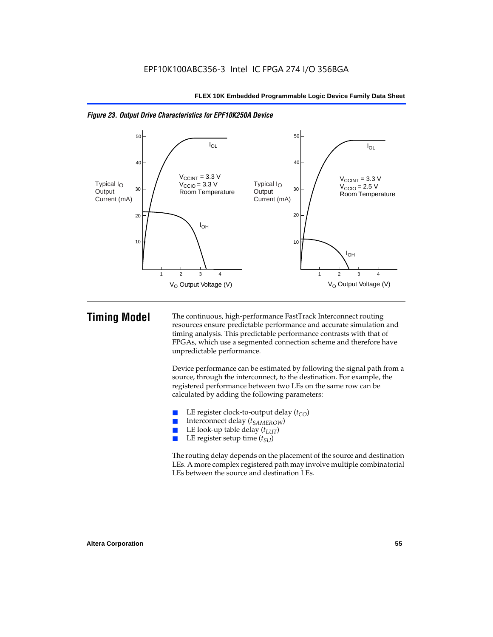

*Figure 23. Output Drive Characteristics for EPF10K250A Device*

**Timing Model** The continuous, high-performance FastTrack Interconnect routing resources ensure predictable performance and accurate simulation and timing analysis. This predictable performance contrasts with that of FPGAs, which use a segmented connection scheme and therefore have unpredictable performance.

> Device performance can be estimated by following the signal path from a source, through the interconnect, to the destination. For example, the registered performance between two LEs on the same row can be calculated by adding the following parameters:

- **E** LE register clock-to-output delay  $(t_{CO})$ <br> **E** Interconnect delay  $(t_{CMBOW})$
- Interconnect delay (*t<sub>SAMEROW</sub>*)
- LE look-up table delay  $(t_{LUT})$
- LE register setup time ( $t_{SI}$ )

The routing delay depends on the placement of the source and destination LEs. A more complex registered path may involve multiple combinatorial LEs between the source and destination LEs.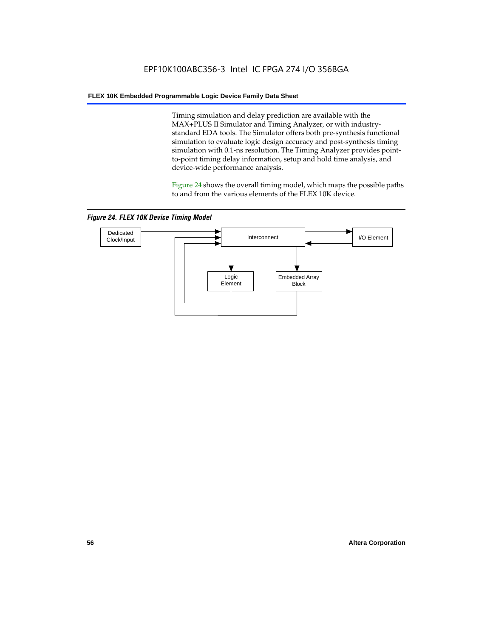Timing simulation and delay prediction are available with the MAX+PLUS II Simulator and Timing Analyzer, or with industrystandard EDA tools. The Simulator offers both pre-synthesis functional simulation to evaluate logic design accuracy and post-synthesis timing simulation with 0.1-ns resolution. The Timing Analyzer provides pointto-point timing delay information, setup and hold time analysis, and device-wide performance analysis.

Figure 24 shows the overall timing model, which maps the possible paths to and from the various elements of the FLEX 10K device.

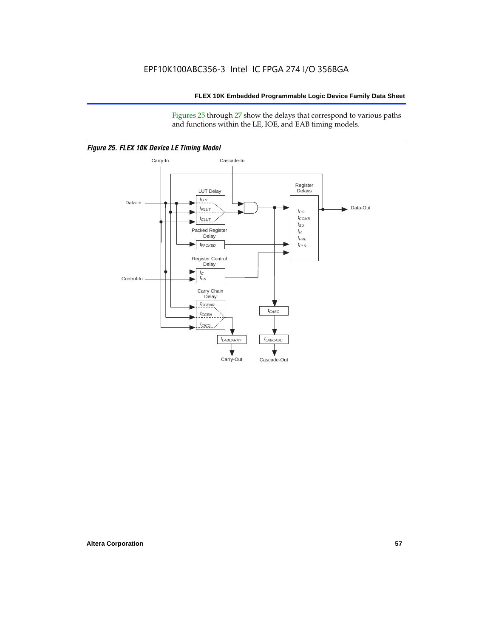Figures 25 through 27 show the delays that correspond to various paths and functions within the LE, IOE, and EAB timing models.



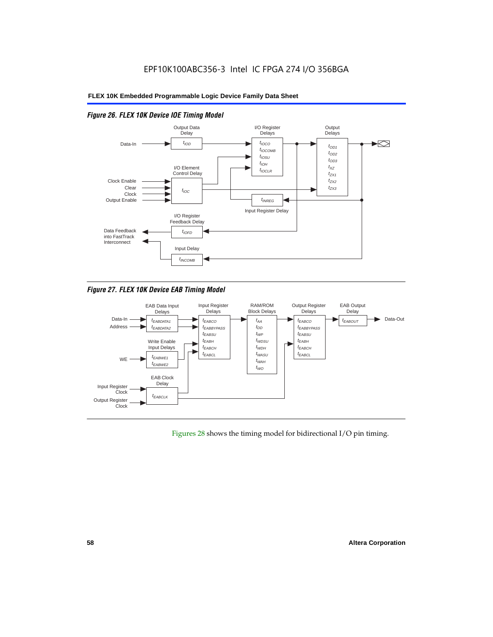

# *Figure 26. FLEX 10K Device IOE Timing Model*

*Figure 27. FLEX 10K Device EAB Timing Model*



Figures 28 shows the timing model for bidirectional I/O pin timing.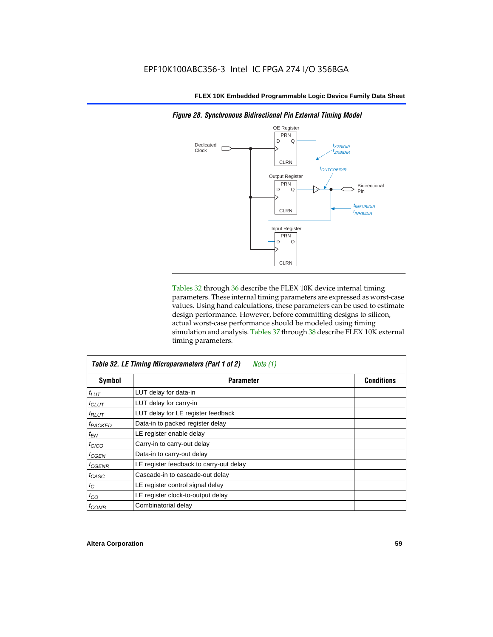

Tables 32 through 36 describe the FLEX 10K device internal timing parameters. These internal timing parameters are expressed as worst-case values. Using hand calculations, these parameters can be used to estimate design performance. However, before committing designs to silicon, actual worst-case performance should be modeled using timing simulation and analysis. Tables 37 through 38 describe FLEX 10K external timing parameters.

| Table 32. LE Timing Microparameters (Part 1 of 2)<br>Note (1) |                                         |                   |  |  |
|---------------------------------------------------------------|-----------------------------------------|-------------------|--|--|
| Symbol                                                        | <b>Parameter</b>                        | <b>Conditions</b> |  |  |
| $t_{LUT}$                                                     | LUT delay for data-in                   |                   |  |  |
| $t_{CLUT}$                                                    | LUT delay for carry-in                  |                   |  |  |
| $t_{RLUT}$                                                    | LUT delay for LE register feedback      |                   |  |  |
| <sup>t</sup> PACKED                                           | Data-in to packed register delay        |                   |  |  |
| $t_{EN}$                                                      | LE register enable delay                |                   |  |  |
| $t_{CICO}$                                                    | Carry-in to carry-out delay             |                   |  |  |
| <sup>t</sup> CGEN                                             | Data-in to carry-out delay              |                   |  |  |
| $t_{CGENR}$                                                   | LE register feedback to carry-out delay |                   |  |  |
| t <sub>CASC</sub>                                             | Cascade-in to cascade-out delay         |                   |  |  |
| $t_C$                                                         | LE register control signal delay        |                   |  |  |
| $t_{CO}$                                                      | LE register clock-to-output delay       |                   |  |  |
| $t_{COMB}$                                                    | Combinatorial delay                     |                   |  |  |

*Figure 28. Synchronous Bidirectional Pin External Timing Model*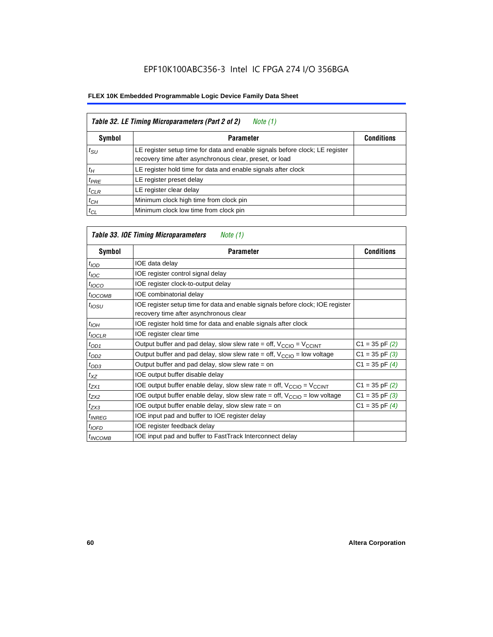| Table 32. LE Timing Microparameters (Part 2 of 2)<br>Note (1) |                                                                                                                                         |                   |  |  |  |
|---------------------------------------------------------------|-----------------------------------------------------------------------------------------------------------------------------------------|-------------------|--|--|--|
| <b>Symbol</b>                                                 | <b>Parameter</b>                                                                                                                        | <b>Conditions</b> |  |  |  |
| $t_{\rm SU}$                                                  | LE register setup time for data and enable signals before clock; LE register<br>recovery time after asynchronous clear, preset, or load |                   |  |  |  |
| $t_H$                                                         | LE register hold time for data and enable signals after clock                                                                           |                   |  |  |  |
| $t_{PRE}$                                                     | LE register preset delay                                                                                                                |                   |  |  |  |
| $t_{CLR}$                                                     | LE register clear delay                                                                                                                 |                   |  |  |  |
| $t_{CH}$                                                      | Minimum clock high time from clock pin                                                                                                  |                   |  |  |  |
| $t_{CL}$                                                      | Minimum clock low time from clock pin                                                                                                   |                   |  |  |  |

# *Table 33. IOE Timing Microparameters Note (1)*

| Symbol              | <b>Parameter</b>                                                                                                         | <b>Conditions</b>  |
|---------------------|--------------------------------------------------------------------------------------------------------------------------|--------------------|
| t <sub>IOD</sub>    | IOE data delay                                                                                                           |                    |
| $t_{\text{IOC}}$    | IOE register control signal delay                                                                                        |                    |
| $t_{IOCO}$          | IOE register clock-to-output delay                                                                                       |                    |
| $t_{IOCOMB}$        | IOE combinatorial delay                                                                                                  |                    |
| $t_{IOSU}$          | IOE register setup time for data and enable signals before clock; IOE register<br>recovery time after asynchronous clear |                    |
| $t_{IOH}$           | IOE register hold time for data and enable signals after clock                                                           |                    |
| $t_{IOCLR}$         | IOE register clear time                                                                                                  |                    |
| $t_{OD1}$           | Output buffer and pad delay, slow slew rate = off, $V_{\text{CCIO}} = V_{\text{CCINT}}$                                  | $C1 = 35$ pF $(2)$ |
| $t_{OD2}$           | Output buffer and pad delay, slow slew rate = off, $V_{\text{CCIO}}$ = low voltage                                       | $C1 = 35$ pF $(3)$ |
| $t_{OD3}$           | Output buffer and pad delay, slow slew rate $=$ on                                                                       | $C1 = 35$ pF $(4)$ |
| $t_{XZ}$            | IOE output buffer disable delay                                                                                          |                    |
| $t_{ZX1}$           | IOE output buffer enable delay, slow slew rate = off, $V_{\text{CCIO}} = V_{\text{CCINT}}$                               | $C1 = 35$ pF $(2)$ |
| $t_{ZX2}$           | IOE output buffer enable delay, slow slew rate = off, $V_{\text{CCIO}}$ = low voltage                                    | $C1 = 35$ pF $(3)$ |
| $t_{ZX3}$           | IOE output buffer enable delay, slow slew rate $=$ on                                                                    | $C1 = 35$ pF $(4)$ |
| <sup>t</sup> INREG  | IOE input pad and buffer to IOE register delay                                                                           |                    |
| $t_{IOFD}$          | IOE register feedback delay                                                                                              |                    |
| <sup>t</sup> INCOMB | IOE input pad and buffer to FastTrack Interconnect delay                                                                 |                    |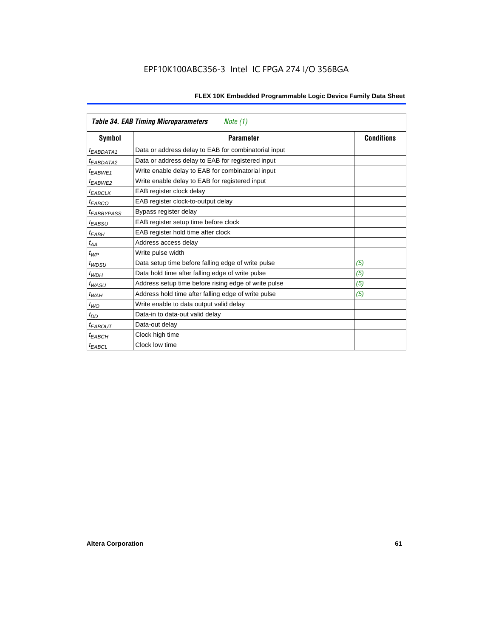|                        | <b>Table 34. EAB Timing Microparameters</b><br>Note (1) |                   |
|------------------------|---------------------------------------------------------|-------------------|
| Symbol                 | <b>Parameter</b>                                        | <b>Conditions</b> |
| <i>EABDATA1</i>        | Data or address delay to EAB for combinatorial input    |                   |
| <sup>t</sup> EABDATA2  | Data or address delay to EAB for registered input       |                   |
| t <sub>EABWE1</sub>    | Write enable delay to EAB for combinatorial input       |                   |
| t <sub>FARWF2</sub>    | Write enable delay to EAB for registered input          |                   |
| <b><i>EABCLK</i></b>   | EAB register clock delay                                |                   |
| $t_{EABCO}$            | EAB register clock-to-output delay                      |                   |
| <sup>t</sup> EABBYPASS | Bypass register delay                                   |                   |
| $t_{EABSU}$            | EAB register setup time before clock                    |                   |
| $t_{EABH}$             | EAB register hold time after clock                      |                   |
| $t_{AA}$               | Address access delay                                    |                   |
| $t_{WP}$               | Write pulse width                                       |                   |
| $t_{WDSU}$             | Data setup time before falling edge of write pulse      | (5)               |
| $t_{WDH}$              | Data hold time after falling edge of write pulse        | (5)               |
| $t_{WASU}$             | Address setup time before rising edge of write pulse    | (5)               |
| $t_{WAH}$              | Address hold time after falling edge of write pulse     | (5)               |
| $t_{WO}$               | Write enable to data output valid delay                 |                   |
| $t_{DD}$               | Data-in to data-out valid delay                         |                   |
| <sup>t</sup> EABOUT    | Data-out delay                                          |                   |
| t <sub>EABCH</sub>     | Clock high time                                         |                   |
| <sup>t</sup> EABCL     | Clock low time                                          |                   |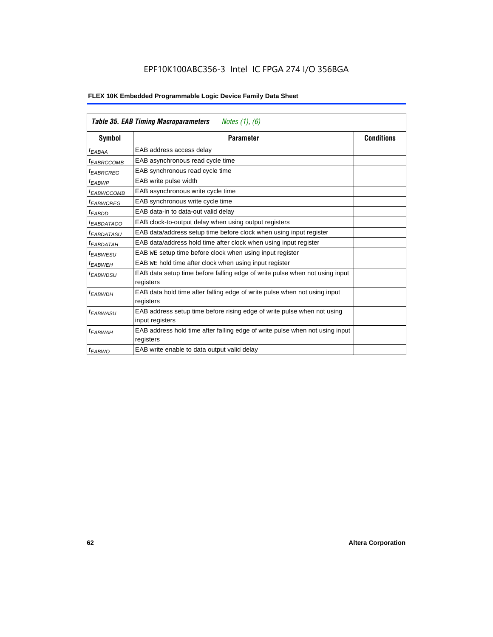|  | FLEX 10K Embedded Programmable Logic Device Family Data Sheet |
|--|---------------------------------------------------------------|
|--|---------------------------------------------------------------|

|                        | <b>Table 35. EAB Timing Macroparameters</b><br>Notes $(1)$ , $(6)$                        |                   |
|------------------------|-------------------------------------------------------------------------------------------|-------------------|
| Symbol                 | <b>Parameter</b>                                                                          | <b>Conditions</b> |
| t <sub>EABAA</sub>     | EAB address access delay                                                                  |                   |
| <sup>t</sup> EABRCCOMB | EAB asynchronous read cycle time                                                          |                   |
| <sup>t</sup> EABRCREG  | EAB synchronous read cycle time                                                           |                   |
| <sup>t</sup> EABWP     | EAB write pulse width                                                                     |                   |
| <sup>t</sup> EABWCCOMB | EAB asynchronous write cycle time                                                         |                   |
| <sup>t</sup> EABWCREG  | EAB synchronous write cycle time                                                          |                   |
| <sup>t</sup> EABDD     | EAB data-in to data-out valid delay                                                       |                   |
| <sup>t</sup> EABDATACO | EAB clock-to-output delay when using output registers                                     |                   |
| <sup>t</sup> EABDATASU | EAB data/address setup time before clock when using input register                        |                   |
| <sup>t</sup> EABDATAH  | EAB data/address hold time after clock when using input register                          |                   |
| <sup>t</sup> EABWESU   | EAB WE setup time before clock when using input register                                  |                   |
| <sup>t</sup> EABWEH    | EAB WE hold time after clock when using input register                                    |                   |
| <sup>t</sup> EABWDSU   | EAB data setup time before falling edge of write pulse when not using input<br>registers  |                   |
| $t_{EABWDH}$           | EAB data hold time after falling edge of write pulse when not using input                 |                   |
|                        | registers                                                                                 |                   |
| <sup>t</sup> EABWASU   | EAB address setup time before rising edge of write pulse when not using                   |                   |
|                        | input registers                                                                           |                   |
| <sup>t</sup> EABWAH    | EAB address hold time after falling edge of write pulse when not using input<br>registers |                   |
| $t_{EABWO}$            | EAB write enable to data output valid delay                                               |                   |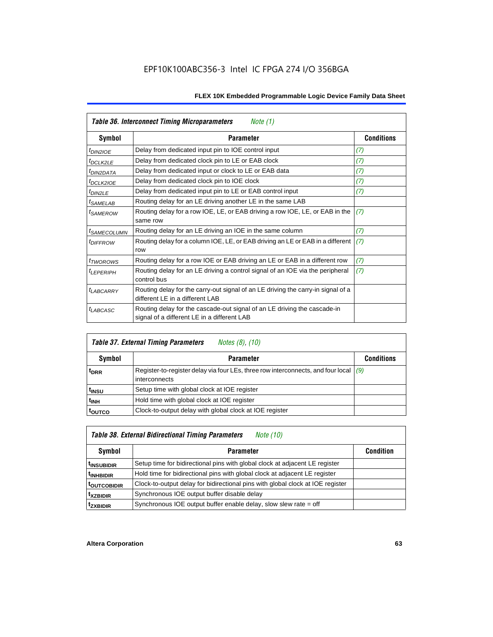|                            | Table 36. Interconnect Timing Microparameters<br>Note $(1)$                                                             |                   |
|----------------------------|-------------------------------------------------------------------------------------------------------------------------|-------------------|
| Symbol                     | <b>Parameter</b>                                                                                                        | <b>Conditions</b> |
| <sup>t</sup> DIN2IOE       | Delay from dedicated input pin to IOE control input                                                                     | (7)               |
| <sup>t</sup> DCLK2LE       | Delay from dedicated clock pin to LE or EAB clock                                                                       | (7)               |
| <sup>t</sup> DIN2DATA      | Delay from dedicated input or clock to LE or EAB data                                                                   | (7)               |
| <sup>t</sup> DCLK2IOE      | Delay from dedicated clock pin to IOE clock                                                                             | (7)               |
| $t_{DIN2LE}$               | Delay from dedicated input pin to LE or EAB control input                                                               | (7)               |
| <sup>t</sup> SAMELAB       | Routing delay for an LE driving another LE in the same LAB                                                              |                   |
| <sup>t</sup> SAMEROW       | Routing delay for a row IOE, LE, or EAB driving a row IOE, LE, or EAB in the<br>same row                                | (7)               |
| <sup>t</sup> SAMECOLUMN    | Routing delay for an LE driving an IOE in the same column                                                               | (7)               |
| <i>t<sub>DIFFROW</sub></i> | Routing delay for a column IOE, LE, or EAB driving an LE or EAB in a different<br>row                                   | (7)               |
| <i>t</i> TWOROWS           | Routing delay for a row IOE or EAB driving an LE or EAB in a different row                                              | (7)               |
| <sup>t</sup> LEPERIPH      | Routing delay for an LE driving a control signal of an IOE via the peripheral<br>control bus                            | (7)               |
| <b>LABCARRY</b>            | Routing delay for the carry-out signal of an LE driving the carry-in signal of a<br>different LE in a different LAB     |                   |
| $t_{LABCASC}$              | Routing delay for the cascade-out signal of an LE driving the cascade-in<br>signal of a different LE in a different LAB |                   |

|                    | <b>Table 37. External Timing Parameters</b><br>Notes (8), (10)                                            |                   |
|--------------------|-----------------------------------------------------------------------------------------------------------|-------------------|
| Symbol             | <b>Parameter</b>                                                                                          | <b>Conditions</b> |
| <sup>t</sup> DRR   | Register-to-register delay via four LEs, three row interconnects, and four local $ $ (9)<br>interconnects |                   |
| t <sub>insu</sub>  | Setup time with global clock at IOE register                                                              |                   |
| t <sub>INH</sub>   | Hold time with global clock at IOE register                                                               |                   |
| <sup>t</sup> outco | Clock-to-output delay with global clock at IOE register                                                   |                   |

# *Table 38. External Bidirectional Timing Parameters Note (10)*

| Symbol                  | <b>Parameter</b>                                                               | <b>Condition</b> |
|-------------------------|--------------------------------------------------------------------------------|------------------|
| <sup>t</sup> INSUBIDIR  | Setup time for bidirectional pins with global clock at adjacent LE register    |                  |
| <sup>t</sup> INHBIDIR   | Hold time for bidirectional pins with global clock at adjacent LE register     |                  |
| <sup>t</sup> outcobidir | Clock-to-output delay for bidirectional pins with global clock at IOE register |                  |
| <sup>t</sup> xzbidir    | Synchronous IOE output buffer disable delay                                    |                  |
| <sup>t</sup> zxbidir    | Synchronous IOE output buffer enable delay, slow slew rate = off               |                  |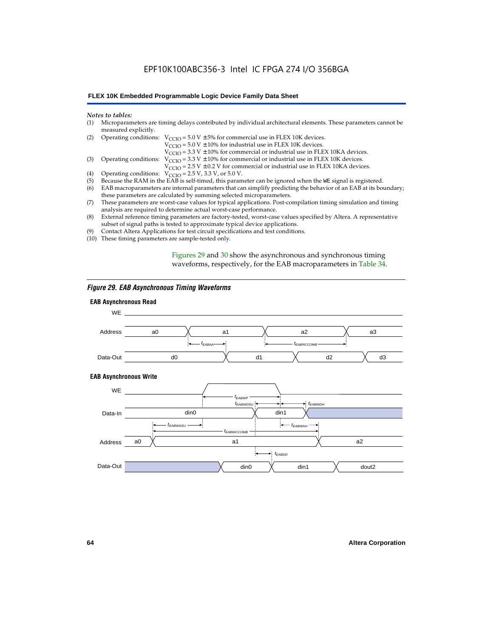# EPF10K100ABC356-3 Intel IC FPGA 274 I/O 356BGA

#### **FLEX 10K Embedded Programmable Logic Device Family Data Sheet**

#### *Notes to tables:*

| (1) Microparameters are timing delays contributed by individual architectural elements. These parameters cannot be |
|--------------------------------------------------------------------------------------------------------------------|
| measured explicitly.                                                                                               |

| (2) Operating conditions: $V_{CCIO} = 5.0 V \pm 5%$ for commercial use in FLEX 10K devices. |  |  |  |
|---------------------------------------------------------------------------------------------|--|--|--|
|                                                                                             |  |  |  |

 $V<sub>CCIO</sub>$  = 5.0 V  $\pm$  10% for industrial use in FLEX 10K devices.

 $V_{\text{CCIO}} = 3.3 \text{ V} \pm 10\%$  for commercial or industrial use in FLEX 10KA devices.

(3) Operating conditions:  $V_{\text{CCIO}} = 3.3 V \pm 10\%$  for commercial or industrial use in FLEX 10K devices.

 $V_{\text{CCIO}} = 2.5 \text{ V} \pm 0.2 \text{ V}$  for commercial or industrial use in FLEX 10KA devices.

- (4) Operating conditions:  $V_{\text{CCIO}} = 2.5 V$ , 3.3 V, or 5.0 V.<br>(5) Because the RAM in the EAB is self-timed, this param
- (5) Because the RAM in the EAB is self-timed, this parameter can be ignored when the WE signal is registered.<br>(6) EAB macroparameters are internal parameters that can simplify predicting the behavior of an EAB at its bou
- EAB macroparameters are internal parameters that can simplify predicting the behavior of an EAB at its boundary; these parameters are calculated by summing selected microparameters.
- (7) These parameters are worst-case values for typical applications. Post-compilation timing simulation and timing analysis are required to determine actual worst-case performance.
- (8) External reference timing parameters are factory-tested, worst-case values specified by Altera. A representative subset of signal paths is tested to approximate typical device applications.
- (9) Contact Altera Applications for test circuit specifications and test conditions.
- (10) These timing parameters are sample-tested only.

Figures 29 and 30 show the asynchronous and synchronous timing waveforms, respectively, for the EAB macroparameters in Table 34.

#### *Figure 29. EAB Asynchronous Timing Waveforms*

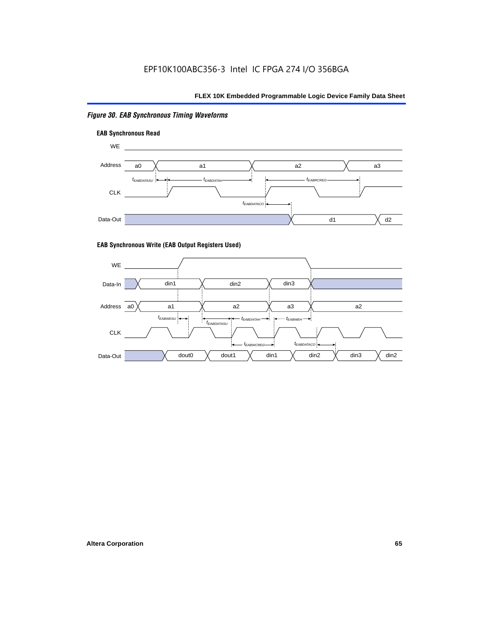# *Figure 30. EAB Synchronous Timing Waveforms*





#### **EAB Synchronous Write (EAB Output Registers Used)**

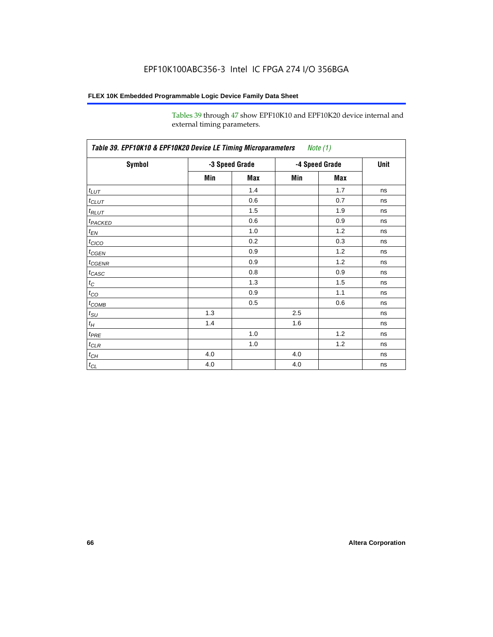Tables 39 through 47 show EPF10K10 and EPF10K20 device internal and external timing parameters.

| Table 39. EPF10K10 & EPF10K20 Device LE Timing Microparameters Note (1) |                |     |                |     |             |
|-------------------------------------------------------------------------|----------------|-----|----------------|-----|-------------|
| Symbol                                                                  | -3 Speed Grade |     | -4 Speed Grade |     | <b>Unit</b> |
|                                                                         | Min            | Max | Min            | Max |             |
| $t_{LUT}$                                                               |                | 1.4 |                | 1.7 | ns          |
| $t_{CLUT}$                                                              |                | 0.6 |                | 0.7 | ns          |
| $t_{RLUT}$                                                              |                | 1.5 |                | 1.9 | ns          |
| t <sub>PACKED</sub>                                                     |                | 0.6 |                | 0.9 | ns          |
| $t_{EN}$                                                                |                | 1.0 |                | 1.2 | ns          |
| $t_{CICO}$                                                              |                | 0.2 |                | 0.3 | ns          |
| $t_{\text{GEN}}$                                                        |                | 0.9 |                | 1.2 | ns          |
| $t_{\text{GENR}}$                                                       |                | 0.9 |                | 1.2 | ns          |
| $t_{CASC}$                                                              |                | 0.8 |                | 0.9 | ns          |
| $t_C$                                                                   |                | 1.3 |                | 1.5 | ns          |
| $t_{CO}$                                                                |                | 0.9 |                | 1.1 | ns          |
| $t_{\text{COMB}}$                                                       |                | 0.5 |                | 0.6 | ns          |
| $t_{\text{SU}}$                                                         | 1.3            |     | 2.5            |     | ns          |
| $t_H$                                                                   | 1.4            |     | 1.6            |     | ns          |
| $t_{PRE}$                                                               |                | 1.0 |                | 1.2 | ns          |
| $t_{\text{CLR}}$                                                        |                | 1.0 |                | 1.2 | ns          |
| $t_{CH}$                                                                | 4.0            |     | 4.0            |     | ns          |
| $t_{CL}$                                                                | 4.0            |     | 4.0            |     | ns          |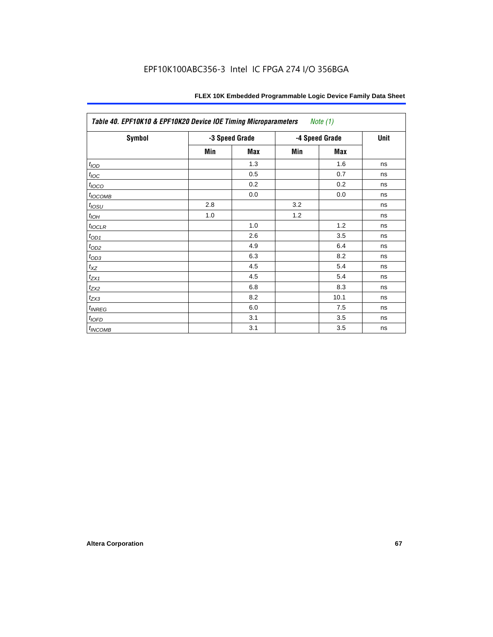| <b>Symbol</b>       | -3 Speed Grade |     | -4 Speed Grade |      | Unit |
|---------------------|----------------|-----|----------------|------|------|
|                     | Min            | Max | Min            | Max  |      |
| t <sub>IOD</sub>    |                | 1.3 |                | 1.6  | ns   |
| $t_{\text{IOC}}$    |                | 0.5 |                | 0.7  | ns   |
| $t_{IOCO}$          |                | 0.2 |                | 0.2  | ns   |
| t <sub>IOCOMB</sub> |                | 0.0 |                | 0.0  | ns   |
| $t_{IOSU}$          | 2.8            |     | 3.2            |      | ns   |
| $t_{IOH}$           | 1.0            |     | 1.2            |      | ns   |
| $t_{IOCLR}$         |                | 1.0 |                | 1.2  | ns   |
| $t_{OD1}$           |                | 2.6 |                | 3.5  | ns   |
| $t_{OD2}$           |                | 4.9 |                | 6.4  | ns   |
| $t_{OD3}$           |                | 6.3 |                | 8.2  | ns   |
| $t_{XZ}$            |                | 4.5 |                | 5.4  | ns   |
| $t_{ZX1}$           |                | 4.5 |                | 5.4  | ns   |
| $t_{ZX2}$           |                | 6.8 |                | 8.3  | ns   |
| $t_{ZX3}$           |                | 8.2 |                | 10.1 | ns   |
| t <sub>INREG</sub>  |                | 6.0 |                | 7.5  | ns   |
| $t_{IOFD}$          |                | 3.1 |                | 3.5  | ns   |
| t <sub>INCOMB</sub> |                | 3.1 |                | 3.5  | ns   |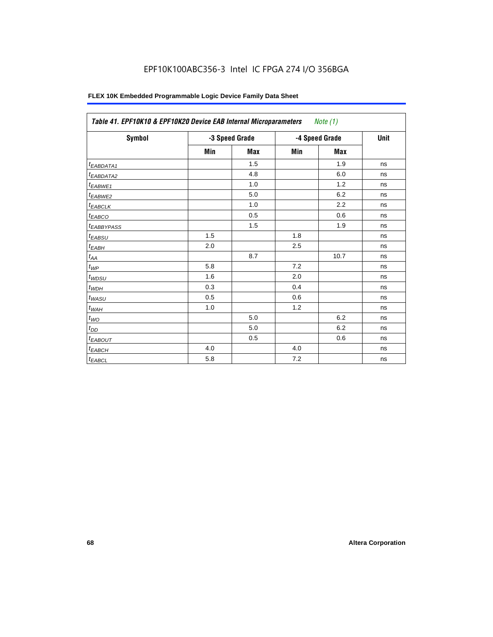# EPF10K100ABC356-3 Intel IC FPGA 274 I/O 356BGA

| Symbol                  | -3 Speed Grade |            | -4 Speed Grade |            | Unit |
|-------------------------|----------------|------------|----------------|------------|------|
|                         | Min            | <b>Max</b> | Min            | <b>Max</b> |      |
| $t_{EABDATA1}$          |                | 1.5        |                | 1.9        | ns   |
| $t_{EABDATA2}$          |                | 4.8        |                | 6.0        | ns   |
| t <sub>EABWE1</sub>     |                | 1.0        |                | 1.2        | ns   |
| t <sub>EABWE2</sub>     |                | 5.0        |                | 6.2        | ns   |
| $t_{EABCLK}$            |                | 1.0        |                | 2.2        | ns   |
| $t_{EABCO}$             |                | 0.5        |                | 0.6        | ns   |
| <b><i>EABBYPASS</i></b> |                | 1.5        |                | 1.9        | ns   |
| $t_{EABSU}$             | 1.5            |            | 1.8            |            | ns   |
| $t_{EABH}$              | 2.0            |            | 2.5            |            | ns   |
| $t_{AA}$                |                | 8.7        |                | 10.7       | ns   |
| $t_{\mathit{WP}}$       | 5.8            |            | 7.2            |            | ns   |
| $t_{W\!D\!S\!U}$        | 1.6            |            | 2.0            |            | ns   |
| $t_{WDH}$               | 0.3            |            | 0.4            |            | ns   |
| $t_{WASU}$              | 0.5            |            | 0.6            |            | ns   |
| $t_{W\!A H}$            | 1.0            |            | 1.2            |            | ns   |
| $t_{WO}$                |                | 5.0        |                | 6.2        | ns   |
| $t_{DD}$                |                | 5.0        |                | 6.2        | ns   |
| $t_{EABOUT}$            |                | 0.5        |                | 0.6        | ns   |
| $t_{EABCH}$             | 4.0            |            | 4.0            |            | ns   |
| $t_{EABCL}$             | 5.8            |            | 7.2            |            | ns   |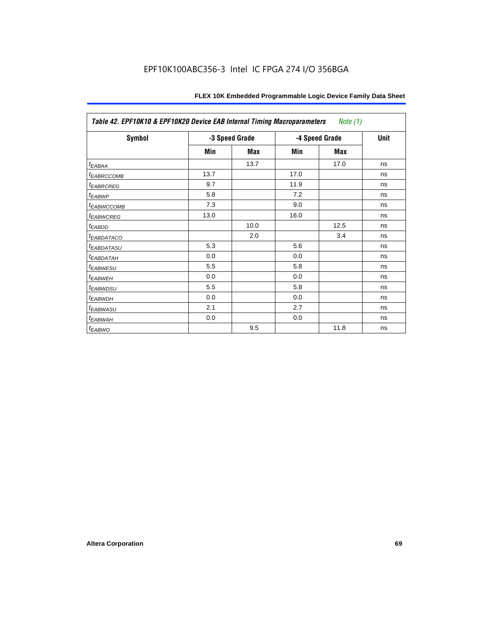| Table 42. EPF10K10 & EPF10K20 Device EAB Internal Timing Macroparameters<br>Note (1) |                |      |                |      |             |
|--------------------------------------------------------------------------------------|----------------|------|----------------|------|-------------|
| Symbol                                                                               | -3 Speed Grade |      | -4 Speed Grade |      | <b>Unit</b> |
|                                                                                      | Min            | Max  | Min            | Max  |             |
| t <sub>EABAA</sub>                                                                   |                | 13.7 |                | 17.0 | ns          |
| <sup>t</sup> EABRCCOMB                                                               | 13.7           |      | 17.0           |      | ns          |
| <b><i>EABRCREG</i></b>                                                               | 9.7            |      | 11.9           |      | ns          |
| t <sub>EABWP</sub>                                                                   | 5.8            |      | 7.2            |      | ns          |
| <sup>t</sup> EABWCCOMB                                                               | 7.3            |      | 9.0            |      | ns          |
| <sup>t</sup> EABWCREG                                                                | 13.0           |      | 16.0           |      | ns          |
| t <sub>EABDD</sub>                                                                   |                | 10.0 |                | 12.5 | ns          |
| <sup>t</sup> EABDATACO                                                               |                | 2.0  |                | 3.4  | ns          |
| <sup>t</sup> EABDATASU                                                               | 5.3            |      | 5.6            |      | ns          |
| <sup>t</sup> EABDATAH                                                                | 0.0            |      | 0.0            |      | ns          |
| <sup>t</sup> EABWESU                                                                 | 5.5            |      | 5.8            |      | ns          |
| <sup>t</sup> EABWEH                                                                  | 0.0            |      | 0.0            |      | ns          |
| <sup>t</sup> EABWDSU                                                                 | 5.5            |      | 5.8            |      | ns          |
| <sup>t</sup> EABWDH                                                                  | 0.0            |      | 0.0            |      | ns          |
| t <sub>EABWASU</sub>                                                                 | 2.1            |      | 2.7            |      | ns          |
| <sup>t</sup> EABWAH                                                                  | 0.0            |      | 0.0            |      | ns          |
| <sup>t</sup> EABWO                                                                   |                | 9.5  |                | 11.8 | ns          |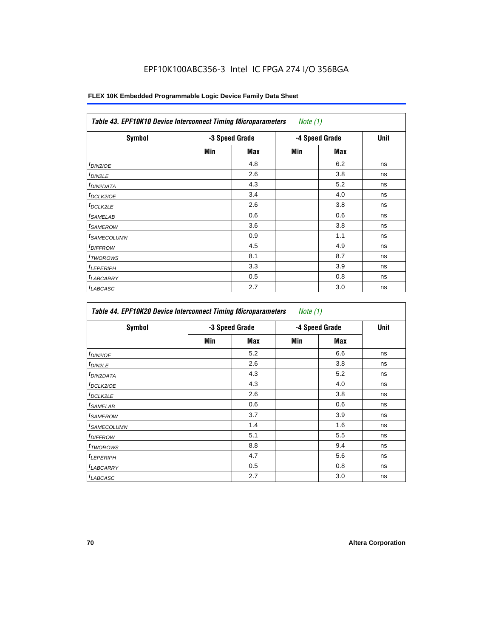| <b>Table 43. EPF10K10 Device Interconnect Timing Microparameters</b><br><i>Note</i> $(1)$ |                |     |                |     |      |
|-------------------------------------------------------------------------------------------|----------------|-----|----------------|-----|------|
| Symbol                                                                                    | -3 Speed Grade |     | -4 Speed Grade |     | Unit |
|                                                                                           | Min            | Max | Min            | Max |      |
| <sup>t</sup> DIN2IOE                                                                      |                | 4.8 |                | 6.2 | ns   |
| $t_{DIN2LE}$                                                                              |                | 2.6 |                | 3.8 | ns   |
| <sup>t</sup> DIN2DATA                                                                     |                | 4.3 |                | 5.2 | ns   |
| <sup>t</sup> DCLK2IOE                                                                     |                | 3.4 |                | 4.0 | ns   |
| <sup>t</sup> DCLK2LE                                                                      |                | 2.6 |                | 3.8 | ns   |
| <sup>t</sup> SAMELAB                                                                      |                | 0.6 |                | 0.6 | ns   |
| <sup>t</sup> SAMEROW                                                                      |                | 3.6 |                | 3.8 | ns   |
| <sup>t</sup> SAMECOLUMN                                                                   |                | 0.9 |                | 1.1 | ns   |
| <i>t<sub>DIFFROW</sub></i>                                                                |                | 4.5 |                | 4.9 | ns   |
| <sup>t</sup> TWOROWS                                                                      |                | 8.1 |                | 8.7 | ns   |
| <sup>t</sup> LEPERIPH                                                                     |                | 3.3 |                | 3.9 | ns   |
| <sup>t</sup> LABCARRY                                                                     |                | 0.5 |                | 0.8 | ns   |
| <sup>t</sup> LABCASC                                                                      |                | 2.7 |                | 3.0 | ns   |

| Symbol                  | -3 Speed Grade |     | -4 Speed Grade |     | Unit |
|-------------------------|----------------|-----|----------------|-----|------|
|                         | Min            | Max | Min            | Max |      |
| $t_{DINZIOE}$           |                | 5.2 |                | 6.6 | ns   |
| <sup>t</sup> DIN2LE     |                | 2.6 |                | 3.8 | ns   |
| <sup>t</sup> DIN2DATA   |                | 4.3 |                | 5.2 | ns   |
| <sup>I</sup> DCLK2IOE   |                | 4.3 |                | 4.0 | ns   |
| t <sub>DCLK2LE</sub>    |                | 2.6 |                | 3.8 | ns   |
| <sup>t</sup> SAMELAB    |                | 0.6 |                | 0.6 | ns   |
| <sup>I</sup> SAMEROW    |                | 3.7 |                | 3.9 | ns   |
| <sup>t</sup> SAMECOLUMN |                | 1.4 |                | 1.6 | ns   |
| <sup>I</sup> DIFFROW    |                | 5.1 |                | 5.5 | ns   |
| <sup>t</sup> TWOROWS    |                | 8.8 |                | 9.4 | ns   |
| <sup>t</sup> LEPERIPH   |                | 4.7 |                | 5.6 | ns   |
| <b>LABCARRY</b>         |                | 0.5 |                | 0.8 | ns   |
| <sup>t</sup> LABCASC    |                | 2.7 |                | 3.0 | ns   |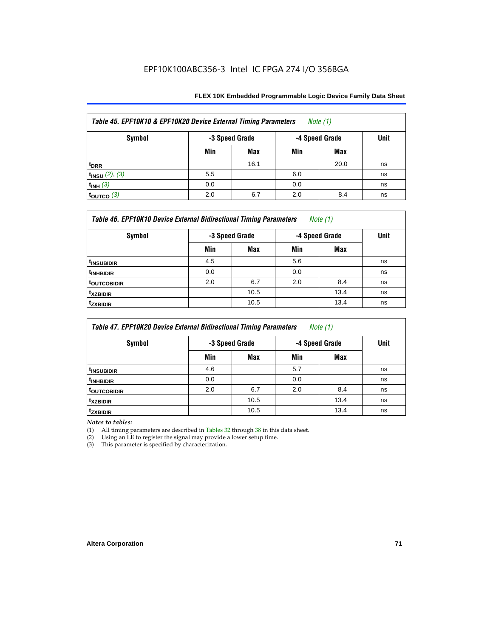| Table 45. EPF10K10 & EPF10K20 Device External Timing Parameters<br>Note (1) |                                  |      |     |      |             |  |  |
|-----------------------------------------------------------------------------|----------------------------------|------|-----|------|-------------|--|--|
| <b>Symbol</b>                                                               | -4 Speed Grade<br>-3 Speed Grade |      |     |      | <b>Unit</b> |  |  |
|                                                                             | Min                              | Max  | Min | Max  |             |  |  |
| t <sub>DRR</sub>                                                            |                                  | 16.1 |     | 20.0 | ns          |  |  |
| $t_{INSU}$ (2), (3)                                                         | 5.5                              |      | 6.0 |      | ns          |  |  |
| $t_{INH}$ (3)                                                               | 0.0                              |      | 0.0 |      | ns          |  |  |
| $\frac{1}{2}$ toutco (3)                                                    | 2.0                              | 6.7  | 2.0 | 8.4  | ns          |  |  |

| Table 46. EPF10K10 Device External Bidirectional Timing Parameters<br>Note $(1)$ |                |            |                |      |             |  |
|----------------------------------------------------------------------------------|----------------|------------|----------------|------|-------------|--|
| Symbol                                                                           | -3 Speed Grade |            | -4 Speed Grade |      | <b>Unit</b> |  |
|                                                                                  | Min            | <b>Max</b> | Min            | Max  |             |  |
| <sup>t</sup> INSUBIDIR                                                           | 4.5            |            | 5.6            |      | ns          |  |
| <sup>t</sup> INHBIDIR                                                            | 0.0            |            | 0.0            |      | ns          |  |
| <sup>t</sup> OUTCOBIDIR                                                          | 2.0            | 6.7        | 2.0            | 8.4  | ns          |  |
| <b>txzbidir</b>                                                                  |                | 10.5       |                | 13.4 | ns          |  |
| <sup>t</sup> zxbidir                                                             |                | 10.5       |                | 13.4 | ns          |  |

| <b>Table 47. EPF10K20 Device External Bidirectional Timing Parameters</b><br>Note $(1)$ |                |      |                |      |      |  |
|-----------------------------------------------------------------------------------------|----------------|------|----------------|------|------|--|
| <b>Symbol</b>                                                                           | -3 Speed Grade |      | -4 Speed Grade |      | Unit |  |
|                                                                                         | Min            | Max  | Min            | Max  |      |  |
| <sup>t</sup> INSUBIDIR                                                                  | 4.6            |      | 5.7            |      | ns   |  |
| <sup>t</sup> INHBIDIR                                                                   | 0.0            |      | 0.0            |      | ns   |  |
| <b>TOUTCOBIDIR</b>                                                                      | 2.0            | 6.7  | 2.0            | 8.4  | ns   |  |
| <sup>t</sup> xzbidir                                                                    |                | 10.5 |                | 13.4 | ns   |  |
| <sup>T</sup> ZXBIDIR                                                                    |                | 10.5 |                | 13.4 | ns   |  |

*Notes to tables:*

(1) All timing parameters are described in Tables 32 through 38 in this data sheet.

(2) Using an LE to register the signal may provide a lower setup time.

(3) This parameter is specified by characterization.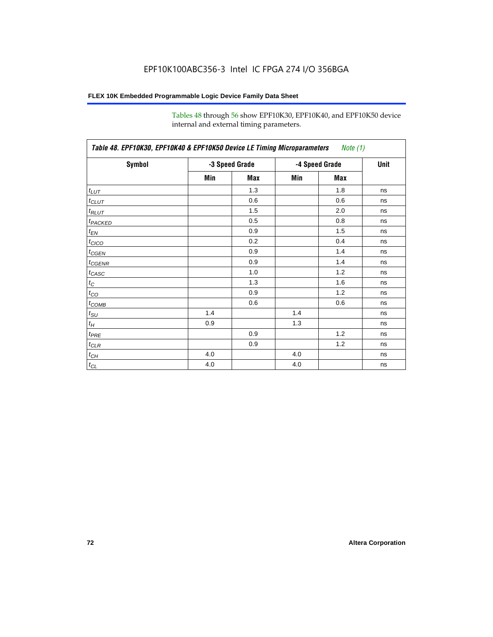Tables 48 through 56 show EPF10K30, EPF10K40, and EPF10K50 device internal and external timing parameters.

| Symbol                     |     | -3 Speed Grade | -4 Speed Grade | <b>Unit</b> |    |
|----------------------------|-----|----------------|----------------|-------------|----|
|                            |     |                |                |             |    |
|                            | Min | Max            | Min            | Max         |    |
| $t_{LUT}$                  |     | 1.3            |                | 1.8         | ns |
| $t_{CLUT}$                 |     | 0.6            |                | 0.6         | ns |
| $t_{RLUT}$                 |     | 1.5            |                | 2.0         | ns |
| <b>t</b> <sub>PACKED</sub> |     | 0.5            |                | 0.8         | ns |
| $t_{EN}$                   |     | 0.9            |                | 1.5         | ns |
| $t_{CICO}$                 |     | 0.2            |                | 0.4         | ns |
| $t_{\text{CGEN}}$          |     | 0.9            |                | 1.4         | ns |
| $t_{\text{GENR}}$          |     | 0.9            |                | 1.4         | ns |
| $t_{CASC}$                 |     | 1.0            |                | 1.2         | ns |
| $t_C$                      |     | 1.3            |                | 1.6         | ns |
| $t_{CO}$                   |     | 0.9            |                | 1.2         | ns |
| $t_{\text{COMB}}$          |     | 0.6            |                | 0.6         | ns |
| $t_{\text{SU}}$            | 1.4 |                | 1.4            |             | ns |
| $t_H$                      | 0.9 |                | 1.3            |             | ns |
| $t_{PRE}$                  |     | 0.9            |                | 1.2         | ns |
| $t_{\text{CLR}}$           |     | 0.9            |                | 1.2         | ns |
| $t_{CH}$                   | 4.0 |                | 4.0            |             | ns |
| $t_{CL}$                   | 4.0 |                | 4.0            |             | ns |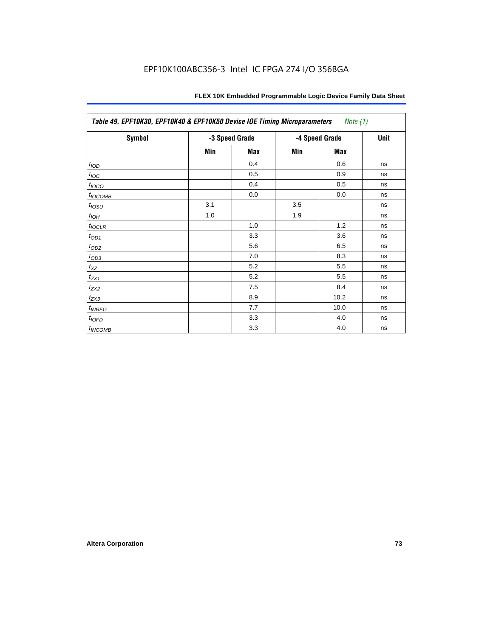| Table 49. EPF10K30, EPF10K40 & EPF10K50 Device IOE Timing Microparameters<br>Note $(1)$ |     |                |     |                |    |  |  |  |
|-----------------------------------------------------------------------------------------|-----|----------------|-----|----------------|----|--|--|--|
| Symbol                                                                                  |     | -3 Speed Grade |     | -4 Speed Grade |    |  |  |  |
|                                                                                         | Min | Max            | Min | Max            |    |  |  |  |
| t <sub>IOD</sub>                                                                        |     | 0.4            |     | 0.6            | ns |  |  |  |
| $t_{\text{IOC}}$                                                                        |     | 0.5            |     | 0.9            | ns |  |  |  |
| $t_{IOCO}$                                                                              |     | 0.4            |     | 0.5            | ns |  |  |  |
| $t_{IOCOMB}$                                                                            |     | 0.0            |     | 0.0            | ns |  |  |  |
| $t_{IOSU}$                                                                              | 3.1 |                | 3.5 |                | ns |  |  |  |
| $t_{IOH}$                                                                               | 1.0 |                | 1.9 |                | ns |  |  |  |
| $t_{IOCLR}$                                                                             |     | 1.0            |     | 1.2            | ns |  |  |  |
| $t_{OD1}$                                                                               |     | 3.3            |     | 3.6            | ns |  |  |  |
| $t_{OD2}$                                                                               |     | 5.6            |     | 6.5            | ns |  |  |  |
| $t_{OD3}$                                                                               |     | 7.0            |     | 8.3            | ns |  |  |  |
| $t_{\mathsf{XZ}}$                                                                       |     | 5.2            |     | 5.5            | ns |  |  |  |
| $t_{ZX1}$                                                                               |     | 5.2            |     | 5.5            | ns |  |  |  |
| $t_{ZX2}$                                                                               |     | 7.5            |     | 8.4            | ns |  |  |  |
| $t_{ZX3}$                                                                               |     | 8.9            |     | 10.2           | ns |  |  |  |
| $t_{INREG}$                                                                             |     | 7.7            |     | 10.0           | ns |  |  |  |
| $t_{IOFD}$                                                                              |     | 3.3            |     | 4.0            | ns |  |  |  |
| $t_{INCOMB}$                                                                            |     | 3.3            |     | 4.0            | ns |  |  |  |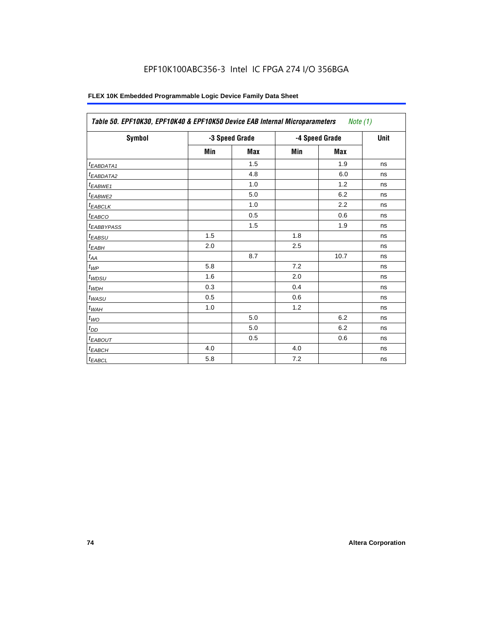| Symbol                          |     | -3 Speed Grade |     | -4 Speed Grade | <b>Unit</b> |
|---------------------------------|-----|----------------|-----|----------------|-------------|
|                                 | Min | <b>Max</b>     | Min | Max            |             |
| <sup>t</sup> EABDATA1           |     | 1.5            |     | 1.9            | ns          |
| t <sub>EABDATA2</sub>           |     | 4.8            |     | 6.0            | ns          |
| t <sub>EABWE1</sub>             |     | 1.0            |     | 1.2            | ns          |
| t <sub>EABWE2</sub>             |     | 5.0            |     | 6.2            | ns          |
| $t_{EABCLK}$                    |     | 1.0            |     | 2.2            | ns          |
| $t_{EABCO}$                     |     | 0.5            |     | 0.6            | ns          |
| <i><b><i>LEABBYPASS</i></b></i> |     | 1.5            |     | 1.9            | ns          |
| $t_{EABSU}$                     | 1.5 |                | 1.8 |                | ns          |
| $t_{EABH}$                      | 2.0 |                | 2.5 |                | ns          |
| $t_{AA}$                        |     | 8.7            |     | 10.7           | ns          |
| $t_{WP}$                        | 5.8 |                | 7.2 |                | ns          |
| $t_{WDSU}$                      | 1.6 |                | 2.0 |                | ns          |
| $t_{WDH}$                       | 0.3 |                | 0.4 |                | ns          |
| $t_{WASU}$                      | 0.5 |                | 0.6 |                | ns          |
| $t_{WAH}$                       | 1.0 |                | 1.2 |                | ns          |
| $t_{WO}$                        |     | 5.0            |     | 6.2            | ns          |
| $t_{DD}$                        |     | 5.0            |     | 6.2            | ns          |
| <sup>t</sup> EABOUT             |     | 0.5            |     | 0.6            | ns          |
| <sup>t</sup> ЕАВСН              | 4.0 |                | 4.0 |                | ns          |
| $t_{EABCL}$                     | 5.8 |                | 7.2 |                | ns          |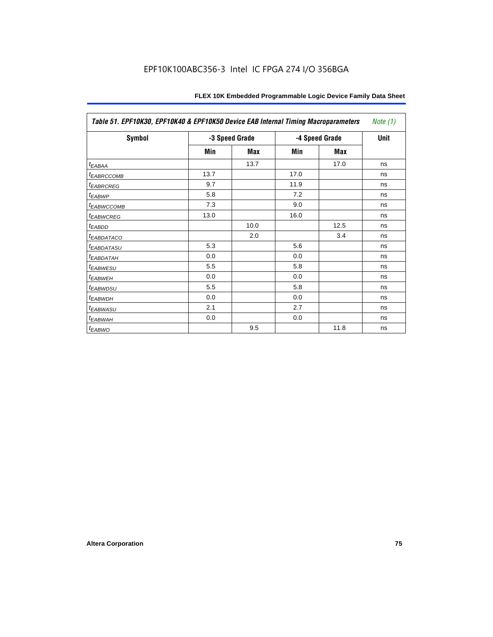| Table 51. EPF10K30, EPF10K40 & EPF10K50 Device EAB Internal Timing Macroparameters |      |                |      |                |             |  |  |
|------------------------------------------------------------------------------------|------|----------------|------|----------------|-------------|--|--|
| Symbol                                                                             |      | -3 Speed Grade |      | -4 Speed Grade | <b>Unit</b> |  |  |
|                                                                                    | Min  | Max            | Min  | Max            |             |  |  |
| $t_{EABA}$                                                                         |      | 13.7           |      | 17.0           | ns          |  |  |
| <b><i>EABRCCOMB</i></b>                                                            | 13.7 |                | 17.0 |                | ns          |  |  |
| <b><i>EABRCREG</i></b>                                                             | 9.7  |                | 11.9 |                | ns          |  |  |
| t <sub>EABWP</sub>                                                                 | 5.8  |                | 7.2  |                | ns          |  |  |
| <b><i>EABWCCOMB</i></b>                                                            | 7.3  |                | 9.0  |                | ns          |  |  |
| <b><i>EABWCREG</i></b>                                                             | 13.0 |                | 16.0 |                | ns          |  |  |
| <sup>t</sup> EABDD                                                                 |      | 10.0           |      | 12.5           | ns          |  |  |
| <b><i>EABDATACO</i></b>                                                            |      | 2.0            |      | 3.4            | ns          |  |  |
| <sup>t</sup> EABDATASU                                                             | 5.3  |                | 5.6  |                | ns          |  |  |
| <sup>T</sup> EABDATAH                                                              | 0.0  |                | 0.0  |                | ns          |  |  |
| <b><i>EABWESU</i></b>                                                              | 5.5  |                | 5.8  |                | ns          |  |  |
| <sup>t</sup> EABWEH                                                                | 0.0  |                | 0.0  |                | ns          |  |  |
| <sup>t</sup> EABWDSU                                                               | 5.5  |                | 5.8  |                | ns          |  |  |
| <sup>t</sup> EABWDH                                                                | 0.0  |                | 0.0  |                | ns          |  |  |
| <sup>t</sup> EABWASU                                                               | 2.1  |                | 2.7  |                | ns          |  |  |
| <sup>t</sup> EABWAH                                                                | 0.0  |                | 0.0  |                | ns          |  |  |
| $t_{EABWO}$                                                                        |      | 9.5            |      | 11.8           | ns          |  |  |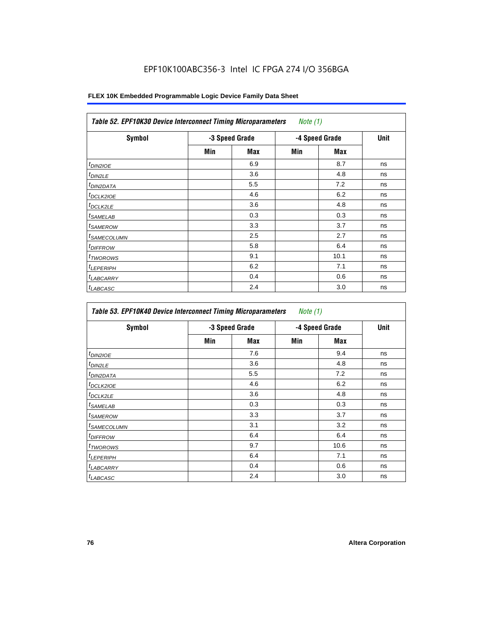| <b>Symbol</b>              |     | -3 Speed Grade |     | -4 Speed Grade | <b>Unit</b> |
|----------------------------|-----|----------------|-----|----------------|-------------|
|                            | Min | <b>Max</b>     | Min | <b>Max</b>     |             |
| <sup>t</sup> DIN2IOE       |     | 6.9            |     | 8.7            | ns          |
| $t_{DIN2LE}$               |     | 3.6            |     | 4.8            | ns          |
| <sup>t</sup> DIN2DATA      |     | 5.5            |     | 7.2            | ns          |
| <sup>t</sup> DCLK2IOE      |     | 4.6            |     | 6.2            | ns          |
| <sup>t</sup> DCLK2LE       |     | 3.6            |     | 4.8            | ns          |
| <sup>t</sup> SAMELAB       |     | 0.3            |     | 0.3            | ns          |
| <sup>t</sup> SAMEROW       |     | 3.3            |     | 3.7            | ns          |
| <sup>t</sup> SAMECOLUMN    |     | 2.5            |     | 2.7            | ns          |
| <i>t<sub>DIFFROW</sub></i> |     | 5.8            |     | 6.4            | ns          |
| <sup>t</sup> TWOROWS       |     | 9.1            |     | 10.1           | ns          |
| <sup>t</sup> LEPERIPH      |     | 6.2            |     | 7.1            | ns          |
| <sup>I</sup> LABCARRY      |     | 0.4            |     | 0.6            | ns          |
| <sup>t</sup> LABCASC       |     | 2.4            |     | 3.0            | ns          |

| Symbol                  |     | -3 Speed Grade |     | -4 Speed Grade | Unit |
|-------------------------|-----|----------------|-----|----------------|------|
|                         | Min | Max            | Min | Max            |      |
| $t_{DINZIOE}$           |     | 7.6            |     | 9.4            | ns   |
| <sup>t</sup> DIN2LE     |     | 3.6            |     | 4.8            | ns   |
| <sup>I</sup> DIN2DATA   |     | 5.5            |     | 7.2            | ns   |
| <sup>I</sup> DCLK2IOE   |     | 4.6            |     | 6.2            | ns   |
| t <sub>DCLK2LE</sub>    |     | 3.6            |     | 4.8            | ns   |
| <sup>I</sup> SAMELAB    |     | 0.3            |     | 0.3            | ns   |
| <sup>I</sup> SAMEROW    |     | 3.3            |     | 3.7            | ns   |
| <sup>t</sup> SAMECOLUMN |     | 3.1            |     | 3.2            | ns   |
| <sup>I</sup> DIFFROW    |     | 6.4            |     | 6.4            | ns   |
| <sup>t</sup> TWOROWS    |     | 9.7            |     | 10.6           | ns   |
| <sup>t</sup> LEPERIPH   |     | 6.4            |     | 7.1            | ns   |
| <b>LABCARRY</b>         |     | 0.4            |     | 0.6            | ns   |
| <sup>t</sup> LABCASC    |     | 2.4            |     | 3.0            | ns   |

<u> 1980 - Johann Barn, fransk politik (f. 1980)</u>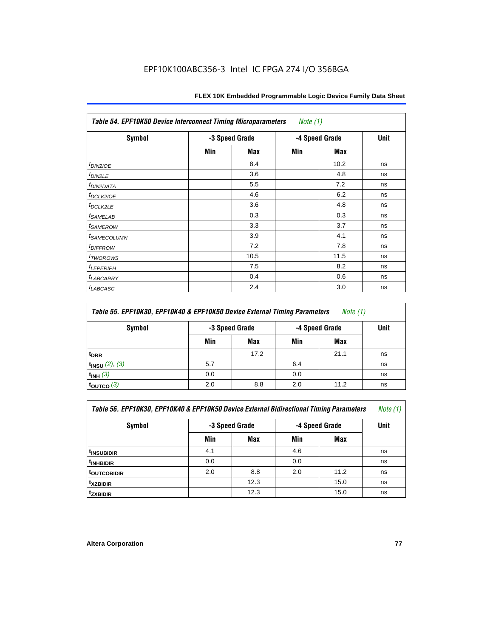| <b>Table 54. EPF10K50 Device Interconnect Timing Microparameters</b><br>Note $(1)$ |     |                |            |                |    |  |  |  |
|------------------------------------------------------------------------------------|-----|----------------|------------|----------------|----|--|--|--|
| <b>Symbol</b>                                                                      |     | -3 Speed Grade |            | -4 Speed Grade |    |  |  |  |
|                                                                                    | Min | Max            | <b>Min</b> | Max            |    |  |  |  |
| $tD$ IN2IOE                                                                        |     | 8.4            |            | 10.2           | ns |  |  |  |
| $t_{DIN2LE}$                                                                       |     | 3.6            |            | 4.8            | ns |  |  |  |
| <sup>t</sup> DIN2DATA                                                              |     | 5.5            |            | 7.2            | ns |  |  |  |
| t <sub>DCLK2IOE</sub>                                                              |     | 4.6            |            | 6.2            | ns |  |  |  |
| $t_{DCLK2LE}$                                                                      |     | 3.6            |            | 4.8            | ns |  |  |  |
| <sup>t</sup> SAMELAB                                                               |     | 0.3            |            | 0.3            | ns |  |  |  |
| <i>t</i> SAMEROW                                                                   |     | 3.3            |            | 3.7            | ns |  |  |  |
| <i>t<sub>SAMECOLUMN</sub></i>                                                      |     | 3.9            |            | 4.1            | ns |  |  |  |
| <i>t<sub>DIFFROW</sub></i>                                                         |     | 7.2            |            | 7.8            | ns |  |  |  |
| <i>t</i> <sub>TWOROWS</sub>                                                        |     | 10.5           |            | 11.5           | ns |  |  |  |
| <sup>t</sup> LEPERIPH                                                              |     | 7.5            |            | 8.2            | ns |  |  |  |
| <sup>t</sup> LABCARRY                                                              |     | 0.4            |            | 0.6            | ns |  |  |  |
| <sup>t</sup> LABCASC                                                               |     | 2.4            |            | 3.0            | ns |  |  |  |

| Table 55. EPF10K30, EPF10K40 & EPF10K50 Device External Timing Parameters<br>Note $(1)$ |                |      |                |             |    |  |  |  |
|-----------------------------------------------------------------------------------------|----------------|------|----------------|-------------|----|--|--|--|
| Symbol                                                                                  | -3 Speed Grade |      | -4 Speed Grade | <b>Unit</b> |    |  |  |  |
|                                                                                         | Min            | Max  | Min            | Max         |    |  |  |  |
| <sup>t</sup> DRR                                                                        |                | 17.2 |                | 21.1        | ns |  |  |  |
| $t_{INSU}$ (2), (3)                                                                     | 5.7            |      | 6.4            |             | ns |  |  |  |
| $t_{INH}$ (3)                                                                           | 0.0            |      | 0.0            |             | ns |  |  |  |
| $t_{\text{OUTCO}}(3)$                                                                   | 2.0            | 8.8  | 2.0            | 11.2        | ns |  |  |  |

| Table 56. EPF10K30, EPF10K40 & EPF10K50 Device External Bidirectional Timing Parameters<br>Note (1) |                                  |      |     |             |    |  |  |  |  |
|-----------------------------------------------------------------------------------------------------|----------------------------------|------|-----|-------------|----|--|--|--|--|
| Symbol                                                                                              | -3 Speed Grade<br>-4 Speed Grade |      |     | <b>Unit</b> |    |  |  |  |  |
|                                                                                                     | Min                              | Max  | Min | Max         |    |  |  |  |  |
| <sup>t</sup> INSUBIDIR                                                                              | 4.1                              |      | 4.6 |             | ns |  |  |  |  |
| <sup>t</sup> INHBIDIR                                                                               | 0.0                              |      | 0.0 |             | ns |  |  |  |  |
| t <sub>outcobidir</sub>                                                                             | 2.0                              | 8.8  | 2.0 | 11.2        | ns |  |  |  |  |
| txzbidir                                                                                            |                                  | 12.3 |     | 15.0        | ns |  |  |  |  |
| <sup>t</sup> zxbidir                                                                                |                                  | 12.3 |     | 15.0        | ns |  |  |  |  |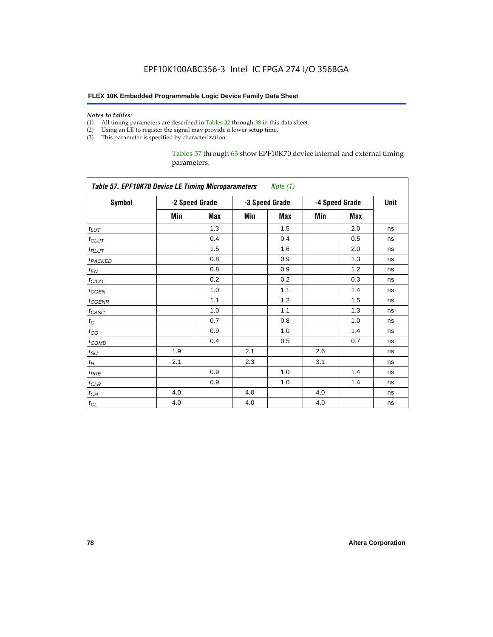#### *Notes to tables:*

- (1) All timing parameters are described in Tables 32 through 38 in this data sheet.
- (2) Using an LE to register the signal may provide a lower setup time.
- (3) This parameter is specified by characterization.

Tables 57 through 63 show EPF10K70 device internal and external timing parameters.

| <b>Table 57. EPF10K70 Device LE Timing Microparameters</b><br>Note (1) |     |                |     |                |     |                |    |
|------------------------------------------------------------------------|-----|----------------|-----|----------------|-----|----------------|----|
| <b>Symbol</b>                                                          |     | -2 Speed Grade |     | -3 Speed Grade |     | -4 Speed Grade |    |
|                                                                        | Min | Max            | Min | <b>Max</b>     | Min | <b>Max</b>     |    |
| $t_{LUT}$                                                              |     | 1.3            |     | 1.5            |     | 2.0            | ns |
| $t$ CLUT                                                               |     | 0.4            |     | 0.4            |     | 0.5            | ns |
| $t_{RLUT}$                                                             |     | 1.5            |     | 1.6            |     | 2.0            | ns |
| t <sub>PACKED</sub>                                                    |     | 0.8            |     | 0.9            |     | 1.3            | ns |
| $t_{EN}$                                                               |     | 0.8            |     | 0.9            |     | 1.2            | ns |
| $t_{CICO}$                                                             |     | 0.2            |     | 0.2            |     | 0.3            | ns |
| $t_{GEN}$                                                              |     | 1.0            |     | 1.1            |     | 1.4            | ns |
| $t_{\text{GENR}}$                                                      |     | 1.1            |     | 1.2            |     | 1.5            | ns |
| $t_{CASC}$                                                             |     | 1.0            |     | 1.1            |     | 1.3            | ns |
| $t_C$                                                                  |     | 0.7            |     | 0.8            |     | 1.0            | ns |
| $t_{CO}$                                                               |     | 0.9            |     | 1.0            |     | 1.4            | ns |
| $t_{COMB}$                                                             |     | 0.4            |     | 0.5            |     | 0.7            | ns |
| $t_{\text{SU}}$                                                        | 1.9 |                | 2.1 |                | 2.6 |                | ns |
| $t_H$                                                                  | 2.1 |                | 2.3 |                | 3.1 |                | ns |
| $t_{PRE}$                                                              |     | 0.9            |     | 1.0            |     | 1.4            | ns |
| $t_{CLR}$                                                              |     | 0.9            |     | 1.0            |     | 1.4            | ns |
| $t_{CH}$                                                               | 4.0 |                | 4.0 |                | 4.0 |                | ns |
| $t_{CL}$                                                               | 4.0 |                | 4.0 |                | 4.0 |                | ns |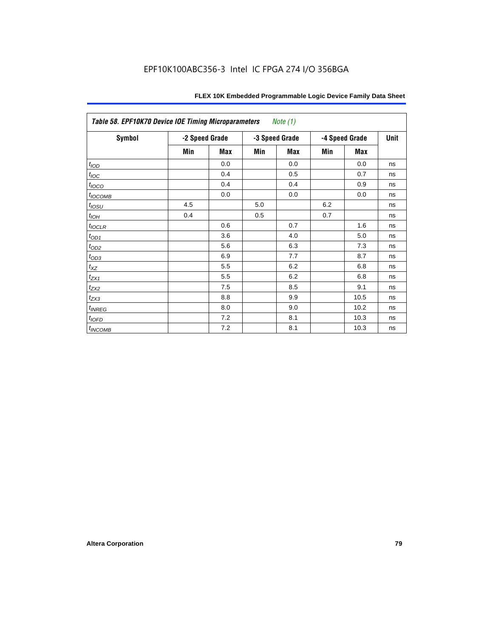| <b>Table 58. EPF10K70 Device IOE Timing Microparameters</b><br>Note (1) |                |            |     |                |     |                |    |  |  |
|-------------------------------------------------------------------------|----------------|------------|-----|----------------|-----|----------------|----|--|--|
| Symbol                                                                  | -2 Speed Grade |            |     | -3 Speed Grade |     | -4 Speed Grade |    |  |  |
|                                                                         | Min            | <b>Max</b> | Min | <b>Max</b>     | Min | <b>Max</b>     |    |  |  |
| t <sub>IOD</sub>                                                        |                | 0.0        |     | 0.0            |     | 0.0            | ns |  |  |
| $t_{\text{loc}}$                                                        |                | 0.4        |     | 0.5            |     | 0.7            | ns |  |  |
| $t_{IOCO}$                                                              |                | 0.4        |     | 0.4            |     | 0.9            | ns |  |  |
| $t_{\text{IOCOMB}}$                                                     |                | 0.0        |     | 0.0            |     | 0.0            | ns |  |  |
| $t_{IOSU}$                                                              | 4.5            |            | 5.0 |                | 6.2 |                | ns |  |  |
| $t_{IOH}$                                                               | 0.4            |            | 0.5 |                | 0.7 |                | ns |  |  |
| $t_{IOCLR}$                                                             |                | 0.6        |     | 0.7            |     | 1.6            | ns |  |  |
| $t_{OD1}$                                                               |                | 3.6        |     | 4.0            |     | 5.0            | ns |  |  |
| $t_{OD2}$                                                               |                | 5.6        |     | 6.3            |     | 7.3            | ns |  |  |
| $t_{OD3}$                                                               |                | 6.9        |     | 7.7            |     | 8.7            | ns |  |  |
| $t_{\mathsf{XZ}}$                                                       |                | 5.5        |     | 6.2            |     | 6.8            | ns |  |  |
| $t_{ZX1}$                                                               |                | 5.5        |     | 6.2            |     | 6.8            | ns |  |  |
| $t_{ZX2}$                                                               |                | 7.5        |     | 8.5            |     | 9.1            | ns |  |  |
| $t_{ZX3}$                                                               |                | 8.8        |     | 9.9            |     | 10.5           | ns |  |  |
| $t_{INREG}$                                                             |                | 8.0        |     | 9.0            |     | 10.2           | ns |  |  |
| $t_{IOED}$                                                              |                | 7.2        |     | 8.1            |     | 10.3           | ns |  |  |
| t <sub>INCOMB</sub>                                                     |                | 7.2        |     | 8.1            |     | 10.3           | ns |  |  |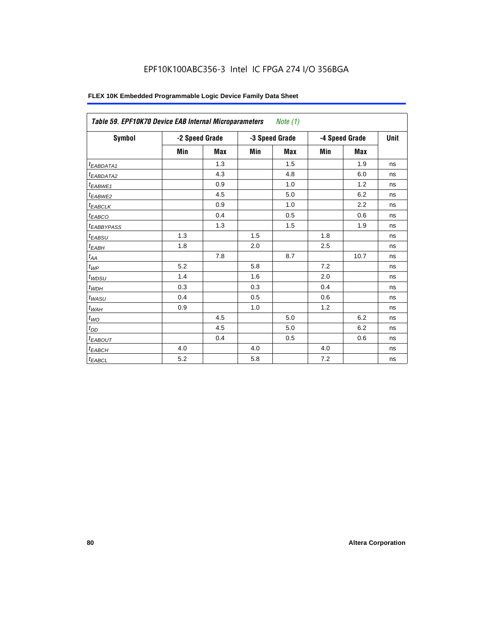| FLEX 10K Embedded Programmable Logic Device Family Data Sheet |  |
|---------------------------------------------------------------|--|
|---------------------------------------------------------------|--|

| Table 59. EPF10K70 Device EAB Internal Microparameters<br>Note $(1)$ |                |            |     |                |     |                |    |  |  |
|----------------------------------------------------------------------|----------------|------------|-----|----------------|-----|----------------|----|--|--|
| Symbol                                                               | -2 Speed Grade |            |     | -3 Speed Grade |     | -4 Speed Grade |    |  |  |
|                                                                      | Min            | <b>Max</b> | Min | <b>Max</b>     | Min | <b>Max</b>     |    |  |  |
| <sup>t</sup> EABDATA1                                                |                | 1.3        |     | 1.5            |     | 1.9            | ns |  |  |
| t <sub>EABDATA2</sub>                                                |                | 4.3        |     | 4.8            |     | 6.0            | ns |  |  |
| $t_{EABWE1}$                                                         |                | 0.9        |     | 1.0            |     | 1.2            | ns |  |  |
| t <sub>EABWE2</sub>                                                  |                | 4.5        |     | 5.0            |     | 6.2            | ns |  |  |
| <sup>t</sup> EABCLK                                                  |                | 0.9        |     | 1.0            |     | 2.2            | ns |  |  |
| t <sub>EABCO</sub>                                                   |                | 0.4        |     | 0.5            |     | 0.6            | ns |  |  |
| <sup>t</sup> EABBYPASS                                               |                | 1.3        |     | 1.5            |     | 1.9            | ns |  |  |
| t <sub>EABSU</sub>                                                   | 1.3            |            | 1.5 |                | 1.8 |                | ns |  |  |
| t <sub>ЕАВН</sub>                                                    | 1.8            |            | 2.0 |                | 2.5 |                | ns |  |  |
| $t_{AA}$                                                             |                | 7.8        |     | 8.7            |     | 10.7           | ns |  |  |
| $t_{WP}$                                                             | 5.2            |            | 5.8 |                | 7.2 |                | ns |  |  |
| $t_{WDSU}$                                                           | 1.4            |            | 1.6 |                | 2.0 |                | ns |  |  |
| $t_{WDH}$                                                            | 0.3            |            | 0.3 |                | 0.4 |                | ns |  |  |
| $t_{WASU}$                                                           | 0.4            |            | 0.5 |                | 0.6 |                | ns |  |  |
| $t_{WAH}$                                                            | 0.9            |            | 1.0 |                | 1.2 |                | ns |  |  |
| $t_{WO}$                                                             |                | 4.5        |     | 5.0            |     | 6.2            | ns |  |  |
| $t_{DD}$                                                             |                | 4.5        |     | 5.0            |     | 6.2            | ns |  |  |
| <sup>t</sup> EABOUT                                                  |                | 0.4        |     | 0.5            |     | 0.6            | ns |  |  |
| <sup>t</sup> ЕАВСН                                                   | 4.0            |            | 4.0 |                | 4.0 |                | ns |  |  |
| $t_{EABCL}$                                                          | 5.2            |            | 5.8 |                | 7.2 |                | ns |  |  |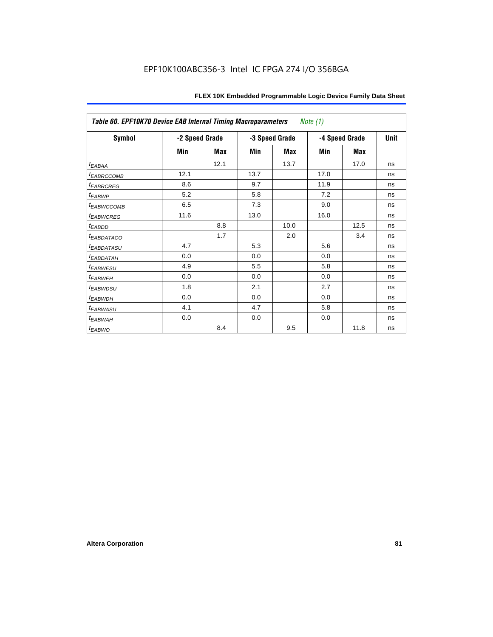| Table 60. EPF10K70 Device EAB Internal Timing Macroparameters<br><i>Note</i> $(1)$ |                |      |      |                |                |      |             |  |  |
|------------------------------------------------------------------------------------|----------------|------|------|----------------|----------------|------|-------------|--|--|
| Symbol                                                                             | -2 Speed Grade |      |      | -3 Speed Grade | -4 Speed Grade |      | <b>Unit</b> |  |  |
|                                                                                    | Min            | Max  | Min  | Max            | Min            | Max  |             |  |  |
| t <sub>EABAA</sub>                                                                 |                | 12.1 |      | 13.7           |                | 17.0 | ns          |  |  |
| <sup>t</sup> EABRCCOMB                                                             | 12.1           |      | 13.7 |                | 17.0           |      | ns          |  |  |
| <sup>t</sup> EABRCREG                                                              | 8.6            |      | 9.7  |                | 11.9           |      | ns          |  |  |
| <sup>t</sup> EABWP                                                                 | 5.2            |      | 5.8  |                | 7.2            |      | ns          |  |  |
| <sup>I</sup> EABWCCOMB                                                             | 6.5            |      | 7.3  |                | 9.0            |      | ns          |  |  |
| <sup>t</sup> EABWCREG                                                              | 11.6           |      | 13.0 |                | 16.0           |      | ns          |  |  |
| <sup>t</sup> EABDD                                                                 |                | 8.8  |      | 10.0           |                | 12.5 | ns          |  |  |
| <b><i>EABDATACO</i></b>                                                            |                | 1.7  |      | 2.0            |                | 3.4  | ns          |  |  |
| <sup>t</sup> EABDATASU                                                             | 4.7            |      | 5.3  |                | 5.6            |      | ns          |  |  |
| <sup>I</sup> EABDATAH                                                              | 0.0            |      | 0.0  |                | 0.0            |      | ns          |  |  |
| <sup>t</sup> EABWESU                                                               | 4.9            |      | 5.5  |                | 5.8            |      | ns          |  |  |
| <sup>t</sup> EABWEH                                                                | 0.0            |      | 0.0  |                | 0.0            |      | ns          |  |  |
| <sup>t</sup> EABWDSU                                                               | 1.8            |      | 2.1  |                | 2.7            |      | ns          |  |  |
| <sup>t</sup> EABWDH                                                                | 0.0            |      | 0.0  |                | 0.0            |      | ns          |  |  |
| <sup>t</sup> EABWASU                                                               | 4.1            |      | 4.7  |                | 5.8            |      | ns          |  |  |
| <sup>t</sup> EABWAH                                                                | 0.0            |      | 0.0  |                | 0.0            |      | ns          |  |  |
| <sup>t</sup> EABWO                                                                 |                | 8.4  |      | 9.5            |                | 11.8 | ns          |  |  |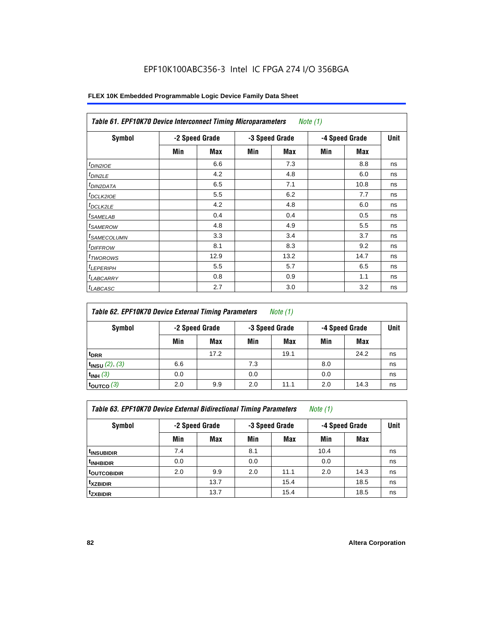| <b>Table 61. EPF10K70 Device Interconnect Timing Microparameters</b> Note (1) |     |                |     |                |     |                |      |  |  |
|-------------------------------------------------------------------------------|-----|----------------|-----|----------------|-----|----------------|------|--|--|
| Symbol                                                                        |     | -2 Speed Grade |     | -3 Speed Grade |     | -4 Speed Grade | Unit |  |  |
|                                                                               | Min | <b>Max</b>     | Min | Max            | Min | <b>Max</b>     |      |  |  |
| $t_{DINZIOE}$                                                                 |     | 6.6            |     | 7.3            |     | 8.8            | ns   |  |  |
| t <sub>DIN2LE</sub>                                                           |     | 4.2            |     | 4.8            |     | 6.0            | ns   |  |  |
| <sup>t</sup> DIN2DATA                                                         |     | 6.5            |     | 7.1            |     | 10.8           | ns   |  |  |
| t <sub>DCLK2IOE</sub>                                                         |     | 5.5            |     | 6.2            |     | 7.7            | ns   |  |  |
| <sup>t</sup> DCLK2LE                                                          |     | 4.2            |     | 4.8            |     | 6.0            | ns   |  |  |
| <sup>t</sup> SAMELAB                                                          |     | 0.4            |     | 0.4            |     | 0.5            | ns   |  |  |
| <sup>t</sup> SAMEROW                                                          |     | 4.8            |     | 4.9            |     | 5.5            | ns   |  |  |
| <sup>t</sup> SAMECOLUMN                                                       |     | 3.3            |     | 3.4            |     | 3.7            | ns   |  |  |
| <i><b>IDIFFROW</b></i>                                                        |     | 8.1            |     | 8.3            |     | 9.2            | ns   |  |  |
| <sup>T</sup> TWOROWS                                                          |     | 12.9           |     | 13.2           |     | 14.7           | ns   |  |  |
| <sup>t</sup> LEPERIPH                                                         |     | 5.5            |     | 5.7            |     | 6.5            | ns   |  |  |
| <b>LABCARRY</b>                                                               |     | 0.8            |     | 0.9            |     | 1.1            | ns   |  |  |
| <sup>t</sup> LABCASC                                                          |     | 2.7            |     | 3.0            |     | 3.2            | ns   |  |  |

| Table 62. EPF10K70 Device External Timing Parameters<br>Note $(1)$ |     |                |     |                |     |                |             |  |  |
|--------------------------------------------------------------------|-----|----------------|-----|----------------|-----|----------------|-------------|--|--|
| Symbol                                                             |     | -2 Speed Grade |     | -3 Speed Grade |     | -4 Speed Grade | <b>Unit</b> |  |  |
|                                                                    | Min | Max            | Min | Max            | Min | Max            |             |  |  |
| <sup>t</sup> DRR                                                   |     | 17.2           |     | 19.1           |     | 24.2           | ns          |  |  |
| $t_{INSU}$ (2), (3)                                                | 6.6 |                | 7.3 |                | 8.0 |                | ns          |  |  |
| $t_{INH}$ (3)                                                      | 0.0 |                | 0.0 |                | 0.0 |                | ns          |  |  |
| $t_{\rm OUTCO}$ (3)                                                | 2.0 | 9.9            | 2.0 | 11.1           | 2.0 | 14.3           | ns          |  |  |

*Table 63. EPF10K70 Device External Bidirectional Timing Parameters Note (1)*

| <b>Symbol</b>           |     | -2 Speed Grade |     | -3 Speed Grade |      | -4 Speed Grade | Unit |
|-------------------------|-----|----------------|-----|----------------|------|----------------|------|
|                         | Min | <b>Max</b>     | Min | <b>Max</b>     | Min  | <b>Max</b>     |      |
| <sup>t</sup> INSUBIDIR  | 7.4 |                | 8.1 |                | 10.4 |                | ns   |
| <sup>t</sup> INHBIDIR   | 0.0 |                | 0.0 |                | 0.0  |                | ns   |
| <sup>t</sup> OUTCOBIDIR | 2.0 | 9.9            | 2.0 | 11.1           | 2.0  | 14.3           | ns   |
| <sup>t</sup> xzbidir    |     | 13.7           |     | 15.4           |      | 18.5           | ns   |
| <sup>t</sup> zxbidir    |     | 13.7           |     | 15.4           |      | 18.5           | ns   |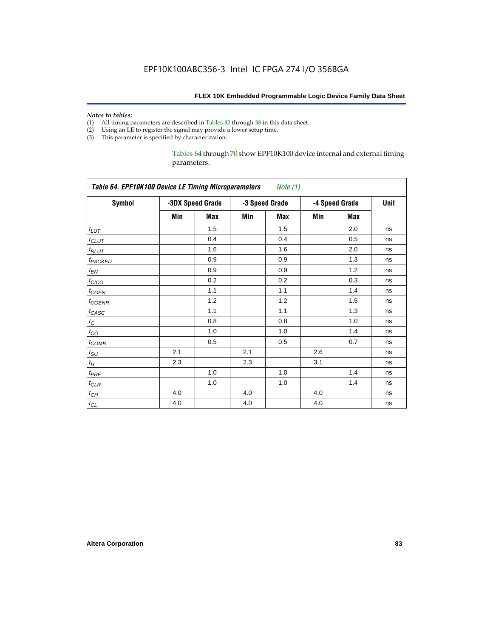# *Notes to tables:*<br>(1) All timing p

- All timing parameters are described in Tables 32 through 38 in this data sheet.
- (2) Using an LE to register the signal may provide a lower setup time.
- (3) This parameter is specified by characterization.

Tables 64 through 70 show EPF10K100 device internal and external timing parameters.

| <b>Symbol</b>       |     | -3DX Speed Grade |     | -3 Speed Grade |     | -4 Speed Grade | Unit |
|---------------------|-----|------------------|-----|----------------|-----|----------------|------|
|                     | Min | Max              | Min | Max            | Min | <b>Max</b>     |      |
| $t_{LUT}$           |     | 1.5              |     | 1.5            |     | 2.0            | ns   |
| $t_{CLUT}$          |     | 0.4              |     | 0.4            |     | 0.5            | ns   |
| $t_{RLUT}$          |     | 1.6              |     | 1.6            |     | 2.0            | ns   |
| t <sub>PACKED</sub> |     | 0.9              |     | 0.9            |     | 1.3            | ns   |
| $t_{EN}$            |     | 0.9              |     | 0.9            |     | 1.2            | ns   |
| $t_{CICO}$          |     | 0.2              |     | 0.2            |     | 0.3            | ns   |
| $t_{GEN}$           |     | 1.1              |     | 1.1            |     | 1.4            | ns   |
| $t_{GENR}$          |     | 1.2              |     | 1.2            |     | 1.5            | ns   |
| $t_{CASC}$          |     | 1.1              |     | 1.1            |     | 1.3            | ns   |
| $t_C$               |     | 0.8              |     | 0.8            |     | 1.0            | ns   |
| $t_{CO}$            |     | 1.0              |     | 1.0            |     | 1.4            | ns   |
| $t_{COMB}$          |     | 0.5              |     | 0.5            |     | 0.7            | ns   |
| $t_{\rm SU}$        | 2.1 |                  | 2.1 |                | 2.6 |                | ns   |
| $t_H$               | 2.3 |                  | 2.3 |                | 3.1 |                | ns   |
| $t_{PRE}$           |     | 1.0              |     | 1.0            |     | 1.4            | ns   |
| $t_{CLR}$           |     | 1.0              |     | 1.0            |     | 1.4            | ns   |
| $t_{CH}$            | 4.0 |                  | 4.0 |                | 4.0 |                | ns   |
| $t_{CL}$            | 4.0 |                  | 4.0 |                | 4.0 |                | ns   |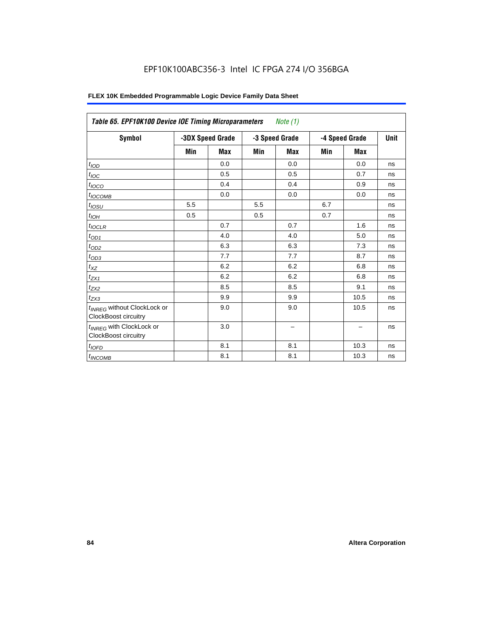| Table 65. EPF10K100 Device IOE Timing Microparameters                  |     |                  |                                  | Note $(1)$ |     |             |    |
|------------------------------------------------------------------------|-----|------------------|----------------------------------|------------|-----|-------------|----|
| <b>Symbol</b>                                                          |     | -3DX Speed Grade | -3 Speed Grade<br>-4 Speed Grade |            |     | <b>Unit</b> |    |
|                                                                        | Min | Max              | Min                              | <b>Max</b> | Min | Max         |    |
| t <sub>IOD</sub>                                                       |     | 0.0              |                                  | 0.0        |     | 0.0         | ns |
| $t_{\text{IOC}}$                                                       |     | 0.5              |                                  | 0.5        |     | 0.7         | ns |
| $t_{IOCO}$                                                             |     | 0.4              |                                  | 0.4        |     | 0.9         | ns |
| $t_{IOCOMB}$                                                           |     | 0.0              |                                  | 0.0        |     | 0.0         | ns |
| $t_{IOSU}$                                                             | 5.5 |                  | 5.5                              |            | 6.7 |             | ns |
| $t_{IOH}$                                                              | 0.5 |                  | 0.5                              |            | 0.7 |             | ns |
| $t_{IOCLR}$                                                            |     | 0.7              |                                  | 0.7        |     | 1.6         | ns |
| $t_{OD1}$                                                              |     | 4.0              |                                  | 4.0        |     | 5.0         | ns |
| $t_{OD2}$                                                              |     | 6.3              |                                  | 6.3        |     | 7.3         | ns |
| $t_{OD3}$                                                              |     | 7.7              |                                  | 7.7        |     | 8.7         | ns |
| $t_{XZ}$                                                               |     | 6.2              |                                  | 6.2        |     | 6.8         | ns |
| $t_{ZX1}$                                                              |     | 6.2              |                                  | 6.2        |     | 6.8         | ns |
| $t_{ZX2}$                                                              |     | 8.5              |                                  | 8.5        |     | 9.1         | ns |
| $t_{ZX3}$                                                              |     | 9.9              |                                  | 9.9        |     | 10.5        | ns |
| t <sub>INREG</sub> without ClockLock or<br><b>ClockBoost circuitry</b> |     | 9.0              |                                  | 9.0        |     | 10.5        | ns |
| t <sub>INREG</sub> with ClockLock or<br><b>ClockBoost circuitry</b>    |     | 3.0              |                                  | -          |     | -           | ns |
| $t_{IOFD}$                                                             |     | 8.1              |                                  | 8.1        |     | 10.3        | ns |
| $t_{INCOMB}$                                                           |     | 8.1              |                                  | 8.1        |     | 10.3        | ns |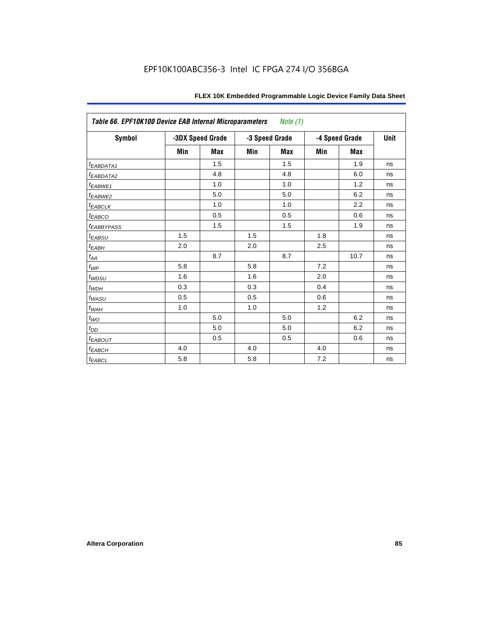| Table 66. EPF10K100 Device EAB Internal Microparameters<br>Note (1) |     |                  |     |                |     |                |      |  |  |  |
|---------------------------------------------------------------------|-----|------------------|-----|----------------|-----|----------------|------|--|--|--|
| <b>Symbol</b>                                                       |     | -3DX Speed Grade |     | -3 Speed Grade |     | -4 Speed Grade | Unit |  |  |  |
|                                                                     | Min | <b>Max</b>       | Min | <b>Max</b>     | Min | <b>Max</b>     |      |  |  |  |
| t <sub>EABDATA1</sub>                                               |     | 1.5              |     | 1.5            |     | 1.9            | ns   |  |  |  |
| t <sub>EABDATA2</sub>                                               |     | 4.8              |     | 4.8            |     | 6.0            | ns   |  |  |  |
| t <sub>EABWE1</sub>                                                 |     | 1.0              |     | 1.0            |     | 1.2            | ns   |  |  |  |
| t <sub>EABWE2</sub>                                                 |     | 5.0              |     | 5.0            |     | 6.2            | ns   |  |  |  |
| t <sub>EABCLK</sub>                                                 |     | 1.0              |     | 1.0            |     | 2.2            | ns   |  |  |  |
| t <sub>EABCO</sub>                                                  |     | 0.5              |     | 0.5            |     | 0.6            | ns   |  |  |  |
| t <sub>EABBYPASS</sub>                                              |     | 1.5              |     | 1.5            |     | 1.9            | ns   |  |  |  |
| t <sub>EABSU</sub>                                                  | 1.5 |                  | 1.5 |                | 1.8 |                | ns   |  |  |  |
| t <sub>ЕАВН</sub>                                                   | 2.0 |                  | 2.0 |                | 2.5 |                | ns   |  |  |  |
| $t_{AA}$                                                            |     | 8.7              |     | 8.7            |     | 10.7           | ns   |  |  |  |
| $t_{WP}$                                                            | 5.8 |                  | 5.8 |                | 7.2 |                | ns   |  |  |  |
| t <sub>WDSU</sub>                                                   | 1.6 |                  | 1.6 |                | 2.0 |                | ns   |  |  |  |
| $t_{WDH}$                                                           | 0.3 |                  | 0.3 |                | 0.4 |                | ns   |  |  |  |
| t <sub>WASU</sub>                                                   | 0.5 |                  | 0.5 |                | 0.6 |                | ns   |  |  |  |
| $t_{W{\!A} H}$                                                      | 1.0 |                  | 1.0 |                | 1.2 |                | ns   |  |  |  |
| $t_{WO}$                                                            |     | 5.0              |     | 5.0            |     | 6.2            | ns   |  |  |  |
| $t_{DD}$                                                            |     | 5.0              |     | 5.0            |     | 6.2            | ns   |  |  |  |
| t <sub>EABOUT</sub>                                                 |     | 0.5              |     | 0.5            |     | 0.6            | ns   |  |  |  |
| $t_{EABCH}$                                                         | 4.0 |                  | 4.0 |                | 4.0 |                | ns   |  |  |  |
| $t_{EABCL}$                                                         | 5.8 |                  | 5.8 |                | 7.2 |                | ns   |  |  |  |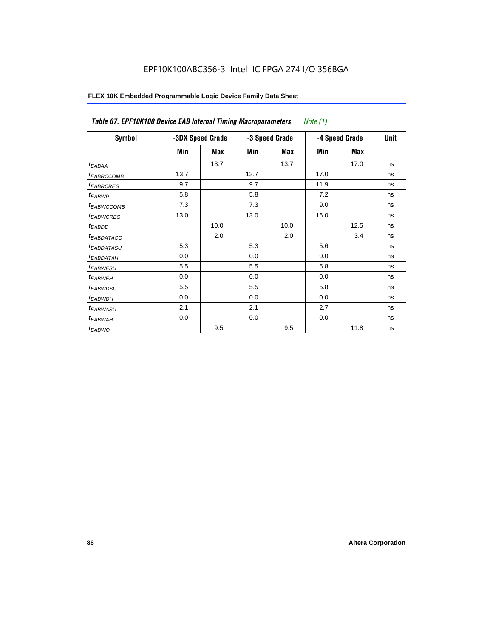| Table 67. EPF10K100 Device EAB Internal Timing Macroparameters<br>Note $(1)$ |      |                  |      |                |                |             |    |  |  |
|------------------------------------------------------------------------------|------|------------------|------|----------------|----------------|-------------|----|--|--|
| <b>Symbol</b>                                                                |      | -3DX Speed Grade |      | -3 Speed Grade | -4 Speed Grade | <b>Unit</b> |    |  |  |
|                                                                              | Min  | Max              | Min  | Max            | Min            | Max         |    |  |  |
| $t_{EABA}$                                                                   |      | 13.7             |      | 13.7           |                | 17.0        | ns |  |  |
| <sup>t</sup> EABRCCOMB                                                       | 13.7 |                  | 13.7 |                | 17.0           |             | ns |  |  |
| <sup>t</sup> EABRCREG                                                        | 9.7  |                  | 9.7  |                | 11.9           |             | ns |  |  |
| <sup>t</sup> EABWP                                                           | 5.8  |                  | 5.8  |                | 7.2            |             | ns |  |  |
| <sup>t</sup> EABWCCOMB                                                       | 7.3  |                  | 7.3  |                | 9.0            |             | ns |  |  |
| <sup>t</sup> EABWCREG                                                        | 13.0 |                  | 13.0 |                | 16.0           |             | ns |  |  |
| <sup>t</sup> EABDD                                                           |      | 10.0             |      | 10.0           |                | 12.5        | ns |  |  |
| <sup>t</sup> EABDATACO                                                       |      | 2.0              |      | 2.0            |                | 3.4         | ns |  |  |
| <sup>t</sup> EABDATASU                                                       | 5.3  |                  | 5.3  |                | 5.6            |             | ns |  |  |
| <sup>I</sup> EABDATAH                                                        | 0.0  |                  | 0.0  |                | 0.0            |             | ns |  |  |
| <b><i>EABWESU</i></b>                                                        | 5.5  |                  | 5.5  |                | 5.8            |             | ns |  |  |
| <sup>t</sup> EABWEH                                                          | 0.0  |                  | 0.0  |                | 0.0            |             | ns |  |  |
| <sup>t</sup> EABWDSU                                                         | 5.5  |                  | 5.5  |                | 5.8            |             | ns |  |  |
| <sup>t</sup> EABWDH                                                          | 0.0  |                  | 0.0  |                | 0.0            |             | ns |  |  |
| <sup>t</sup> EABWASU                                                         | 2.1  |                  | 2.1  |                | 2.7            |             | ns |  |  |
| <sup>t</sup> EABWAH                                                          | 0.0  |                  | 0.0  |                | 0.0            |             | ns |  |  |
| t <sub>EABWO</sub>                                                           |      | 9.5              |      | 9.5            |                | 11.8        | ns |  |  |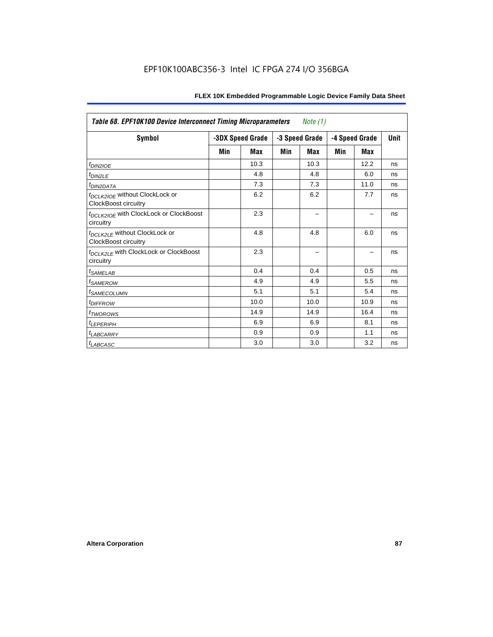| <b>Table 68. EPF10K100 Device Interconnect Timing Microparameters</b><br>Note $(1)$ |     |                  |     |                |     |                |             |  |  |
|-------------------------------------------------------------------------------------|-----|------------------|-----|----------------|-----|----------------|-------------|--|--|
| Symbol                                                                              |     | -3DX Speed Grade |     | -3 Speed Grade |     | -4 Speed Grade | <b>Unit</b> |  |  |
|                                                                                     | Min | <b>Max</b>       | Min | <b>Max</b>     | Min | <b>Max</b>     |             |  |  |
| $tD$ IN2IOE                                                                         |     | 10.3             |     | 10.3           |     | 12.2           | ns          |  |  |
| t <sub>DIN2LE</sub>                                                                 |     | 4.8              |     | 4.8            |     | 6.0            | ns          |  |  |
| <i>t<sub>DIN2DATA</sub></i>                                                         |     | 7.3              |     | 7.3            |     | 11.0           | ns          |  |  |
| t <sub>DCLK2IOE</sub> without ClockLock or<br>ClockBoost circuitry                  |     | 6.2              |     | 6.2            |     | 7.7            | ns          |  |  |
| t <sub>DCLK2IOE</sub> with ClockLock or ClockBoost<br>circuitry                     |     | 2.3              |     |                |     |                | ns          |  |  |
| t <sub>DCLK2LE</sub> without ClockLock or<br>ClockBoost circuitry                   |     | 4.8              |     | 4.8            |     | 6.0            | ns          |  |  |
| t <sub>DCLK2LE</sub> with ClockLock or ClockBoost<br>circuitry                      |     | 2.3              |     |                |     |                | ns          |  |  |
| <sup>t</sup> SAMELAB                                                                |     | 0.4              |     | 0.4            |     | 0.5            | ns          |  |  |
| <i>t<sub>SAMEROW</sub></i>                                                          |     | 4.9              |     | 4.9            |     | 5.5            | ns          |  |  |
| <i><b>ISAMECOLUMN</b></i>                                                           |     | 5.1              |     | 5.1            |     | 5.4            | ns          |  |  |
| <i>t<sub>DIFFROW</sub></i>                                                          |     | 10.0             |     | 10.0           |     | 10.9           | ns          |  |  |
| <sup>t</sup> TWOROWS                                                                |     | 14.9             |     | 14.9           |     | 16.4           | ns          |  |  |
| t <sub>LEPERIPH</sub>                                                               |     | 6.9              |     | 6.9            |     | 8.1            | ns          |  |  |
| <b>LABCARRY</b>                                                                     |     | 0.9              |     | 0.9            |     | 1.1            | ns          |  |  |
| t <sub>LABCASC</sub>                                                                |     | 3.0              |     | 3.0            |     | 3.2            | ns          |  |  |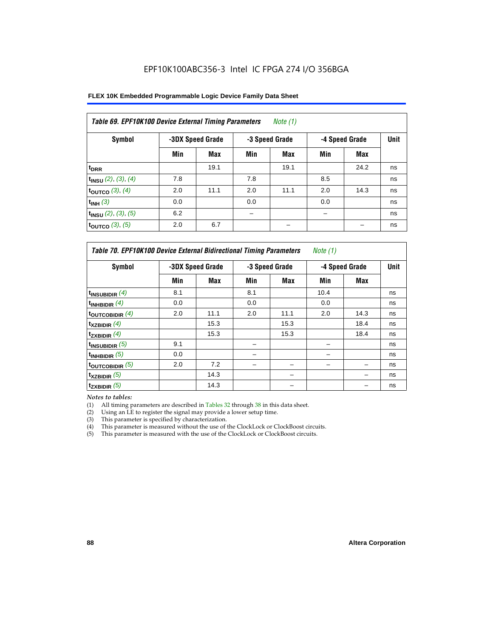| FLEX 10K Embedded Programmable Logic Device Family Data Sheet |  |
|---------------------------------------------------------------|--|
|---------------------------------------------------------------|--|

| Table 69. EPF10K100 Device External Timing Parameters<br>Note $(1)$ |     |                  |     |                |                |      |    |
|---------------------------------------------------------------------|-----|------------------|-----|----------------|----------------|------|----|
| Symbol                                                              |     | -3DX Speed Grade |     | -3 Speed Grade | -4 Speed Grade | Unit |    |
|                                                                     | Min | Max              | Min | Max            | Min            | Max  |    |
| t <sub>DRR</sub>                                                    |     | 19.1             |     | 19.1           |                | 24.2 | ns |
| $t_{INSU}$ (2), (3), (4)                                            | 7.8 |                  | 7.8 |                | 8.5            |      | ns |
| toutco $(3)$ , $(4)$                                                | 2.0 | 11.1             | 2.0 | 11.1           | 2.0            | 14.3 | ns |
| $t_{INH}$ (3)                                                       | 0.0 |                  | 0.0 |                | 0.0            |      | ns |
| $t_{INSU}$ (2), (3), (5)                                            | 6.2 |                  |     |                |                |      | ns |
| toutco $(3)$ , $(5)$                                                | 2.0 | 6.7              |     |                |                |      | ns |

| Table 70. EPF10K100 Device External Bidirectional Timing Parameters<br>Note (1) |     |                  |     |                |                |             |    |
|---------------------------------------------------------------------------------|-----|------------------|-----|----------------|----------------|-------------|----|
| Symbol                                                                          |     | -3DX Speed Grade |     | -3 Speed Grade | -4 Speed Grade | <b>Unit</b> |    |
|                                                                                 | Min | Max              | Min | Max            | Min            | <b>Max</b>  |    |
| $t_{INSUBIDIR}(4)$                                                              | 8.1 |                  | 8.1 |                | 10.4           |             | ns |
| $t_{INHBIDIR}$ (4)                                                              | 0.0 |                  | 0.0 |                | 0.0            |             | ns |
| toutcobidir $(4)$                                                               | 2.0 | 11.1             | 2.0 | 11.1           | 2.0            | 14.3        | ns |
| $t_{XZBIDIR}$ (4)                                                               |     | 15.3             |     | 15.3           |                | 18.4        | ns |
| $t_{ZXBIDIR}$ (4)                                                               |     | 15.3             |     | 15.3           |                | 18.4        | ns |
| $t_{INSUBIDIR}$ (5)                                                             | 9.1 |                  |     |                |                |             | ns |
| $t_{INHBIDIR}$ (5)                                                              | 0.0 |                  |     |                |                |             | ns |
| toutcobidir $(5)$                                                               | 2.0 | 7.2              |     |                |                |             | ns |
| $t_{XZBIDIR}$ (5)                                                               |     | 14.3             |     |                |                |             | ns |
| $t_{ZXBIDIR}$ (5)                                                               |     | 14.3             |     |                |                |             | ns |

*Notes to tables:*

(1) All timing parameters are described in Tables 32 through 38 in this data sheet.

(2) Using an LE to register the signal may provide a lower setup time.

(3) This parameter is specified by characterization.

(4) This parameter is measured without the use of the ClockLock or ClockBoost circuits.

(5) This parameter is measured with the use of the ClockLock or ClockBoost circuits.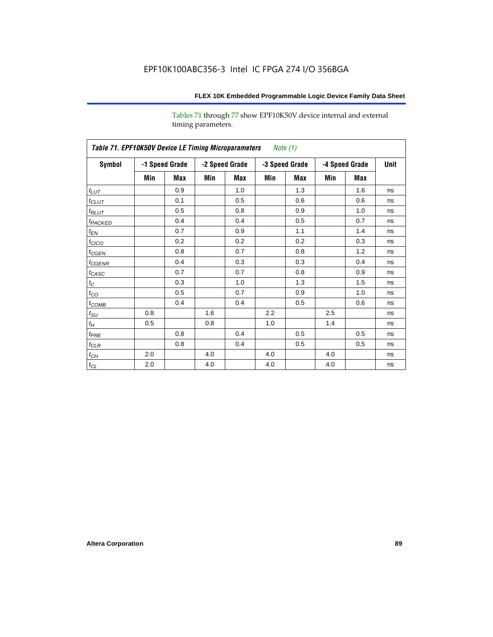Tables 71 through 77 show EPF10K50V device internal and external timing parameters.

| Table 71. EPF10K50V Device LE Timing Microparameters Note (1) |     |                |     |                |     |                |     |                |             |
|---------------------------------------------------------------|-----|----------------|-----|----------------|-----|----------------|-----|----------------|-------------|
| Symbol                                                        |     | -1 Speed Grade |     | -2 Speed Grade |     | -3 Speed Grade |     | -4 Speed Grade | <b>Unit</b> |
|                                                               | Min | Max            | Min | Max            | Min | Max            | Min | Max            |             |
| $t_{LUT}$                                                     |     | 0.9            |     | 1.0            |     | 1.3            |     | 1.6            | ns          |
| $t_{CLUT}$                                                    |     | 0.1            |     | 0.5            |     | 0.6            |     | 0.6            | ns          |
| $t_{RLUT}$                                                    |     | 0.5            |     | 0.8            |     | 0.9            |     | 1.0            | ns          |
| t <sub>PACKED</sub>                                           |     | 0.4            |     | 0.4            |     | 0.5            |     | 0.7            | ns          |
| $t_{EN}$                                                      |     | 0.7            |     | 0.9            |     | 1.1            |     | 1.4            | ns          |
| $t_{CICO}$                                                    |     | 0.2            |     | 0.2            |     | 0.2            |     | 0.3            | ns          |
| $t_{\text{GEN}}$                                              |     | 0.8            |     | 0.7            |     | 0.8            |     | 1.2            | ns          |
| $t_{\text{GENR}}$                                             |     | 0.4            |     | 0.3            |     | 0.3            |     | 0.4            | ns          |
| $t_{CASC}$                                                    |     | 0.7            |     | 0.7            |     | 0.8            |     | 0.9            | ns          |
| $t_C$                                                         |     | 0.3            |     | 1.0            |     | 1.3            |     | 1.5            | ns          |
| $t_{CO}$                                                      |     | 0.5            |     | 0.7            |     | 0.9            |     | 1.0            | ns          |
| $t_{COMB}$                                                    |     | 0.4            |     | 0.4            |     | 0.5            |     | 0.6            | ns          |
| $t_{\text{SU}}$                                               | 0.8 |                | 1.6 |                | 2.2 |                | 2.5 |                | ns          |
| $t_H\,$                                                       | 0.5 |                | 0.8 |                | 1.0 |                | 1.4 |                | ns          |
| $t_{PRE}$                                                     |     | 0.8            |     | 0.4            |     | 0.5            |     | 0.5            | ns          |
| $t_{CLR}$                                                     |     | 0.8            |     | 0.4            |     | 0.5            |     | 0.5            | ns          |
| $t_{\mathit{CH}}$                                             | 2.0 |                | 4.0 |                | 4.0 |                | 4.0 |                | ns          |
| $t_{\rm CL}$                                                  | 2.0 |                | 4.0 |                | 4.0 |                | 4.0 |                | ns          |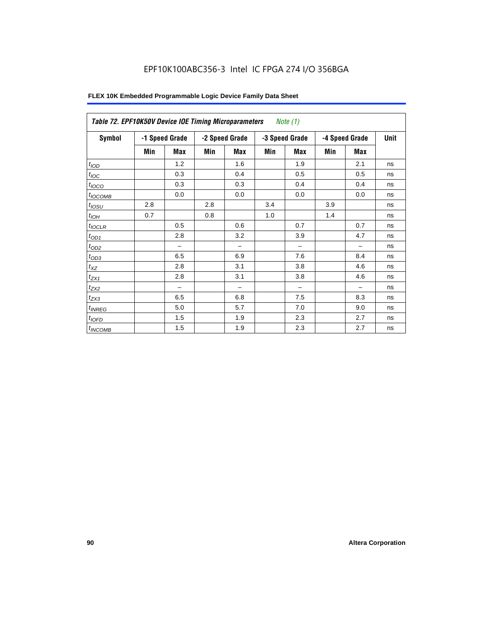| Symbol           |     | -1 Speed Grade |     | -2 Speed Grade           | -3 Speed Grade |                          |     | -4 Speed Grade | <b>Unit</b> |
|------------------|-----|----------------|-----|--------------------------|----------------|--------------------------|-----|----------------|-------------|
|                  | Min | Max            | Min | <b>Max</b>               | Min            | <b>Max</b>               | Min | <b>Max</b>     |             |
| t <sub>IOD</sub> |     | 1.2            |     | 1.6                      |                | 1.9                      |     | 2.1            | ns          |
| $t_{\text{IOC}}$ |     | 0.3            |     | 0.4                      |                | 0.5                      |     | 0.5            | ns          |
| $t_{IOCO}$       |     | 0.3            |     | 0.3                      |                | 0.4                      |     | 0.4            | ns          |
| $t_{IOCOMB}$     |     | 0.0            |     | 0.0                      |                | 0.0                      |     | 0.0            | ns          |
| $t_{IOSU}$       | 2.8 |                | 2.8 |                          | 3.4            |                          | 3.9 |                | ns          |
| $t_{IOH}$        | 0.7 |                | 0.8 |                          | 1.0            |                          | 1.4 |                | ns          |
| $t_{IOCLR}$      |     | 0.5            |     | 0.6                      |                | 0.7                      |     | 0.7            | ns          |
| $t_{OD1}$        |     | 2.8            |     | 3.2                      |                | 3.9                      |     | 4.7            | ns          |
| $t_{OD2}$        |     |                |     | $\overline{\phantom{0}}$ |                | $\overline{\phantom{0}}$ |     | -              | ns          |
| $t_{OD3}$        |     | 6.5            |     | 6.9                      |                | 7.6                      |     | 8.4            | ns          |
| $t_{XZ}$         |     | 2.8            |     | 3.1                      |                | 3.8                      |     | 4.6            | ns          |
| $t_{ZX1}$        |     | 2.8            |     | 3.1                      |                | 3.8                      |     | 4.6            | ns          |
| $t_{ZX2}$        |     |                |     |                          |                | -                        |     |                | ns          |
| $t_{ZX3}$        |     | 6.5            |     | 6.8                      |                | 7.5                      |     | 8.3            | ns          |
| $t_{INREG}$      |     | 5.0            |     | 5.7                      |                | 7.0                      |     | 9.0            | ns          |
| $t_{IOFD}$       |     | 1.5            |     | 1.9                      |                | 2.3                      |     | 2.7            | ns          |
| $t_{INCOMB}$     |     | 1.5            |     | 1.9                      |                | 2.3                      |     | 2.7            | ns          |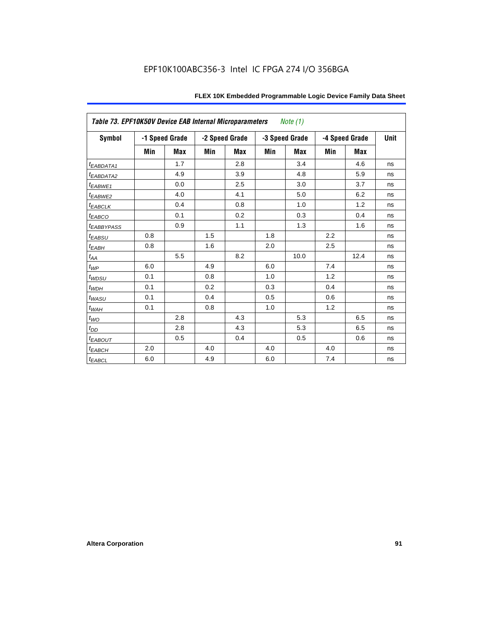|                         | Table 73. EPF10K50V Device EAB Internal Microparameters<br><i>Note</i> $(1)$ |                |     |                |     |                |     |                |             |
|-------------------------|------------------------------------------------------------------------------|----------------|-----|----------------|-----|----------------|-----|----------------|-------------|
| <b>Symbol</b>           |                                                                              | -1 Speed Grade |     | -2 Speed Grade |     | -3 Speed Grade |     | -4 Speed Grade | <b>Unit</b> |
|                         | Min                                                                          | Max            | Min | <b>Max</b>     | Min | <b>Max</b>     | Min | Max            |             |
| <i>EABDATA1</i>         |                                                                              | 1.7            |     | 2.8            |     | 3.4            |     | 4.6            | ns          |
| <sup>t</sup> EABDATA2   |                                                                              | 4.9            |     | 3.9            |     | 4.8            |     | 5.9            | ns          |
| t <sub>EABWE1</sub>     |                                                                              | 0.0            |     | 2.5            |     | 3.0            |     | 3.7            | ns          |
| t <sub>EABWE2</sub>     |                                                                              | 4.0            |     | 4.1            |     | 5.0            |     | 6.2            | ns          |
| <sup>t</sup> EABCLK     |                                                                              | 0.4            |     | 0.8            |     | 1.0            |     | 1.2            | ns          |
| $t_{EABCO}$             |                                                                              | 0.1            |     | 0.2            |     | 0.3            |     | 0.4            | ns          |
| <i><b>EABBYPASS</b></i> |                                                                              | 0.9            |     | 1.1            |     | 1.3            |     | 1.6            | ns          |
| $t_{EABSU}$             | 0.8                                                                          |                | 1.5 |                | 1.8 |                | 2.2 |                | ns          |
| $t_{EABH}$              | 0.8                                                                          |                | 1.6 |                | 2.0 |                | 2.5 |                | ns          |
| $t_{AA}$                |                                                                              | 5.5            |     | 8.2            |     | 10.0           |     | 12.4           | ns          |
| $t_{WP}$                | 6.0                                                                          |                | 4.9 |                | 6.0 |                | 7.4 |                | ns          |
| $t_{WDSU}$              | 0.1                                                                          |                | 0.8 |                | 1.0 |                | 1.2 |                | ns          |
| $t_{WDH}$               | 0.1                                                                          |                | 0.2 |                | 0.3 |                | 0.4 |                | ns          |
| $t_{WASU}$              | 0.1                                                                          |                | 0.4 |                | 0.5 |                | 0.6 |                | ns          |
| $t_{W\!A\!H}$           | 0.1                                                                          |                | 0.8 |                | 1.0 |                | 1.2 |                | ns          |
| $t_{WO}$                |                                                                              | 2.8            |     | 4.3            |     | 5.3            |     | 6.5            | ns          |
| $t_{DD}$                |                                                                              | 2.8            |     | 4.3            |     | 5.3            |     | 6.5            | ns          |
| <b><i>EABOUT</i></b>    |                                                                              | 0.5            |     | 0.4            |     | 0.5            |     | 0.6            | ns          |
| $t_{EABCH}$             | 2.0                                                                          |                | 4.0 |                | 4.0 |                | 4.0 |                | ns          |
| $t_{EABCL}$             | 6.0                                                                          |                | 4.9 |                | 6.0 |                | 7.4 |                | ns          |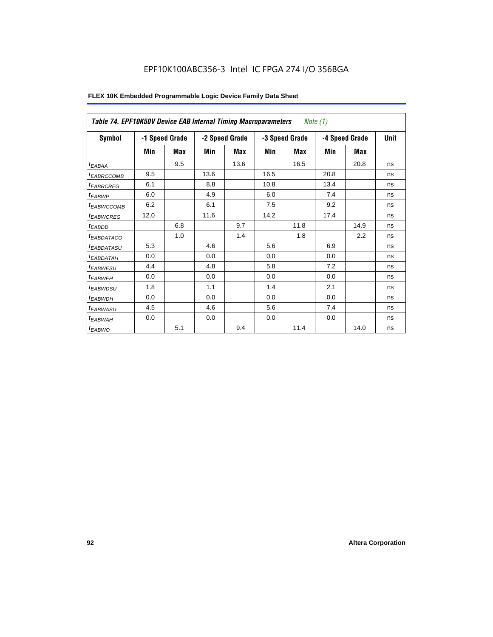|                        | Table 74. EPF10K50V Device EAB Internal Timing Macroparameters<br>Note (1) |                |      |                |      |                |      |                |             |
|------------------------|----------------------------------------------------------------------------|----------------|------|----------------|------|----------------|------|----------------|-------------|
| Symbol                 |                                                                            | -1 Speed Grade |      | -2 Speed Grade |      | -3 Speed Grade |      | -4 Speed Grade | <b>Unit</b> |
|                        | Min                                                                        | Max            | Min  | Max            | Min  | Max            | Min  | Max            |             |
| $t_{EABA}$             |                                                                            | 9.5            |      | 13.6           |      | 16.5           |      | 20.8           | ns          |
| <sup>t</sup> EABRCCOMB | 9.5                                                                        |                | 13.6 |                | 16.5 |                | 20.8 |                | ns          |
| <sup>t</sup> EABRCREG  | 6.1                                                                        |                | 8.8  |                | 10.8 |                | 13.4 |                | ns          |
| <sup>t</sup> EABWP     | 6.0                                                                        |                | 4.9  |                | 6.0  |                | 7.4  |                | ns          |
| <sup>t</sup> EABWCCOMB | 6.2                                                                        |                | 6.1  |                | 7.5  |                | 9.2  |                | ns          |
| <sup>t</sup> EABWCREG  | 12.0                                                                       |                | 11.6 |                | 14.2 |                | 17.4 |                | ns          |
| <sup>t</sup> EABDD     |                                                                            | 6.8            |      | 9.7            |      | 11.8           |      | 14.9           | ns          |
| <sup>t</sup> EABDATACO |                                                                            | 1.0            |      | 1.4            |      | 1.8            |      | 2.2            | ns          |
| <sup>t</sup> EABDATASU | 5.3                                                                        |                | 4.6  |                | 5.6  |                | 6.9  |                | ns          |
| <sup>t</sup> EABDATAH  | 0.0                                                                        |                | 0.0  |                | 0.0  |                | 0.0  |                | ns          |
| <sup>t</sup> EABWESU   | 4.4                                                                        |                | 4.8  |                | 5.8  |                | 7.2  |                | ns          |
| $t_{EABWEH}$           | 0.0                                                                        |                | 0.0  |                | 0.0  |                | 0.0  |                | ns          |
| <sup>t</sup> EABWDSU   | 1.8                                                                        |                | 1.1  |                | 1.4  |                | 2.1  |                | ns          |
| <sup>t</sup> EABWDH    | 0.0                                                                        |                | 0.0  |                | 0.0  |                | 0.0  |                | ns          |
| <sup>t</sup> EABWASU   | 4.5                                                                        |                | 4.6  |                | 5.6  |                | 7.4  |                | ns          |
| <sup>t</sup> EABWAH    | 0.0                                                                        |                | 0.0  |                | 0.0  |                | 0.0  |                | ns          |
| $t_{EABWO}$            |                                                                            | 5.1            |      | 9.4            |      | 11.4           |      | 14.0           | ns          |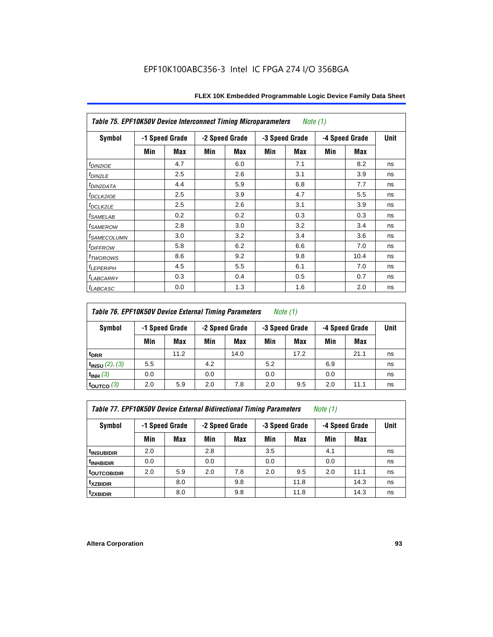|                            | Table 75. EPF10K50V Device Interconnect Timing Microparameters<br>Note (1) |                |     |                |     |                |     |                |             |
|----------------------------|----------------------------------------------------------------------------|----------------|-----|----------------|-----|----------------|-----|----------------|-------------|
| Symbol                     |                                                                            | -1 Speed Grade |     | -2 Speed Grade |     | -3 Speed Grade |     | -4 Speed Grade | <b>Unit</b> |
|                            | Min                                                                        | Max            | Min | Max            | Min | Max            | Min | Max            |             |
| $t_{DINZIOE}$              |                                                                            | 4.7            |     | 6.0            |     | 7.1            |     | 8.2            | ns          |
| t <sub>DIN2LE</sub>        |                                                                            | 2.5            |     | 2.6            |     | 3.1            |     | 3.9            | ns          |
| <sup>t</sup> DIN2DATA      |                                                                            | 4.4            |     | 5.9            |     | 6.8            |     | 7.7            | ns          |
| t <sub>DCLK2IOE</sub>      |                                                                            | 2.5            |     | 3.9            |     | 4.7            |     | 5.5            | ns          |
| $t_{DCLK2LE}$              |                                                                            | 2.5            |     | 2.6            |     | 3.1            |     | 3.9            | ns          |
| <i>t<sub>SAMELAB</sub></i> |                                                                            | 0.2            |     | 0.2            |     | 0.3            |     | 0.3            | ns          |
| <sup>t</sup> SAMEROW       |                                                                            | 2.8            |     | 3.0            |     | 3.2            |     | 3.4            | ns          |
| <sup>t</sup> SAMECOLUMN    |                                                                            | 3.0            |     | 3.2            |     | 3.4            |     | 3.6            | ns          |
| <i>t<sub>DIFFROW</sub></i> |                                                                            | 5.8            |     | 6.2            |     | 6.6            |     | 7.0            | ns          |
| t <sub>TWOROWS</sub>       |                                                                            | 8.6            |     | 9.2            |     | 9.8            |     | 10.4           | ns          |
| $t_{LEPERIPH}$             |                                                                            | 4.5            |     | 5.5            |     | 6.1            |     | 7.0            | ns          |
| t <sub>LABCARRY</sub>      |                                                                            | 0.3            |     | 0.4            |     | 0.5            |     | 0.7            | ns          |
| <i>t<sub>LABCASC</sub></i> |                                                                            | 0.0            |     | 1.3            |     | 1.6            |     | 2.0            | ns          |

# *Table 76. EPF10K50V Device External Timing Parameters Note (1)*

| Symbol                   |     | -1 Speed Grade |     | -2 Speed Grade | -3 Speed Grade |      | -4 Speed Grade |      | <b>Unit</b> |
|--------------------------|-----|----------------|-----|----------------|----------------|------|----------------|------|-------------|
|                          | Min | Max            | Min | Max            | Min            | Max  | Min            | Max  |             |
| t <sub>DRR</sub>         |     | 11.2           |     | 14.0           |                | 17.2 |                | 21.1 | ns          |
| $t_{INSU}$ (2), (3)      | 5.5 |                | 4.2 |                | 5.2            |      | 6.9            |      | ns          |
| $t_{INH}$ (3)            | 0.0 |                | 0.0 |                | 0.0            |      | 0.0            |      | ns          |
| $\tt_{\text{OUTCO}}$ (3) | 2.0 | 5.9            | 2.0 | 7.8            | 2.0            | 9.5  | 2.0            | 11.1 | ns          |

*Table 77. EPF10K50V Device External Bidirectional Timing Parameters Note (1)*

| Symbol                         |     | -1 Speed Grade |     | -2 Speed Grade |     | -3 Speed Grade |     | -4 Speed Grade |    |
|--------------------------------|-----|----------------|-----|----------------|-----|----------------|-----|----------------|----|
|                                | Min | Max            | Min | Max            | Min | Max            | Min | <b>Max</b>     |    |
| <sup>t</sup> INSUBIDIR         | 2.0 |                | 2.8 |                | 3.5 |                | 4.1 |                | ns |
| <sup>t</sup> INHBIDIR          | 0.0 |                | 0.0 |                | 0.0 |                | 0.0 |                | ns |
| t <sub>outco<u>bidir</u></sub> | 2.0 | 5.9            | 2.0 | 7.8            | 2.0 | 9.5            | 2.0 | 11.1           | ns |
| <sup>t</sup> xzbidir           |     | 8.0            |     | 9.8            |     | 11.8           |     | 14.3           | ns |
| <sup>t</sup> zxbidir           |     | 8.0            |     | 9.8            |     | 11.8           |     | 14.3           | ns |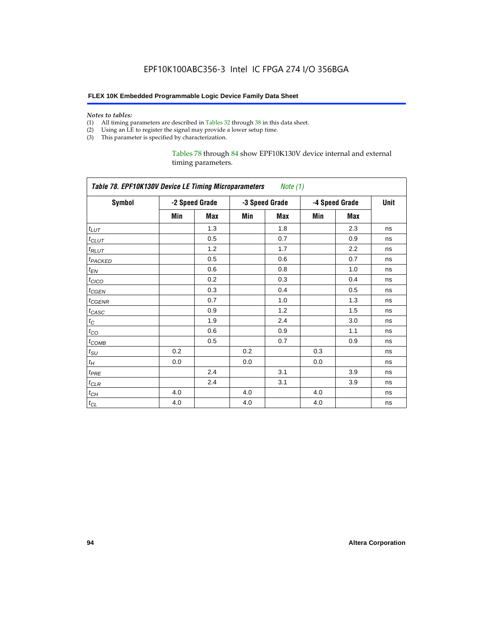#### *Notes to tables:*

- (1) All timing parameters are described in Tables 32 through 38 in this data sheet.
- (2) Using an LE to register the signal may provide a lower setup time.
- (3) This parameter is specified by characterization.

#### Tables 78 through 84 show EPF10K130V device internal and external timing parameters.

|                     | Table 78. EPF10K130V Device LE Timing Microparameters Note (1) |                |     |                |     |                |      |  |
|---------------------|----------------------------------------------------------------|----------------|-----|----------------|-----|----------------|------|--|
| <b>Symbol</b>       |                                                                | -2 Speed Grade |     | -3 Speed Grade |     | -4 Speed Grade | Unit |  |
|                     | Min                                                            | Max            | Min | Max            | Min | Max            |      |  |
| $t_{LUT}$           |                                                                | 1.3            |     | 1.8            |     | 2.3            | ns   |  |
| $t_{CLUT}$          |                                                                | 0.5            |     | 0.7            |     | 0.9            | ns   |  |
| $t_{RLUT}$          |                                                                | 1.2            |     | 1.7            |     | 2.2            | ns   |  |
| t <sub>PACKED</sub> |                                                                | 0.5            |     | 0.6            |     | 0.7            | ns   |  |
| $t_{EN}$            |                                                                | 0.6            |     | 0.8            |     | 1.0            | ns   |  |
| $t_{CICO}$          |                                                                | 0.2            |     | 0.3            |     | 0.4            | ns   |  |
| $t_{GEN}$           |                                                                | 0.3            |     | 0.4            |     | 0.5            | ns   |  |
| t <sub>CGENR</sub>  |                                                                | 0.7            |     | 1.0            |     | 1.3            | ns   |  |
| $t_{CASC}$          |                                                                | 0.9            |     | 1.2            |     | 1.5            | ns   |  |
| $t_C$               |                                                                | 1.9            |     | 2.4            |     | 3.0            | ns   |  |
| $t_{CO}$            |                                                                | 0.6            |     | 0.9            |     | 1.1            | ns   |  |
| $t_{COMB}$          |                                                                | 0.5            |     | 0.7            |     | 0.9            | ns   |  |
| $t_{\rm SU}$        | 0.2                                                            |                | 0.2 |                | 0.3 |                | ns   |  |
| $t_H$               | 0.0                                                            |                | 0.0 |                | 0.0 |                | ns   |  |
| $t_{PRE}$           |                                                                | 2.4            |     | 3.1            |     | 3.9            | ns   |  |
| $t_{CLR}$           |                                                                | 2.4            |     | 3.1            |     | 3.9            | ns   |  |
| $t_{CH}$            | 4.0                                                            |                | 4.0 |                | 4.0 |                | ns   |  |
| $t_{CL}$            | 4.0                                                            |                | 4.0 |                | 4.0 |                | ns   |  |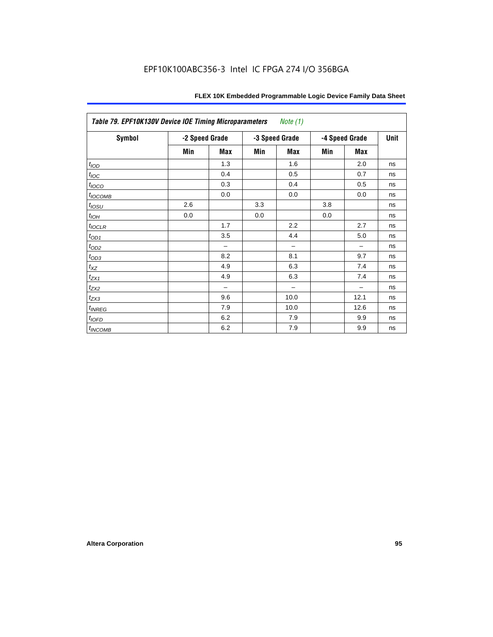| Table 79. EPF10K130V Device IOE Timing Microparameters Note (1) |                |            |     |                |     |                |      |
|-----------------------------------------------------------------|----------------|------------|-----|----------------|-----|----------------|------|
| <b>Symbol</b>                                                   | -2 Speed Grade |            |     | -3 Speed Grade |     | -4 Speed Grade | Unit |
|                                                                 | Min            | <b>Max</b> | Min | <b>Max</b>     | Min | <b>Max</b>     |      |
| $t_{I \underline{OD}}$                                          |                | 1.3        |     | 1.6            |     | 2.0            | ns   |
| $t_{\text{IOC}}$                                                |                | 0.4        |     | 0.5            |     | 0.7            | ns   |
| $t_{IOCO}$                                                      |                | 0.3        |     | 0.4            |     | 0.5            | ns   |
| $t_{IOCOMB}$                                                    |                | 0.0        |     | 0.0            |     | 0.0            | ns   |
| $t_{IOSU}$                                                      | 2.6            |            | 3.3 |                | 3.8 |                | ns   |
| $t_{IOH}$                                                       | 0.0            |            | 0.0 |                | 0.0 |                | ns   |
| $t_{IOCLR}$                                                     |                | 1.7        |     | 2.2            |     | 2.7            | ns   |
| $t_{OD1}$                                                       |                | 3.5        |     | 4.4            |     | 5.0            | ns   |
| $t_{\underline{OD2}}$                                           |                | -          |     |                |     |                | ns   |
| $t_{OD3}$                                                       |                | 8.2        |     | 8.1            |     | 9.7            | ns   |
| $t_{XZ}$                                                        |                | 4.9        |     | 6.3            |     | 7.4            | ns   |
| $t_{ZX1}$                                                       |                | 4.9        |     | 6.3            |     | 7.4            | ns   |
| $t_{ZX2}$                                                       |                |            |     |                |     |                | ns   |
| $t_{ZX3}$                                                       |                | 9.6        |     | 10.0           |     | 12.1           | ns   |
| $t_{INREG}$                                                     |                | 7.9        |     | 10.0           |     | 12.6           | ns   |
| t <sub>IOFD</sub>                                               |                | 6.2        |     | 7.9            |     | 9.9            | ns   |
| $t_{INCOMB}$                                                    |                | 6.2        |     | 7.9            |     | 9.9            | ns   |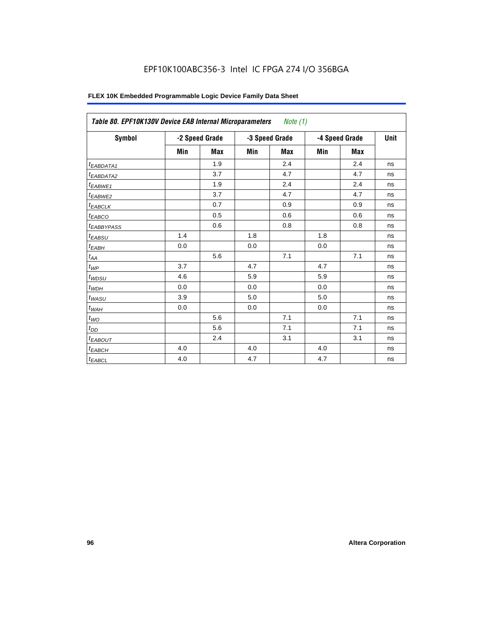| FLEX 10K Embedded Programmable Logic Device Family Data Sheet |  |
|---------------------------------------------------------------|--|
|---------------------------------------------------------------|--|

| Table 80. EPF10K130V Device EAB Internal Microparameters |     |                |     | Note $(1)$     |     |                |      |
|----------------------------------------------------------|-----|----------------|-----|----------------|-----|----------------|------|
| Symbol                                                   |     | -2 Speed Grade |     | -3 Speed Grade |     | -4 Speed Grade | Unit |
|                                                          | Min | <b>Max</b>     | Min | Max            | Min | Max            |      |
| <sup>t</sup> EABDATA1                                    |     | 1.9            |     | 2.4            |     | 2.4            | ns   |
| t <sub>EABDATA2</sub>                                    |     | 3.7            |     | 4.7            |     | 4.7            | ns   |
| $t_{EABWE1}$                                             |     | 1.9            |     | 2.4            |     | 2.4            | ns   |
| t <sub>EABWE2</sub>                                      |     | 3.7            |     | 4.7            |     | 4.7            | ns   |
| <sup>t</sup> EABCLK                                      |     | 0.7            |     | 0.9            |     | 0.9            | ns   |
| t <sub>EABCO</sub>                                       |     | 0.5            |     | 0.6            |     | 0.6            | ns   |
| <sup>t</sup> EABBYPASS                                   |     | 0.6            |     | 0.8            |     | 0.8            | ns   |
| t <sub>EABSU</sub>                                       | 1.4 |                | 1.8 |                | 1.8 |                | ns   |
| t <sub>ЕАВН</sub>                                        | 0.0 |                | 0.0 |                | 0.0 |                | ns   |
| $t_{AA}$                                                 |     | 5.6            |     | 7.1            |     | 7.1            | ns   |
| $t_{WP}$                                                 | 3.7 |                | 4.7 |                | 4.7 |                | ns   |
| $t_{WDSU}$                                               | 4.6 |                | 5.9 |                | 5.9 |                | ns   |
| $t_{WDH}$                                                | 0.0 |                | 0.0 |                | 0.0 |                | ns   |
| $t_{WASU}$                                               | 3.9 |                | 5.0 |                | 5.0 |                | ns   |
| $t_{\sf WAH}$                                            | 0.0 |                | 0.0 |                | 0.0 |                | ns   |
| $t_{WO}$                                                 |     | 5.6            |     | 7.1            |     | 7.1            | ns   |
| $t_{DD}$                                                 |     | 5.6            |     | 7.1            |     | 7.1            | ns   |
| <sup>t</sup> EABOUT                                      |     | 2.4            |     | 3.1            |     | 3.1            | ns   |
| $t_{EABCH}$                                              | 4.0 |                | 4.0 |                | 4.0 |                | ns   |
| $t_{EABCL}$                                              | 4.0 |                | 4.7 |                | 4.7 |                | ns   |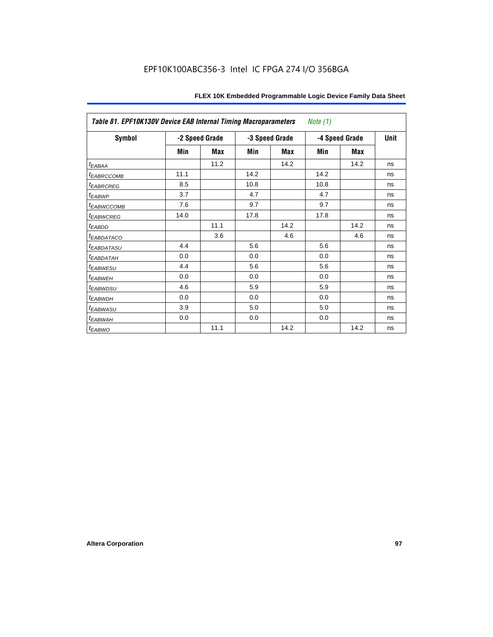| Table 81. EPF10K130V Device EAB Internal Timing Macroparameters |      |                |      |                | Note $(1)$ |                |    |
|-----------------------------------------------------------------|------|----------------|------|----------------|------------|----------------|----|
| <b>Symbol</b>                                                   |      | -2 Speed Grade |      | -3 Speed Grade |            | -4 Speed Grade |    |
|                                                                 | Min  | <b>Max</b>     | Min  | Max            | Min        | Max            |    |
| <sup>t</sup> EABAA                                              |      | 11.2           |      | 14.2           |            | 14.2           | ns |
| <b><i>EABRCCOMB</i></b>                                         | 11.1 |                | 14.2 |                | 14.2       |                | ns |
| <sup>t</sup> EABRCREG                                           | 8.5  |                | 10.8 |                | 10.8       |                | ns |
| <i>EABWP</i>                                                    | 3.7  |                | 4.7  |                | 4.7        |                | ns |
| <b><i>EABWCCOMB</i></b>                                         | 7.6  |                | 9.7  |                | 9.7        |                | ns |
| <b><i>EABWCREG</i></b>                                          | 14.0 |                | 17.8 |                | 17.8       |                | ns |
| t <sub>EABDD</sub>                                              |      | 11.1           |      | 14.2           |            | 14.2           | ns |
| <b><i>EABDATACO</i></b>                                         |      | 3.6            |      | 4.6            |            | 4.6            | ns |
| <sup>t</sup> EABDATASU                                          | 4.4  |                | 5.6  |                | 5.6        |                | ns |
| <sup>t</sup> EABDATAH                                           | 0.0  |                | 0.0  |                | 0.0        |                | ns |
| <sup>t</sup> EABWESU                                            | 4.4  |                | 5.6  |                | 5.6        |                | ns |
| <sup>t</sup> EABWEH                                             | 0.0  |                | 0.0  |                | 0.0        |                | ns |
| <sup>t</sup> EABWDSU                                            | 4.6  |                | 5.9  |                | 5.9        |                | ns |
| <sup>t</sup> EABWDH                                             | 0.0  |                | 0.0  |                | 0.0        |                | ns |
| <sup>t</sup> EABWASU                                            | 3.9  |                | 5.0  |                | 5.0        |                | ns |
| <sup>t</sup> EABWAH                                             | 0.0  |                | 0.0  |                | 0.0        |                | ns |
| $t_{EABWO}$                                                     |      | 11.1           |      | 14.2           |            | 14.2           | ns |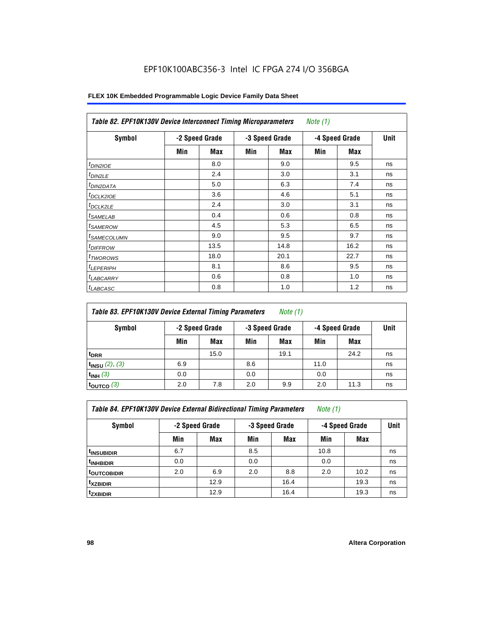| Symbol                  | -2 Speed Grade |      | -3 Speed Grade |            | -4 Speed Grade |      | <b>Unit</b> |
|-------------------------|----------------|------|----------------|------------|----------------|------|-------------|
|                         | Min            | Max  | Min            | <b>Max</b> | Min            | Max  |             |
| $t_{DINZIOE}$           |                | 8.0  |                | 9.0        |                | 9.5  | ns          |
| t <sub>DIN2LE</sub>     |                | 2.4  |                | 3.0        |                | 3.1  | ns          |
| <sup>t</sup> DIN2DATA   |                | 5.0  |                | 6.3        |                | 7.4  | ns          |
| <sup>t</sup> DCLK2IOE   |                | 3.6  |                | 4.6        |                | 5.1  | ns          |
| <sup>t</sup> DCLK2LE    |                | 2.4  |                | 3.0        |                | 3.1  | ns          |
| <sup>t</sup> SAMELAB    |                | 0.4  |                | 0.6        |                | 0.8  | ns          |
| <sup>t</sup> SAMEROW    |                | 4.5  |                | 5.3        |                | 6.5  | ns          |
| <sup>t</sup> SAMECOLUMN |                | 9.0  |                | 9.5        |                | 9.7  | ns          |
| <sup>t</sup> DIFFROW    |                | 13.5 |                | 14.8       |                | 16.2 | ns          |
| <sup>t</sup> TWOROWS    |                | 18.0 |                | 20.1       |                | 22.7 | ns          |
| <sup>t</sup> LEPERIPH   |                | 8.1  |                | 8.6        |                | 9.5  | ns          |
| <sup>I</sup> LABCARRY   |                | 0.6  |                | 0.8        |                | 1.0  | ns          |
| <sup>t</sup> LABCASC    |                | 0.8  |                | 1.0        |                | 1.2  | ns          |

| Table 83. EPF10K130V Device External Timing Parameters | Note (1) |
|--------------------------------------------------------|----------|
|--------------------------------------------------------|----------|

| Symbol                 | -2 Speed Grade |      |     | -3 Speed Grade |      | -4 Speed Grade |    |
|------------------------|----------------|------|-----|----------------|------|----------------|----|
|                        | Min            | Max  | Min | Max            | Min  | Max            |    |
| t <sub>DRR</sub>       |                | 15.0 |     | 19.1           |      | 24.2           | ns |
| $t_{INSU}$ (2), (3)    | 6.9            |      | 8.6 |                | 11.0 |                | ns |
| $t_{INH}$ (3)          | 0.0            |      | 0.0 |                | 0.0  |                | ns |
| $t_{\text{OUTCO}}$ (3) | 2.0            | 7.8  | 2.0 | 9.9            | 2.0  | 11.3           | ns |

| <b>Table 84. EPF10K130V Device External Bidirectional Timing Parameters</b> | Note (1) |  |
|-----------------------------------------------------------------------------|----------|--|
|-----------------------------------------------------------------------------|----------|--|

| Symbol                 | -2 Speed Grade |            |     | -3 Speed Grade |      | -4 Speed Grade |    |
|------------------------|----------------|------------|-----|----------------|------|----------------|----|
|                        | Min            | <b>Max</b> | Min | <b>Max</b>     | Min  | Max            |    |
| <sup>t</sup> insubidir | 6.7            |            | 8.5 |                | 10.8 |                | ns |
| <sup>t</sup> INHBIDIR  | 0.0            |            | 0.0 |                | 0.0  |                | ns |
| <b>toutcobidir</b>     | 2.0            | 6.9        | 2.0 | 8.8            | 2.0  | 10.2           | ns |
| <sup>t</sup> xzbidir   |                | 12.9       |     | 16.4           |      | 19.3           | ns |
| <i>t</i> zxbidir       |                | 12.9       |     | 16.4           |      | 19.3           | ns |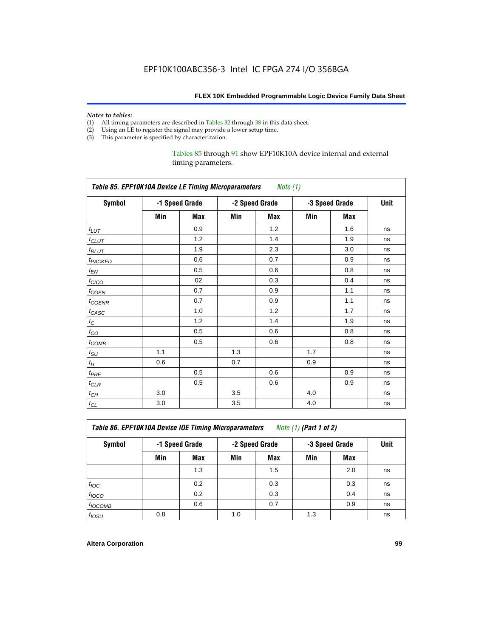# *Notes to tables:*<br>(1) All timing p

- (1) All timing parameters are described in Tables 32 through 38 in this data sheet.<br>(2) Using an LE to register the signal may provide a lower setup time.
- Using an LE to register the signal may provide a lower setup time.
- (3) This parameter is specified by characterization.

#### Tables 85 through 91 show EPF10K10A device internal and external timing parameters.

|                               | Table 85. EPF10K10A Device LE Timing Microparameters<br>Note (1) |                |     |                |     |                |    |  |  |
|-------------------------------|------------------------------------------------------------------|----------------|-----|----------------|-----|----------------|----|--|--|
| <b>Symbol</b>                 |                                                                  | -1 Speed Grade |     | -2 Speed Grade |     | -3 Speed Grade |    |  |  |
|                               | Min                                                              | <b>Max</b>     | Min | <b>Max</b>     | Min | <b>Max</b>     |    |  |  |
| $t_{LUT}$                     |                                                                  | 0.9            |     | 1.2            |     | 1.6            | ns |  |  |
| $t_{CLUT}$                    |                                                                  | 1.2            |     | 1.4            |     | 1.9            | ns |  |  |
| $t_{RLUT}$                    |                                                                  | 1.9            |     | 2.3            |     | 3.0            | ns |  |  |
| t <sub>PACKED</sub>           |                                                                  | 0.6            |     | 0.7            |     | 0.9            | ns |  |  |
| $t_{EN}$                      |                                                                  | 0.5            |     | 0.6            |     | 0.8            | ns |  |  |
| $t_{CICO}$                    |                                                                  | 02             |     | 0.3            |     | 0.4            | ns |  |  |
| $t_{GEN}$                     |                                                                  | 0.7            |     | 0.9            |     | 1.1            | ns |  |  |
| $t_{CGENR}$                   |                                                                  | 0.7            |     | 0.9            |     | 1.1            | ns |  |  |
| $t_{CASC}$                    |                                                                  | 1.0            |     | 1.2            |     | 1.7            | ns |  |  |
| $t_{\rm C}$                   |                                                                  | 1.2            |     | 1.4            |     | 1.9            | ns |  |  |
| $t_{\rm CO}$                  |                                                                  | 0.5            |     | 0.6            |     | 0.8            | ns |  |  |
| $t_{\text{COMB}}$             |                                                                  | 0.5            |     | 0.6            |     | 0.8            | ns |  |  |
| $t_{\rm SU}$                  | 1.1                                                              |                | 1.3 |                | 1.7 |                | ns |  |  |
| $t_{\!H}$                     | 0.6                                                              |                | 0.7 |                | 0.9 |                | ns |  |  |
| $t_{PRE}$                     |                                                                  | 0.5            |     | 0.6            |     | 0.9            | ns |  |  |
| $t_{\ensuremath{\text{CLR}}}$ |                                                                  | 0.5            |     | 0.6            |     | 0.9            | ns |  |  |
| $t_{\mathbb{C} H}$            | 3.0                                                              |                | 3.5 |                | 4.0 |                | ns |  |  |
| $t_{CL}$                      | 3.0                                                              |                | 3.5 |                | 4.0 |                | ns |  |  |

*Table 86. EPF10K10A Device IOE Timing Microparameters Note (1) (Part 1 of 2)*

| Symbol           | -1 Speed Grade |            |     | -2 Speed Grade |     | -3 Speed Grade |    |  |
|------------------|----------------|------------|-----|----------------|-----|----------------|----|--|
|                  | Min            | <b>Max</b> | Min | Max            | Min | <b>Max</b>     |    |  |
|                  |                | 1.3        |     | 1.5            |     | 2.0            | ns |  |
| $t_{\text{IOC}}$ |                | 0.2        |     | 0.3            |     | 0.3            | ns |  |
| $t_{IOCO}$       |                | 0.2        |     | 0.3            |     | 0.4            | ns |  |
| $t_{IOCOMB}$     |                | 0.6        |     | 0.7            |     | 0.9            | ns |  |
| $t_{IOSU}$       | 0.8            |            | 1.0 |                | 1.3 |                | ns |  |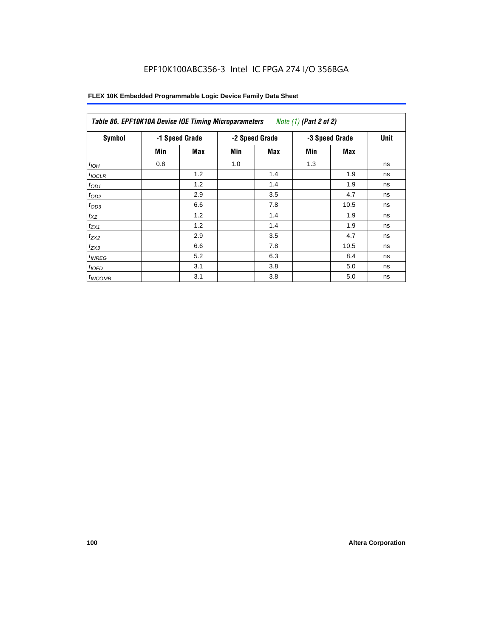| Symbol             |     | -1 Speed Grade |     | -2 Speed Grade | -3 Speed Grade | <b>Unit</b> |    |
|--------------------|-----|----------------|-----|----------------|----------------|-------------|----|
|                    | Min | Max            | Min | Max            | Min            | Max         |    |
| $t_{IOH}$          | 0.8 |                | 1.0 |                | 1.3            |             | ns |
| $t_{IOCLR}$        |     | 1.2            |     | 1.4            |                | 1.9         | ns |
| $t_{OD1}$          |     | 1.2            |     | 1.4            |                | 1.9         | ns |
| $t_{OD2}$          |     | 2.9            |     | 3.5            |                | 4.7         | ns |
| $t_{OD3}$          |     | 6.6            |     | 7.8            |                | 10.5        | ns |
| $t_{XZ}$           |     | 1.2            |     | 1.4            |                | 1.9         | ns |
| $t_{ZX1}$          |     | 1.2            |     | 1.4            |                | 1.9         | ns |
| $t_{ZX2}$          |     | 2.9            |     | 3.5            |                | 4.7         | ns |
| $t_{ZX3}$          |     | 6.6            |     | 7.8            |                | 10.5        | ns |
| <sup>t</sup> INREG |     | 5.2            |     | 6.3            |                | 8.4         | ns |
| $t_{IOFD}$         |     | 3.1            |     | 3.8            |                | 5.0         | ns |
| $t_{INCOMB}$       |     | 3.1            |     | 3.8            |                | 5.0         | ns |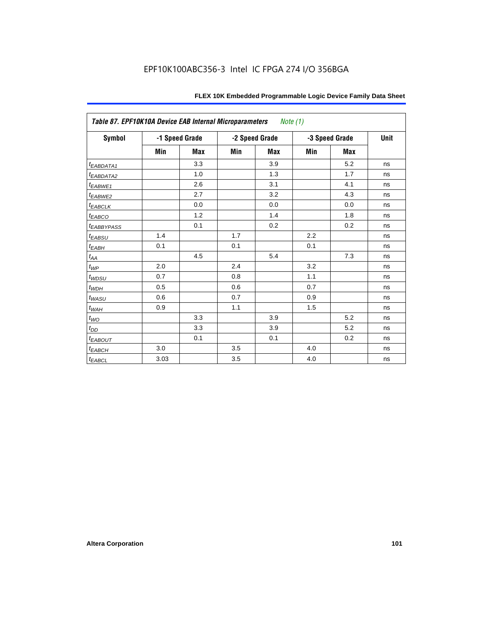| Table 87. EPF10K10A Device EAB Internal Microparameters Note (1) |      |                |     |                |     |                |      |
|------------------------------------------------------------------|------|----------------|-----|----------------|-----|----------------|------|
| <b>Symbol</b>                                                    |      | -1 Speed Grade |     | -2 Speed Grade |     | -3 Speed Grade | Unit |
|                                                                  | Min  | <b>Max</b>     | Min | <b>Max</b>     | Min | <b>Max</b>     |      |
| t <sub>EABDATA1</sub>                                            |      | 3.3            |     | 3.9            |     | 5.2            | ns   |
| t <sub>EABDATA2</sub>                                            |      | 1.0            |     | 1.3            |     | 1.7            | ns   |
| $t_{EABWE1}$                                                     |      | 2.6            |     | 3.1            |     | 4.1            | ns   |
| t <sub>EABWE2</sub>                                              |      | 2.7            |     | 3.2            |     | 4.3            | ns   |
| $t_{EABCLK}$                                                     |      | 0.0            |     | 0.0            |     | 0.0            | ns   |
| $t_{EABCO}$                                                      |      | 1.2            |     | 1.4            |     | 1.8            | ns   |
| <i><b>EABBYPASS</b></i>                                          |      | 0.1            |     | 0.2            |     | 0.2            | ns   |
| $t_{EABSU}$                                                      | 1.4  |                | 1.7 |                | 2.2 |                | ns   |
| $t_{EABH}$                                                       | 0.1  |                | 0.1 |                | 0.1 |                | ns   |
| $t_{\mathit{AA}}$                                                |      | 4.5            |     | 5.4            |     | 7.3            | ns   |
| $t_{\mathit{WP}}$                                                | 2.0  |                | 2.4 |                | 3.2 |                | ns   |
| $t_{WDSU}$                                                       | 0.7  |                | 0.8 |                | 1.1 |                | ns   |
| $t_{WDH}$                                                        | 0.5  |                | 0.6 |                | 0.7 |                | ns   |
| $t_{WASU}$                                                       | 0.6  |                | 0.7 |                | 0.9 |                | ns   |
| $t_{WAH}$                                                        | 0.9  |                | 1.1 |                | 1.5 |                | ns   |
| $t_{WO}$                                                         |      | 3.3            |     | 3.9            |     | 5.2            | ns   |
| $t_{DD}$                                                         |      | 3.3            |     | 3.9            |     | 5.2            | ns   |
| $t_{EABOUT}$                                                     |      | 0.1            |     | 0.1            |     | 0.2            | ns   |
| $t_{EABCH}$                                                      | 3.0  |                | 3.5 |                | 4.0 |                | ns   |
| $t_{EABCL}$                                                      | 3.03 |                | 3.5 |                | 4.0 |                | ns   |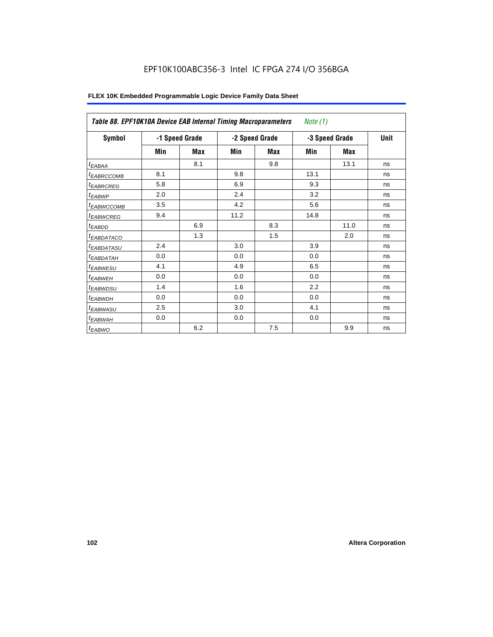| Table 88. EPF10K10A Device EAB Internal Timing Macroparameters |     |                |      |                | Note (1)       |      |    |
|----------------------------------------------------------------|-----|----------------|------|----------------|----------------|------|----|
| Symbol                                                         |     | -1 Speed Grade |      | -2 Speed Grade | -3 Speed Grade | Unit |    |
|                                                                | Min | <b>Max</b>     | Min  | Max            | Min            | Max  |    |
| $t_{EABA}$                                                     |     | 8.1            |      | 9.8            |                | 13.1 | ns |
| <sup>t</sup> EABRCCOMB                                         | 8.1 |                | 9.8  |                | 13.1           |      | ns |
| <sup>t</sup> EABRCREG                                          | 5.8 |                | 6.9  |                | 9.3            |      | ns |
| <sup>t</sup> EABWP                                             | 2.0 |                | 2.4  |                | 3.2            |      | ns |
| <sup>t</sup> EABWCCOMB                                         | 3.5 |                | 4.2  |                | 5.6            |      | ns |
| <sup>t</sup> EABWCREG                                          | 9.4 |                | 11.2 |                | 14.8           |      | ns |
| <sup>t</sup> EABDD                                             |     | 6.9            |      | 8.3            |                | 11.0 | ns |
| <sup>t</sup> EABDATACO                                         |     | 1.3            |      | 1.5            |                | 2.0  | ns |
| <sup>t</sup> EABDATASU                                         | 2.4 |                | 3.0  |                | 3.9            |      | ns |
| <sup>t</sup> EABDATAH                                          | 0.0 |                | 0.0  |                | 0.0            |      | ns |
| <sup>t</sup> EABWESU                                           | 4.1 |                | 4.9  |                | 6.5            |      | ns |
| <sup>t</sup> EABWEH                                            | 0.0 |                | 0.0  |                | 0.0            |      | ns |
| <sup>t</sup> EABWDSU                                           | 1.4 |                | 1.6  |                | 2.2            |      | ns |
| <sup>t</sup> EABWDH                                            | 0.0 |                | 0.0  |                | 0.0            |      | ns |
| <sup>t</sup> EABWASU                                           | 2.5 |                | 3.0  |                | 4.1            |      | ns |
| <sup>t</sup> EABWAH                                            | 0.0 |                | 0.0  |                | 0.0            |      | ns |
| <sup>t</sup> EABWO                                             |     | 6.2            |      | 7.5            |                | 9.9  | ns |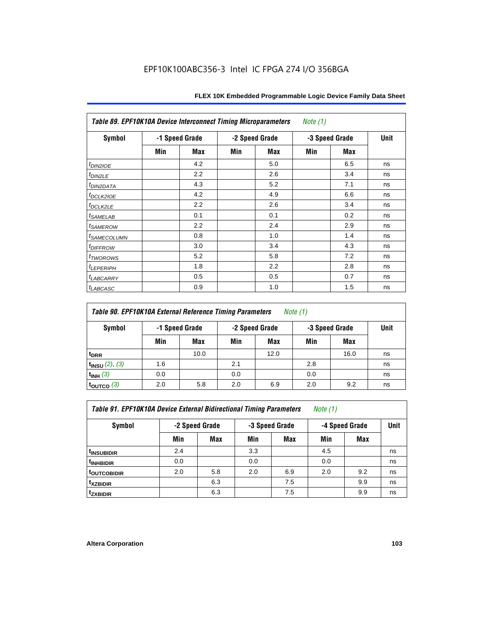| Table 89. EPF10K10A Device Interconnect Timing Microparameters<br>Note (1) |                |     |     |                |                |            |      |  |  |
|----------------------------------------------------------------------------|----------------|-----|-----|----------------|----------------|------------|------|--|--|
| Symbol                                                                     | -1 Speed Grade |     |     | -2 Speed Grade | -3 Speed Grade |            | Unit |  |  |
|                                                                            | Min            | Max | Min | Max            | Min            | <b>Max</b> |      |  |  |
| $t_{DINZIOE}$                                                              |                | 4.2 |     | 5.0            |                | 6.5        | ns   |  |  |
| $t_{DIN2LE}$                                                               |                | 2.2 |     | 2.6            |                | 3.4        | ns   |  |  |
| <sup>t</sup> DIN2DATA                                                      |                | 4.3 |     | 5.2            |                | 7.1        | ns   |  |  |
| t <sub>DCLK2IOE</sub>                                                      |                | 4.2 |     | 4.9            |                | 6.6        | ns   |  |  |
| t <sub>DCLK2LE</sub>                                                       |                | 2.2 |     | 2.6            |                | 3.4        | ns   |  |  |
| <i>t</i> SAMELAB                                                           |                | 0.1 |     | 0.1            |                | 0.2        | ns   |  |  |
| <i>t</i> SAMEROW                                                           |                | 2.2 |     | 2.4            |                | 2.9        | ns   |  |  |
| <sup>t</sup> SAMECOLUMN                                                    |                | 0.8 |     | 1.0            |                | 1.4        | ns   |  |  |
| <i>t<sub>DIFFROW</sub></i>                                                 |                | 3.0 |     | 3.4            |                | 4.3        | ns   |  |  |
| t <sub>TWOROWS</sub>                                                       |                | 5.2 |     | 5.8            |                | 7.2        | ns   |  |  |
| <b><i>ILEPERIPH</i></b>                                                    |                | 1.8 |     | 2.2            |                | 2.8        | ns   |  |  |
| <sup>t</sup> LABCARRY                                                      |                | 0.5 |     | 0.5            |                | 0.7        | ns   |  |  |
| t <sub>LABCASC</sub>                                                       |                | 0.9 |     | 1.0            |                | 1.5        | ns   |  |  |

| <b>Table 90. EPF10K10A External Reference Timing Parameters</b> | Note (1) |
|-----------------------------------------------------------------|----------|
|-----------------------------------------------------------------|----------|

| Symbol                   | -1 Speed Grade |      | -2 Speed Grade |      | -3 Speed Grade | <b>Unit</b> |    |
|--------------------------|----------------|------|----------------|------|----------------|-------------|----|
|                          | Min            | Max  | Min            | Max  | Min            | Max         |    |
| t <sub>DRR</sub>         |                | 10.0 |                | 12.0 |                | 16.0        | ns |
| $t_{INSU}$ (2), (3)      | 1.6            |      | 2.1            |      | 2.8            |             | ns |
| $t_{INH}$ (3)            | 0.0            |      | 0.0            |      | 0.0            |             | ns |
| $\tt_{\text{OUTCO}}$ (3) | 2.0            | 5.8  | 2.0            | 6.9  | 2.0            | 9.2         | ns |

*Table 91. EPF10K10A Device External Bidirectional Timing Parameters Note (1)*

| Symbol                  | -2 Speed Grade |     |     | -3 Speed Grade | -4 Speed Grade | Unit       |    |
|-------------------------|----------------|-----|-----|----------------|----------------|------------|----|
|                         | Min            | Max | Min | <b>Max</b>     | Min            | <b>Max</b> |    |
| <sup>t</sup> insubidir  | 2.4            |     | 3.3 |                | 4.5            |            | ns |
| <sup>T</sup> INHBIDIR   | 0.0            |     | 0.0 |                | 0.0            |            | ns |
| <sup>t</sup> OUTCOBIDIR | 2.0            | 5.8 | 2.0 | 6.9            | 2.0            | 9.2        | ns |
| <sup>t</sup> xzbidir    |                | 6.3 |     | 7.5            |                | 9.9        | ns |
| <sup>t</sup> zxbidir    |                | 6.3 |     | 7.5            |                | 9.9        | ns |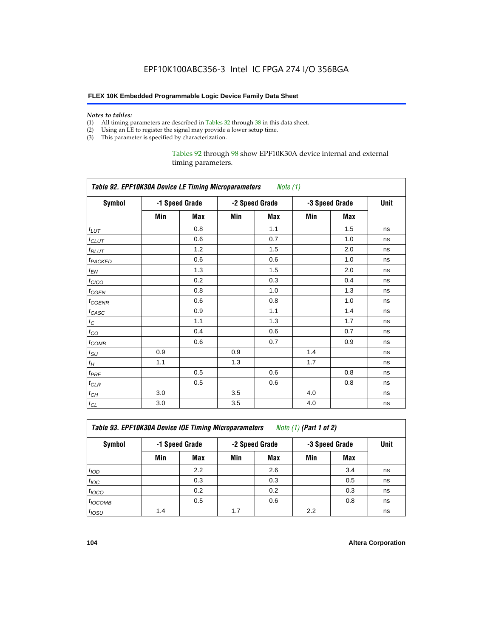#### *Notes to tables:*

- (1) All timing parameters are described in Tables 32 through 38 in this data sheet.
- (2) Using an LE to register the signal may provide a lower setup time.
- (3) This parameter is specified by characterization.

Tables 92 through 98 show EPF10K30A device internal and external timing parameters.

| Table 92. EPF10K30A Device LE Timing Microparameters Note (1) |                |     |                |     |                |     |      |  |  |
|---------------------------------------------------------------|----------------|-----|----------------|-----|----------------|-----|------|--|--|
| <b>Symbol</b>                                                 | -1 Speed Grade |     | -2 Speed Grade |     | -3 Speed Grade |     | Unit |  |  |
|                                                               | Min            | Max | Min            | Max | Min            | Max |      |  |  |
| $t_{LUT}$                                                     |                | 0.8 |                | 1.1 |                | 1.5 | ns   |  |  |
| $t_{CLUT}$                                                    |                | 0.6 |                | 0.7 |                | 1.0 | ns   |  |  |
| $t_{RLUT}$                                                    |                | 1.2 |                | 1.5 |                | 2.0 | ns   |  |  |
| <b><i>t<sub>PACKED</sub></i></b>                              |                | 0.6 |                | 0.6 |                | 1.0 | ns   |  |  |
| $t_{EN}$                                                      |                | 1.3 |                | 1.5 |                | 2.0 | ns   |  |  |
| $t_{CICO}$                                                    |                | 0.2 |                | 0.3 |                | 0.4 | ns   |  |  |
| $t_{\text{GEN}}$                                              |                | 0.8 |                | 1.0 |                | 1.3 | ns   |  |  |
| t <sub>CGENR</sub>                                            |                | 0.6 |                | 0.8 |                | 1.0 | ns   |  |  |
| $t_{CASC}$                                                    |                | 0.9 |                | 1.1 |                | 1.4 | ns   |  |  |
| $t_C$                                                         |                | 1.1 |                | 1.3 |                | 1.7 | ns   |  |  |
| $t_{CO}$                                                      |                | 0.4 |                | 0.6 |                | 0.7 | ns   |  |  |
| $t_{\text{COMB}}$                                             |                | 0.6 |                | 0.7 |                | 0.9 | ns   |  |  |
| $t_{\rm SU}$                                                  | 0.9            |     | 0.9            |     | 1.4            |     | ns   |  |  |
| $t_H$                                                         | 1.1            |     | 1.3            |     | 1.7            |     | ns   |  |  |
| $t_{PRE}$                                                     |                | 0.5 |                | 0.6 |                | 0.8 | ns   |  |  |
| $t_{CLR}$                                                     |                | 0.5 |                | 0.6 |                | 0.8 | ns   |  |  |
| $t_{CH}$                                                      | 3.0            |     | 3.5            |     | 4.0            |     | ns   |  |  |
| $t_{CL}$                                                      | 3.0            |     | 3.5            |     | 4.0            |     | ns   |  |  |

*Table 93. EPF10K30A Device IOE Timing Microparameters Note (1) (Part 1 of 2)*

| Symbol            |     | -1 Speed Grade |     | -2 Speed Grade |     | -3 Speed Grade |    |  |  |
|-------------------|-----|----------------|-----|----------------|-----|----------------|----|--|--|
|                   | Min | Max            | Min | <b>Max</b>     | Min | <b>Max</b>     |    |  |  |
| t <sub>IOD</sub>  |     | 2.2            |     | 2.6            |     | 3.4            | ns |  |  |
| $t_{\text{IOC}}$  |     | 0.3            |     | 0.3            |     | 0.5            | ns |  |  |
| $t_{IOCO}$        |     | 0.2            |     | 0.2            |     | 0.3            | ns |  |  |
| $t_{IOCOMB}$      |     | 0.5            |     | 0.6            |     | 0.8            | ns |  |  |
| t <sub>IOSU</sub> | 1.4 |                | 1.7 |                | 2.2 |                | ns |  |  |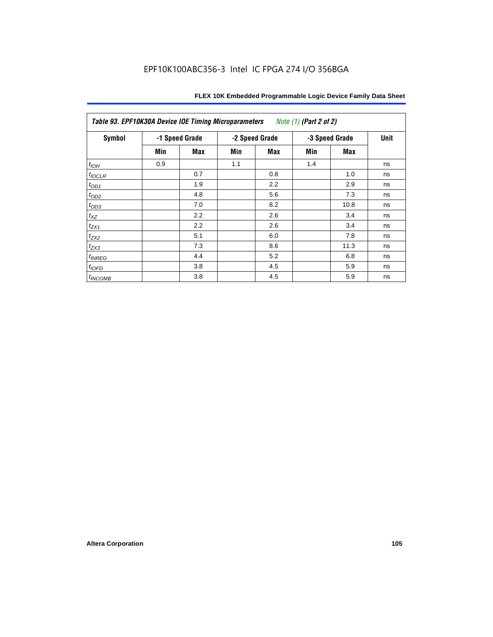| Table 93. EPF10K30A Device IOE Timing Microparameters<br>Note (1) (Part 2 of 2) |     |                |     |                |     |                |    |  |  |
|---------------------------------------------------------------------------------|-----|----------------|-----|----------------|-----|----------------|----|--|--|
| <b>Symbol</b>                                                                   |     | -1 Speed Grade |     | -2 Speed Grade |     | -3 Speed Grade |    |  |  |
|                                                                                 | Min | Max            | Min | Max            | Min | Max            |    |  |  |
| $t_{IOH}$                                                                       | 0.9 |                | 1.1 |                | 1.4 |                | ns |  |  |
| $t_{IOCLR}$                                                                     |     | 0.7            |     | 0.8            |     | 1.0            | ns |  |  |
| $t_{OD1}$                                                                       |     | 1.9            |     | 2.2            |     | 2.9            | ns |  |  |
| $t_{OD2}$                                                                       |     | 4.8            |     | 5.6            |     | 7.3            | ns |  |  |
| $t_{OD3}$                                                                       |     | 7.0            |     | 8.2            |     | 10.8           | ns |  |  |
| $t_{\mathsf{XZ}}$                                                               |     | 2.2            |     | 2.6            |     | 3.4            | ns |  |  |
| $t_{ZX1}$                                                                       |     | 2.2            |     | 2.6            |     | 3.4            | ns |  |  |
| $t_{ZX2}$                                                                       |     | 5.1            |     | 6.0            |     | 7.8            | ns |  |  |
| $t_{ZX3}$                                                                       |     | 7.3            |     | 8.6            |     | 11.3           | ns |  |  |
| $t_{INREG}$                                                                     |     | 4.4            |     | 5.2            |     | 6.8            | ns |  |  |
| $t_{IOFD}$                                                                      |     | 3.8            |     | 4.5            |     | 5.9            | ns |  |  |
| $t_{INCOMB}$                                                                    |     | 3.8            |     | 4.5            |     | 5.9            | ns |  |  |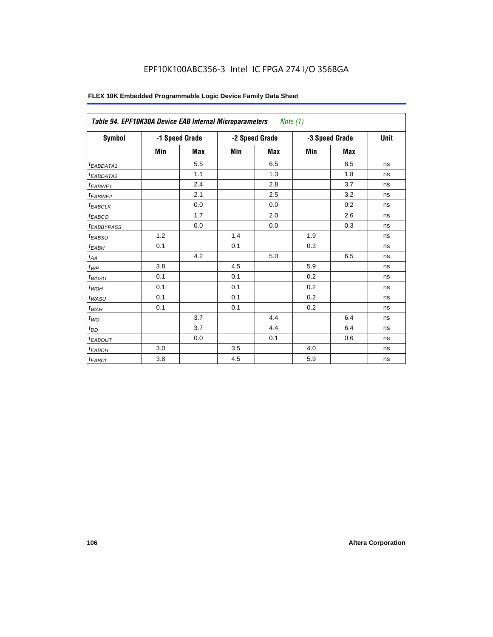| <b>Symbol</b>          |         | -1 Speed Grade |     | -2 Speed Grade |     | -3 Speed Grade | Unit |
|------------------------|---------|----------------|-----|----------------|-----|----------------|------|
|                        | Min     | <b>Max</b>     | Min | Max            | Min | <b>Max</b>     |      |
| <sup>t</sup> EABDATA1  |         | 5.5            |     | 6.5            |     | 8.5            | ns   |
| <sup>t</sup> EABDATA2  |         | 1.1            |     | 1.3            |     | 1.8            | ns   |
| t <sub>EABWE1</sub>    |         | 2.4            |     | 2.8            |     | 3.7            | ns   |
| <sup>t</sup> EABWE2    |         | 2.1            |     | 2.5            |     | 3.2            | ns   |
| <sup>t</sup> EABCLK    |         | 0.0            |     | 0.0            |     | 0.2            | ns   |
| t <sub>EABCO</sub>     |         | 1.7            |     | 2.0            |     | 2.6            | ns   |
| <sup>t</sup> EABBYPASS |         | 0.0            |     | 0.0            |     | 0.3            | ns   |
| t <sub>EABSU</sub>     | 1.2     |                | 1.4 |                | 1.9 |                | ns   |
| t <sub>ЕАВН</sub>      | 0.1     |                | 0.1 |                | 0.3 |                | ns   |
| $t_{AA}$               |         | 4.2            |     | 5.0            |     | 6.5            | ns   |
| $t_{\mathcal{WP}}$     | 3.8     |                | 4.5 |                | 5.9 |                | ns   |
| t <sub>WDSU</sub>      | 0.1     |                | 0.1 |                | 0.2 |                | ns   |
| $t_{WDH}$              | 0.1     |                | 0.1 |                | 0.2 |                | ns   |
| t <sub>WASU</sub>      | 0.1     |                | 0.1 |                | 0.2 |                | ns   |
| $t_{WAH}$              | 0.1     |                | 0.1 |                | 0.2 |                | ns   |
| $t_{WO}$               |         | 3.7            |     | 4.4            |     | 6.4            | ns   |
| $t_{DD}$               |         | 3.7            |     | 4.4            |     | 6.4            | ns   |
| <sup>t</sup> EABOUT    |         | 0.0            |     | 0.1            |     | 0.6            | ns   |
| $t_{EABCH}$            | 3.0     |                | 3.5 |                | 4.0 |                | ns   |
| $t_{EABCL}$            | $3.8\,$ |                | 4.5 |                | 5.9 |                | ns   |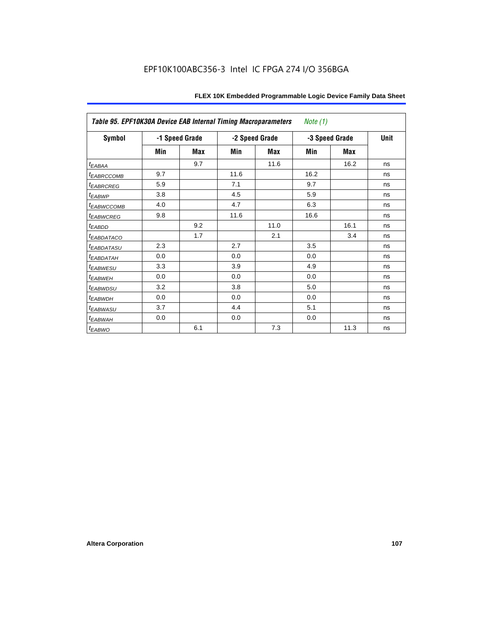| Table 95. EPF10K30A Device EAB Internal Timing Macroparameters<br>Note $(1)$ |                |            |                |            |                |      |             |  |  |
|------------------------------------------------------------------------------|----------------|------------|----------------|------------|----------------|------|-------------|--|--|
| Symbol                                                                       | -1 Speed Grade |            | -2 Speed Grade |            | -3 Speed Grade |      | <b>Unit</b> |  |  |
|                                                                              | Min            | <b>Max</b> | Min            | <b>Max</b> | Min            | Max  |             |  |  |
| $t_{EABA}$                                                                   |                | 9.7        |                | 11.6       |                | 16.2 | ns          |  |  |
| <sup>t</sup> EABRCCOMB                                                       | 9.7            |            | 11.6           |            | 16.2           |      | ns          |  |  |
| <sup>t</sup> EABRCREG                                                        | 5.9            |            | 7.1            |            | 9.7            |      | ns          |  |  |
| t <sub>EABWP</sub>                                                           | 3.8            |            | 4.5            |            | 5.9            |      | ns          |  |  |
| <sup>t</sup> ЕАВWССОМВ                                                       | 4.0            |            | 4.7            |            | 6.3            |      | ns          |  |  |
| <sup>t</sup> EABWCREG                                                        | 9.8            |            | 11.6           |            | 16.6           |      | ns          |  |  |
| $t_{EABDD}$                                                                  |                | 9.2        |                | 11.0       |                | 16.1 | ns          |  |  |
| <sup>t</sup> EABDATACO                                                       |                | 1.7        |                | 2.1        |                | 3.4  | ns          |  |  |
| <sup>t</sup> EABDATASU                                                       | 2.3            |            | 2.7            |            | 3.5            |      | ns          |  |  |
| <sup>t</sup> EABDATAH                                                        | 0.0            |            | 0.0            |            | 0.0            |      | ns          |  |  |
| <sup>t</sup> EABWESU                                                         | 3.3            |            | 3.9            |            | 4.9            |      | ns          |  |  |
| <sup>t</sup> ЕАВWЕН                                                          | 0.0            |            | 0.0            |            | 0.0            |      | ns          |  |  |
| <i>t<sub>EABWDSU</sub></i>                                                   | 3.2            |            | 3.8            |            | 5.0            |      | ns          |  |  |
| <sup>t</sup> EABWDH                                                          | 0.0            |            | 0.0            |            | 0.0            |      | ns          |  |  |
| <sup>t</sup> EABWASU                                                         | 3.7            |            | 4.4            |            | 5.1            |      | ns          |  |  |
| <sup>t</sup> EABWAH                                                          | 0.0            |            | 0.0            |            | 0.0            |      | ns          |  |  |
| $t_{EABWO}$                                                                  |                | 6.1        |                | 7.3        |                | 11.3 | ns          |  |  |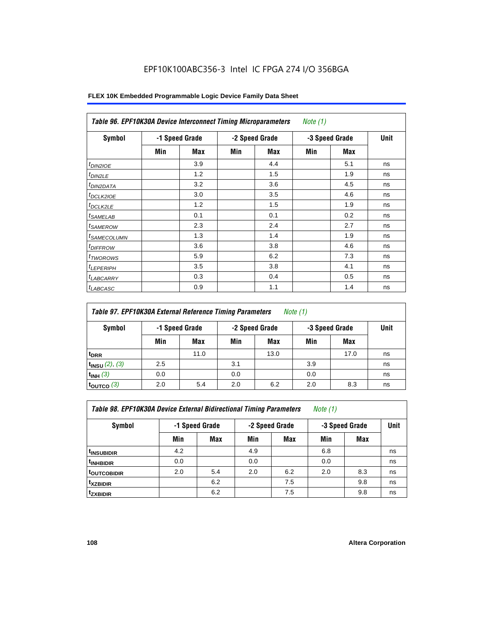# EPF10K100ABC356-3 Intel IC FPGA 274 I/O 356BGA

| Symbol                     |     | -1 Speed Grade |     | -2 Speed Grade | -3 Speed Grade | Unit |    |
|----------------------------|-----|----------------|-----|----------------|----------------|------|----|
|                            | Min | Max            | Min | Max            | Min            | Max  |    |
| $t_{DIN2IOE}$              |     | 3.9            |     | 4.4            |                | 5.1  | ns |
| t <sub>DIN2LE</sub>        |     | 1.2            |     | 1.5            |                | 1.9  | ns |
| <sup>t</sup> DIN2DATA      |     | 3.2            |     | 3.6            |                | 4.5  | ns |
| <sup>t</sup> DCLK2IOE      |     | 3.0            |     | 3.5            |                | 4.6  | ns |
| <sup>t</sup> DCLK2LE       |     | 1.2            |     | 1.5            |                | 1.9  | ns |
| <sup>t</sup> SAMELAB       |     | 0.1            |     | 0.1            |                | 0.2  | ns |
| <sup>t</sup> SAMEROW       |     | 2.3            |     | 2.4            |                | 2.7  | ns |
| <sup>t</sup> SAMECOLUMN    |     | 1.3            |     | 1.4            |                | 1.9  | ns |
| <i>t<sub>DIFFROW</sub></i> |     | 3.6            |     | 3.8            |                | 4.6  | ns |
| <sup>t</sup> TWOROWS       |     | 5.9            |     | 6.2            |                | 7.3  | ns |
| <sup>t</sup> LEPERIPH      |     | 3.5            |     | 3.8            |                | 4.1  | ns |
| <sup>I</sup> LABCARRY      |     | 0.3            |     | 0.4            |                | 0.5  | ns |
| <sup>t</sup> LABCASC       |     | 0.9            |     | 1.1            |                | 1.4  | ns |

# **FLEX 10K Embedded Programmable Logic Device Family Data Sheet**

|                          | Table 97. EPF10K30A External Reference Timing Parameters<br>Note (1) |                |     |                |     |                |             |  |  |  |
|--------------------------|----------------------------------------------------------------------|----------------|-----|----------------|-----|----------------|-------------|--|--|--|
| Symbol                   |                                                                      | -1 Speed Grade |     | -2 Speed Grade |     | -3 Speed Grade | <b>Unit</b> |  |  |  |
|                          | Min                                                                  | Max            | Min | Max            | Min | Max            |             |  |  |  |
| <sup>t</sup> DRR         |                                                                      | 11.0           |     | 13.0           |     | 17.0           | ns          |  |  |  |
| $t_{INSU}$ (2), (3)      | 2.5                                                                  |                | 3.1 |                | 3.9 |                | ns          |  |  |  |
| $t_{INH}$ (3)            | 0.0                                                                  |                | 0.0 |                | 0.0 |                | ns          |  |  |  |
| $t_{\text{OUTCO}}$ $(3)$ | 2.0                                                                  | 5.4            | 2.0 | 6.2            | 2.0 | 8.3            | ns          |  |  |  |

*Table 98. EPF10K30A Device External Bidirectional Timing Parameters Note (1)*

| Symbol                 |     | -1 Speed Grade |     | -2 Speed Grade |     | -3 Speed Grade |    |  |
|------------------------|-----|----------------|-----|----------------|-----|----------------|----|--|
|                        | Min | <b>Max</b>     | Min | <b>Max</b>     | Min | <b>Max</b>     |    |  |
| <sup>t</sup> INSUBIDIR | 4.2 |                | 4.9 |                | 6.8 |                | ns |  |
| <sup>t</sup> INHBIDIR  | 0.0 |                | 0.0 |                | 0.0 |                | ns |  |
| <b>toutcobidir</b>     | 2.0 | 5.4            | 2.0 | 6.2            | 2.0 | 8.3            | ns |  |
| <sup>t</sup> xzbidir   |     | 6.2            |     | 7.5            |     | 9.8            | ns |  |
| tzxbidir               |     | 6.2            |     | 7.5            |     | 9.8            | ns |  |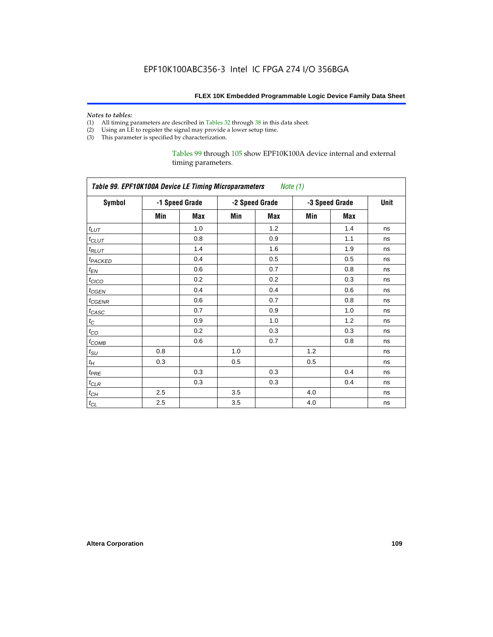#### *Notes to tables:*

- (1) All timing parameters are described in Tables 32 through 38 in this data sheet.
- (2) Using an LE to register the signal may provide a lower setup time.
- (3) This parameter is specified by characterization.

Tables 99 through 105 show EPF10K100A device internal and external timing parameters.

| Table 99. EPF10K100A Device LE Timing Microparameters Note (1) |     |                |     |                |     |                |      |  |  |
|----------------------------------------------------------------|-----|----------------|-----|----------------|-----|----------------|------|--|--|
| <b>Symbol</b>                                                  |     | -1 Speed Grade |     | -2 Speed Grade |     | -3 Speed Grade | Unit |  |  |
|                                                                | Min | Max            | Min | Max            | Min | Max            |      |  |  |
| $t_{LUT}$                                                      |     | 1.0            |     | 1.2            |     | 1.4            | ns   |  |  |
| $t_{CLUT}$                                                     |     | 0.8            |     | 0.9            |     | 1.1            | ns   |  |  |
| $t_{RLUT}$                                                     |     | 1.4            |     | 1.6            |     | 1.9            | ns   |  |  |
| t <sub>PACKED</sub>                                            |     | 0.4            |     | 0.5            |     | 0.5            | ns   |  |  |
| $t_{EN}$                                                       |     | 0.6            |     | 0.7            |     | 0.8            | ns   |  |  |
| $t_{CICO}$                                                     |     | 0.2            |     | 0.2            |     | 0.3            | ns   |  |  |
| $t_{CGEN}$                                                     |     | 0.4            |     | 0.4            |     | 0.6            | ns   |  |  |
| $t_{GENR}$                                                     |     | 0.6            |     | 0.7            |     | 0.8            | ns   |  |  |
| t <sub>CASC</sub>                                              |     | 0.7            |     | 0.9            |     | 1.0            | ns   |  |  |
| $t_{\rm C}$                                                    |     | 0.9            |     | 1.0            |     | 1.2            | ns   |  |  |
| $t_{CO}$                                                       |     | 0.2            |     | 0.3            |     | 0.3            | ns   |  |  |
| $t_{COMB}$                                                     |     | 0.6            |     | 0.7            |     | 0.8            | ns   |  |  |
| $t_{\rm SU}$                                                   | 0.8 |                | 1.0 |                | 1.2 |                | ns   |  |  |
| $t_H\,$                                                        | 0.3 |                | 0.5 |                | 0.5 |                | ns   |  |  |
| $t_{PRE}$                                                      |     | 0.3            |     | 0.3            |     | 0.4            | ns   |  |  |
| $t_{CLR}$                                                      |     | 0.3            |     | 0.3            |     | 0.4            | ns   |  |  |
| $t_{CH}$                                                       | 2.5 |                | 3.5 |                | 4.0 |                | ns   |  |  |
| $t_{CL}$                                                       | 2.5 |                | 3.5 |                | 4.0 |                | ns   |  |  |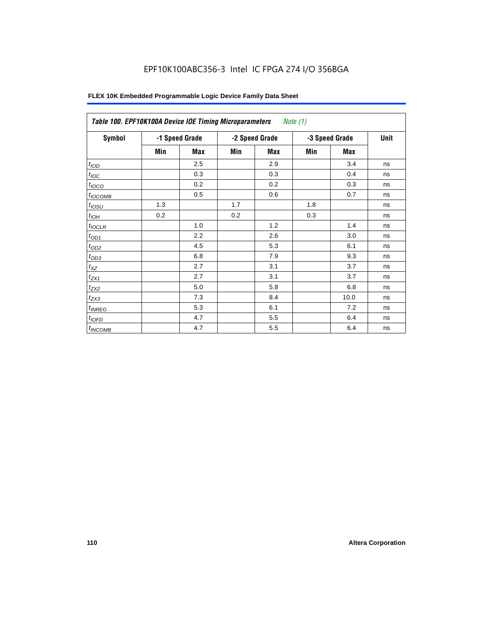# EPF10K100ABC356-3 Intel IC FPGA 274 I/O 356BGA

| Symbol              | -1 Speed Grade |     |     | -2 Speed Grade | -3 Speed Grade | Unit |    |
|---------------------|----------------|-----|-----|----------------|----------------|------|----|
|                     | Min            | Max | Min | Max            | Min            | Max  |    |
| t <sub>IOD</sub>    |                | 2.5 |     | 2.9            |                | 3.4  | ns |
| $t_{\text{IOC}}$    |                | 0.3 |     | 0.3            |                | 0.4  | ns |
| $t_{IOCO}$          |                | 0.2 |     | 0.2            |                | 0.3  | ns |
| t <sub>IOCOMB</sub> |                | 0.5 |     | 0.6            |                | 0.7  | ns |
| t <sub>iosu</sub>   | 1.3            |     | 1.7 |                | 1.8            |      | ns |
| $t_{IOH}$           | 0.2            |     | 0.2 |                | 0.3            |      | ns |
| $t_{IOCLR}$         |                | 1.0 |     | 1.2            |                | 1.4  | ns |
| $t_{OD1}$           |                | 2.2 |     | 2.6            |                | 3.0  | ns |
| $t_{OD2}$           |                | 4.5 |     | 5.3            |                | 6.1  | ns |
| $t_{OD3}$           |                | 6.8 |     | 7.9            |                | 9.3  | ns |
| $t_{XZ}$            |                | 2.7 |     | 3.1            |                | 3.7  | ns |
| $t_{ZX1}$           |                | 2.7 |     | 3.1            |                | 3.7  | ns |
| $t_{ZX2}$           |                | 5.0 |     | 5.8            |                | 6.8  | ns |
| $t_{ZX3}$           |                | 7.3 |     | 8.4            |                | 10.0 | ns |
| $t_{INREG}$         |                | 5.3 |     | 6.1            |                | 7.2  | ns |
| $t_{IOED}$          |                | 4.7 |     | 5.5            |                | 6.4  | ns |
| <sup>t</sup> INCOMB |                | 4.7 |     | 5.5            |                | 6.4  | ns |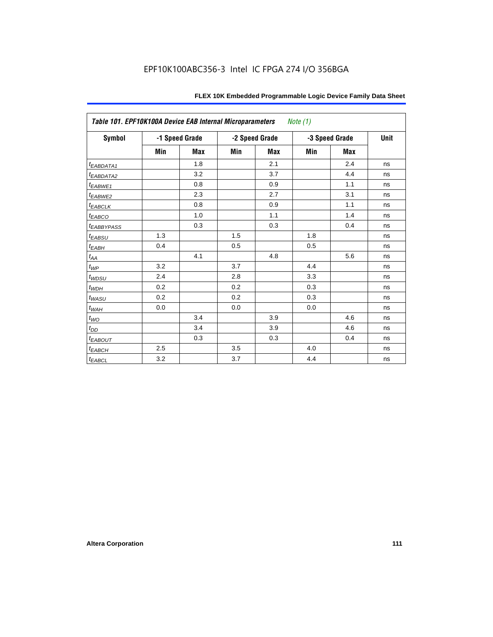| Table 101. EPF10K100A Device EAB Internal Microparameters |     |                |     |                | Note (1) |                |      |
|-----------------------------------------------------------|-----|----------------|-----|----------------|----------|----------------|------|
| <b>Symbol</b>                                             |     | -1 Speed Grade |     | -2 Speed Grade |          | -3 Speed Grade | Unit |
|                                                           | Min | <b>Max</b>     | Min | <b>Max</b>     | Min      | <b>Max</b>     |      |
| t <sub>EABDATA1</sub>                                     |     | 1.8            |     | 2.1            |          | 2.4            | ns   |
| t <sub>EABDATA2</sub>                                     |     | 3.2            |     | 3.7            |          | 4.4            | ns   |
| t <sub>EABWE1</sub>                                       |     | 0.8            |     | 0.9            |          | 1.1            | ns   |
| t <sub>EABWE2</sub>                                       |     | 2.3            |     | 2.7            |          | 3.1            | ns   |
| $t_{EABCLK}$                                              |     | 0.8            |     | 0.9            |          | 1.1            | ns   |
| t <sub>EABCO</sub>                                        |     | 1.0            |     | 1.1            |          | 1.4            | ns   |
| <b><i>EABBYPASS</i></b>                                   |     | 0.3            |     | 0.3            |          | 0.4            | ns   |
| $t_{EABSU}$                                               | 1.3 |                | 1.5 |                | 1.8      |                | ns   |
| $t_{EABH}$                                                | 0.4 |                | 0.5 |                | 0.5      |                | ns   |
| $t_{\mathit{AA}}$                                         |     | 4.1            |     | 4.8            |          | 5.6            | ns   |
| $t_{WP}$                                                  | 3.2 |                | 3.7 |                | 4.4      |                | ns   |
| $t_{WDSU}$                                                | 2.4 |                | 2.8 |                | 3.3      |                | ns   |
| $t_{WDH}$                                                 | 0.2 |                | 0.2 |                | 0.3      |                | ns   |
| $t_{WASU}$                                                | 0.2 |                | 0.2 |                | 0.3      |                | ns   |
| $t_{\textit{WAH}}$                                        | 0.0 |                | 0.0 |                | 0.0      |                | ns   |
| $t_{WO}$                                                  |     | 3.4            |     | 3.9            |          | 4.6            | ns   |
| $t_{DD}$                                                  |     | 3.4            |     | 3.9            |          | 4.6            | ns   |
| $t_{EABOUT}$                                              |     | 0.3            |     | 0.3            |          | 0.4            | ns   |
| $t_{EABCH}$                                               | 2.5 |                | 3.5 |                | 4.0      |                | ns   |
| $t_{EABCL}$                                               | 3.2 |                | 3.7 |                | 4.4      |                | ns   |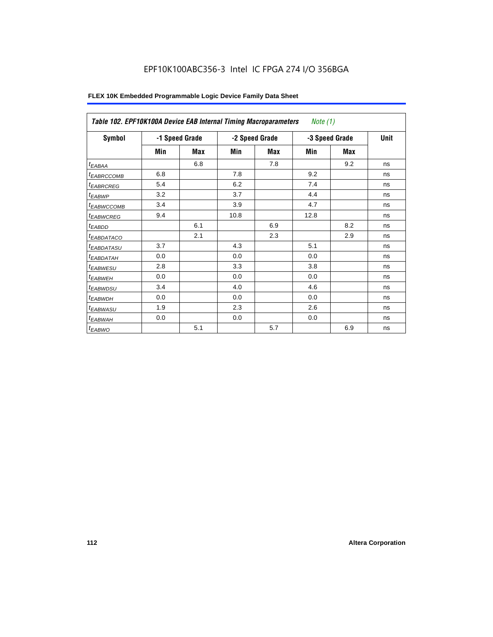| Table 102. EPF10K100A Device EAB Internal Timing Macroparameters |     |                |      |                | <i>Note</i> $(1)$ |             |    |
|------------------------------------------------------------------|-----|----------------|------|----------------|-------------------|-------------|----|
| Symbol                                                           |     | -1 Speed Grade |      | -2 Speed Grade | -3 Speed Grade    | <b>Unit</b> |    |
|                                                                  | Min | Max            | Min  | Max            | Min               | Max         |    |
| $t_{EABA}$                                                       |     | 6.8            |      | 7.8            |                   | 9.2         | ns |
| <sup>t</sup> EABRCCOMB                                           | 6.8 |                | 7.8  |                | 9.2               |             | ns |
| <i><b>EABRCREG</b></i>                                           | 5.4 |                | 6.2  |                | 7.4               |             | ns |
| <sup>t</sup> EABWP                                               | 3.2 |                | 3.7  |                | 4.4               |             | ns |
| <sup>t</sup> ЕАВWССОМВ                                           | 3.4 |                | 3.9  |                | 4.7               |             | ns |
| <sup>t</sup> EABWCREG                                            | 9.4 |                | 10.8 |                | 12.8              |             | ns |
| <sup>t</sup> EABDD                                               |     | 6.1            |      | 6.9            |                   | 8.2         | ns |
| <sup>t</sup> EABDATACO                                           |     | 2.1            |      | 2.3            |                   | 2.9         | ns |
| <sup>t</sup> EABDATASU                                           | 3.7 |                | 4.3  |                | 5.1               |             | ns |
| <sup>t</sup> EABDATAH                                            | 0.0 |                | 0.0  |                | 0.0               |             | ns |
| <i>t<sub>EABWESU</sub></i>                                       | 2.8 |                | 3.3  |                | 3.8               |             | ns |
| <sup>t</sup> EABWEH                                              | 0.0 |                | 0.0  |                | 0.0               |             | ns |
| <sup>t</sup> EABWDSU                                             | 3.4 |                | 4.0  |                | 4.6               |             | ns |
| $t_{EABWDH}$                                                     | 0.0 |                | 0.0  |                | 0.0               |             | ns |
| t <sub>EABWASU</sub>                                             | 1.9 |                | 2.3  |                | 2.6               |             | ns |
| t <sub>EABWAH</sub>                                              | 0.0 |                | 0.0  |                | 0.0               |             | ns |
| $t_{EABWO}$                                                      |     | 5.1            |      | 5.7            |                   | 6.9         | ns |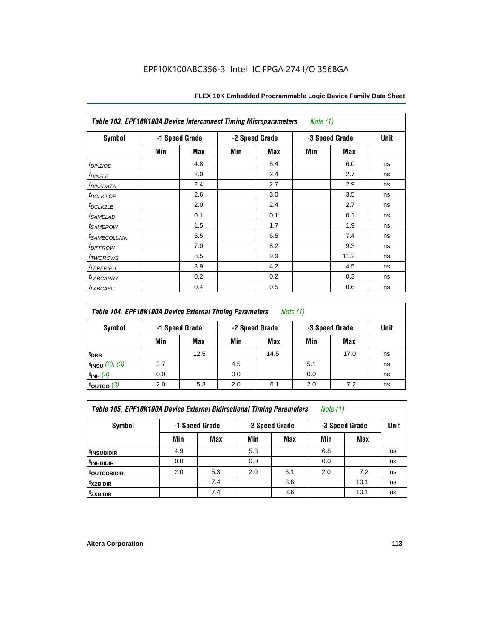| Table 103. EPF10K100A Device Interconnect Timing Microparameters |     |                |     |                | Note $(1)$     |            |    |
|------------------------------------------------------------------|-----|----------------|-----|----------------|----------------|------------|----|
| Symbol                                                           |     | -1 Speed Grade |     | -2 Speed Grade | -3 Speed Grade | Unit       |    |
|                                                                  | Min | Max            | Min | Max            | Min            | <b>Max</b> |    |
| $t_{DINZIOE}$                                                    |     | 4.8            |     | 5.4            |                | 6.0        | ns |
| $t_{DIN2LE}$                                                     |     | 2.0            |     | 2.4            |                | 2.7        | ns |
| <sup>t</sup> DIN2DATA                                            |     | 2.4            |     | 2.7            |                | 2.9        | ns |
| t <sub>DCLK2IOE</sub>                                            |     | 2.6            |     | 3.0            |                | 3.5        | ns |
| t <sub>DCLK2LE</sub>                                             |     | 2.0            |     | 2.4            |                | 2.7        | ns |
| <i>t</i> SAMELAB                                                 |     | 0.1            |     | 0.1            |                | 0.1        | ns |
| <i>t</i> SAMEROW                                                 |     | 1.5            |     | 1.7            |                | 1.9        | ns |
| <sup>t</sup> SAMECOLUMN                                          |     | 5.5            |     | 6.5            |                | 7.4        | ns |
| <i>t<sub>DIFFROW</sub></i>                                       |     | 7.0            |     | 8.2            |                | 9.3        | ns |
| t <sub>TWOROWS</sub>                                             |     | 8.5            |     | 9.9            |                | 11.2       | ns |
| <sup>t</sup> LEPERIPH                                            |     | 3.9            |     | 4.2            |                | 4.5        | ns |
| <sup>t</sup> LABCARRY                                            |     | 0.2            |     | 0.2            |                | 0.3        | ns |
| t <sub>LABCASC</sub>                                             |     | 0.4            |     | 0.5            |                | 0.6        | ns |

| Table 104. EPF10K100A Device External Timing Parameters | Note (1) |
|---------------------------------------------------------|----------|
|---------------------------------------------------------|----------|

| Symbol                 | -1 Speed Grade |      |     | -2 Speed Grade |     | -3 Speed Grade |    |
|------------------------|----------------|------|-----|----------------|-----|----------------|----|
|                        | Min            | Max  | Min | Max            | Min | <b>Max</b>     |    |
| t <sub>DRR</sub>       |                | 12.5 |     | 14.5           |     | 17.0           | ns |
| $t_{INSU}$ (2), (3)    | 3.7            |      | 4.5 |                | 5.1 |                | ns |
| $t_{INH}$ (3)          | 0.0            |      | 0.0 |                | 0.0 |                | ns |
| $t_{\text{OUTCO}}$ (3) | 2.0            | 5.3  | 2.0 | 6.1            | 2.0 | 7.2            | ns |

| Table 105. EPF10K100A Device External Bidirectional Timing Parameters | Note (1) |  |  |
|-----------------------------------------------------------------------|----------|--|--|
|-----------------------------------------------------------------------|----------|--|--|

| Symbol                  |     | -1 Speed Grade |     | -2 Speed Grade | -3 Speed Grade | <b>Unit</b> |    |
|-------------------------|-----|----------------|-----|----------------|----------------|-------------|----|
|                         | Min | Max            | Min | <b>Max</b>     | Min            | Max         |    |
| <sup>t</sup> INSUBIDIR  | 4.9 |                | 5.8 |                | 6.8            |             | ns |
| <sup>T</sup> INHBIDIR   | 0.0 |                | 0.0 |                | 0.0            |             | ns |
| <sup>t</sup> OUTCOBIDIR | 2.0 | 5.3            | 2.0 | 6.1            | 2.0            | 7.2         | ns |
| <sup>t</sup> xzbidir    |     | 7.4            |     | 8.6            |                | 10.1        | ns |
| <sup>t</sup> zxbidir    |     | 7.4            |     | 8.6            |                | 10.1        | ns |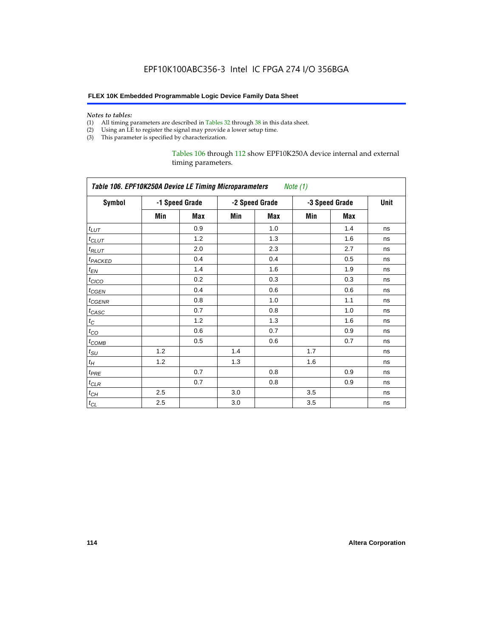#### *Notes to tables:*

- (1) All timing parameters are described in Tables 32 through 38 in this data sheet.
- (2) Using an LE to register the signal may provide a lower setup time.
- (3) This parameter is specified by characterization.

## Tables 106 through 112 show EPF10K250A device internal and external timing parameters.

| Table 106. EPF10K250A Device LE Timing Microparameters Note (1) |     |                |     |                |     |                |    |  |
|-----------------------------------------------------------------|-----|----------------|-----|----------------|-----|----------------|----|--|
| Symbol                                                          |     | -1 Speed Grade |     | -2 Speed Grade |     | -3 Speed Grade |    |  |
|                                                                 | Min | Max            | Min | Max            | Min | Max            |    |  |
| $t_{LUT}$                                                       |     | 0.9            |     | 1.0            |     | 1.4            | ns |  |
| $t_{CLUT}$                                                      |     | 1.2            |     | 1.3            |     | 1.6            | ns |  |
| $t_{RLUT}$                                                      |     | 2.0            |     | 2.3            |     | 2.7            | ns |  |
| t <sub>PACKED</sub>                                             |     | 0.4            |     | 0.4            |     | 0.5            | ns |  |
| $t_{EN}$                                                        |     | 1.4            |     | 1.6            |     | 1.9            | ns |  |
| $t_{CICO}$                                                      |     | 0.2            |     | 0.3            |     | 0.3            | ns |  |
| $t_{GEN}$                                                       |     | 0.4            |     | 0.6            |     | 0.6            | ns |  |
| t <sub>CGENR</sub>                                              |     | 0.8            |     | 1.0            |     | 1.1            | ns |  |
| $t_{CASC}$                                                      |     | 0.7            |     | 0.8            |     | 1.0            | ns |  |
| $t_{\rm C}$                                                     |     | 1.2            |     | 1.3            |     | 1.6            | ns |  |
| $t_{\rm CO}$                                                    |     | 0.6            |     | 0.7            |     | 0.9            | ns |  |
| $t_{COMB}$                                                      |     | 0.5            |     | 0.6            |     | 0.7            | ns |  |
| $t_{\text{SU}}$                                                 | 1.2 |                | 1.4 |                | 1.7 |                | ns |  |
| $t_H\,$                                                         | 1.2 |                | 1.3 |                | 1.6 |                | ns |  |
| $t_{PRE}$                                                       |     | 0.7            |     | 0.8            |     | 0.9            | ns |  |
| $t_{CLR}$                                                       |     | 0.7            |     | 0.8            |     | 0.9            | ns |  |
| $t_{CH}$                                                        | 2.5 |                | 3.0 |                | 3.5 |                | ns |  |
| $t_{CL}$                                                        | 2.5 |                | 3.0 |                | 3.5 |                | ns |  |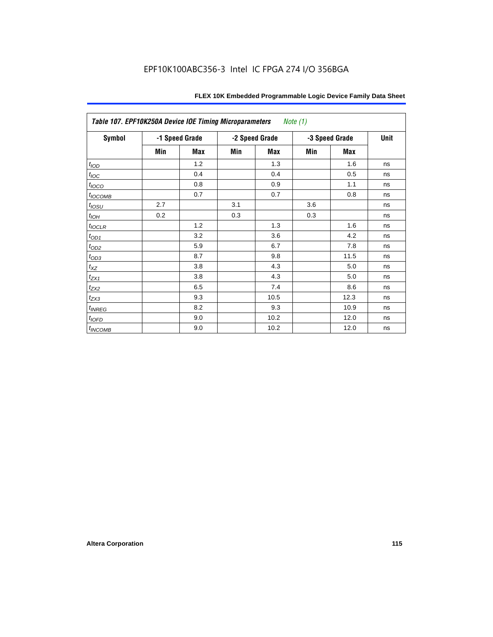| Table 107. EPF10K250A Device IOE Timing Microparameters<br><i>Note</i> $(1)$ |     |                |     |                |     |                |    |  |
|------------------------------------------------------------------------------|-----|----------------|-----|----------------|-----|----------------|----|--|
| <b>Symbol</b>                                                                |     | -1 Speed Grade |     | -2 Speed Grade |     | -3 Speed Grade |    |  |
|                                                                              | Min | Max            | Min | Max            | Min | Max            |    |  |
| t <sub>IOD</sub>                                                             |     | 1.2            |     | 1.3            |     | 1.6            | ns |  |
| $t_{\text{IOC}}$                                                             |     | 0.4            |     | 0.4            |     | 0.5            | ns |  |
| t <sub>IOCO</sub>                                                            |     | 0.8            |     | 0.9            |     | 1.1            | ns |  |
| $t_{IOCOMB}$                                                                 |     | 0.7            |     | 0.7            |     | 0.8            | ns |  |
| $t_{IOSU}$                                                                   | 2.7 |                | 3.1 |                | 3.6 |                | ns |  |
| $t_{IOH}$                                                                    | 0.2 |                | 0.3 |                | 0.3 |                | ns |  |
| $t_{IOCLR}$                                                                  |     | 1.2            |     | 1.3            |     | 1.6            | ns |  |
| $t_{OD1}$                                                                    |     | 3.2            |     | 3.6            |     | 4.2            | ns |  |
| $t_{OD2}$                                                                    |     | 5.9            |     | 6.7            |     | 7.8            | ns |  |
| $t_{OD3}$                                                                    |     | 8.7            |     | 9.8            |     | 11.5           | ns |  |
| $t_{XZ}$                                                                     |     | 3.8            |     | 4.3            |     | 5.0            | ns |  |
| $t_{ZX1}$                                                                    |     | 3.8            |     | 4.3            |     | 5.0            | ns |  |
| $t_{ZX2}$                                                                    |     | 6.5            |     | 7.4            |     | 8.6            | ns |  |
| $t_{ZX3}$                                                                    |     | 9.3            |     | 10.5           |     | 12.3           | ns |  |
| $t_{INREG}$                                                                  |     | 8.2            |     | 9.3            |     | 10.9           | ns |  |
| $t_{IOFD}$                                                                   |     | 9.0            |     | 10.2           |     | 12.0           | ns |  |
| t <sub>INCOMB</sub>                                                          |     | 9.0            |     | 10.2           |     | 12.0           | ns |  |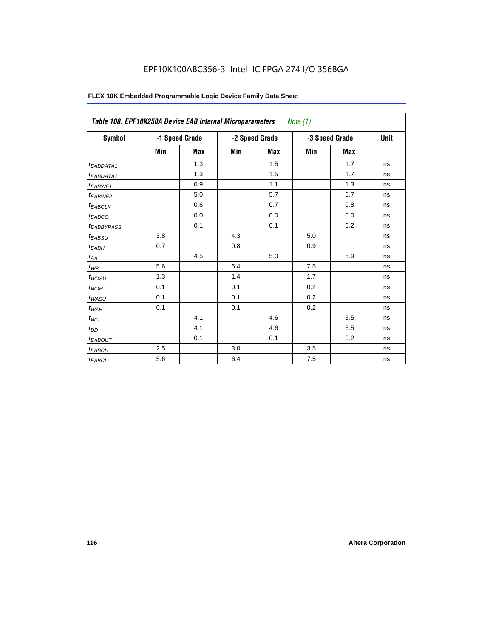# EPF10K100ABC356-3 Intel IC FPGA 274 I/O 356BGA

| Symbol                       |     | -1 Speed Grade |     | -2 Speed Grade | -3 Speed Grade | Unit       |    |
|------------------------------|-----|----------------|-----|----------------|----------------|------------|----|
|                              | Min | <b>Max</b>     | Min | <b>Max</b>     | Min            | <b>Max</b> |    |
| <sup>t</sup> EABDATA1        |     | 1.3            |     | 1.5            |                | 1.7        | ns |
| <sup>t</sup> EABDATA2        |     | 1.3            |     | 1.5            |                | 1.7        | ns |
| <sup>t</sup> EABWE1          |     | 0.9            |     | 1.1            |                | 1.3        | ns |
| <sup>t</sup> EABWE2          |     | 5.0            |     | 5.7            |                | 6.7        | ns |
| <sup>t</sup> EABCLK          |     | 0.6            |     | 0.7            |                | 0.8        | ns |
| t <sub>EABCO</sub>           |     | 0.0            |     | 0.0            |                | 0.0        | ns |
| <sup>t</sup> EABBYPASS       |     | 0.1            |     | 0.1            |                | 0.2        | ns |
| <sup>t</sup> EABSU           | 3.8 |                | 4.3 |                | 5.0            |            | ns |
| $t_{EABH}$                   | 0.7 |                | 0.8 |                | 0.9            |            | ns |
| $t_{\mathcal{A}\mathcal{A}}$ |     | 4.5            |     | 5.0            |                | 5.9        | ns |
| $t_{\mathcal{WP}}$           | 5.6 |                | 6.4 |                | 7.5            |            | ns |
| $t_{WDSU}$                   | 1.3 |                | 1.4 |                | 1.7            |            | ns |
| $t_{WDH}$                    | 0.1 |                | 0.1 |                | 0.2            |            | ns |
| $t_{WASU}$                   | 0.1 |                | 0.1 |                | 0.2            |            | ns |
| $t_{WAH}$                    | 0.1 |                | 0.1 |                | 0.2            |            | ns |
| $t_{WO}$                     |     | 4.1            |     | 4.6            |                | 5.5        | ns |
| $t_{DD}$                     |     | 4.1            |     | 4.6            |                | 5.5        | ns |
| <sup>t</sup> EABOUT          |     | 0.1            |     | 0.1            |                | 0.2        | ns |
| t <sub>EABCH</sub>           | 2.5 |                | 3.0 |                | 3.5            |            | ns |
| $t_{EABCL}$                  | 5.6 |                | 6.4 |                | 7.5            |            | ns |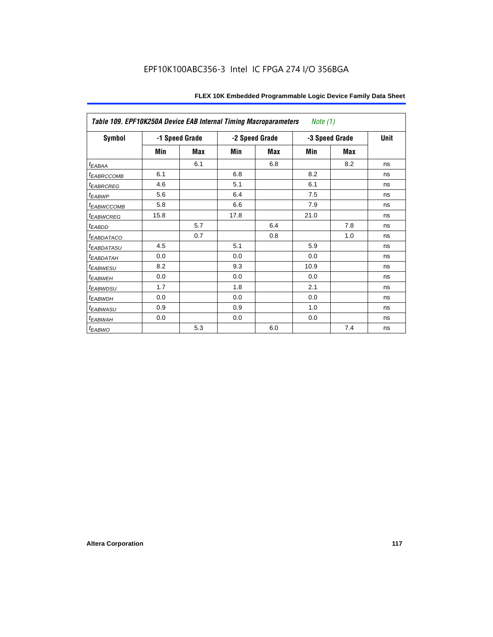| Table 109. EPF10K250A Device EAB Internal Timing Macroparameters<br><i>Note</i> $(1)$ |      |                |                |     |                |             |    |
|---------------------------------------------------------------------------------------|------|----------------|----------------|-----|----------------|-------------|----|
| Symbol                                                                                |      | -1 Speed Grade | -2 Speed Grade |     | -3 Speed Grade | <b>Unit</b> |    |
|                                                                                       | Min  | Max            | Min            | Max | Min            | Max         |    |
| $t_{EABAA}$                                                                           |      | 6.1            |                | 6.8 |                | 8.2         | ns |
| <i>EABRCCOMB</i>                                                                      | 6.1  |                | 6.8            |     | 8.2            |             | ns |
| <sup>t</sup> EABRCREG                                                                 | 4.6  |                | 5.1            |     | 6.1            |             | ns |
| t <sub>EABWP</sub>                                                                    | 5.6  |                | 6.4            |     | 7.5            |             | ns |
| <sup>t</sup> EABWCCOMB                                                                | 5.8  |                | 6.6            |     | 7.9            |             | ns |
| <b><i>EABWCREG</i></b>                                                                | 15.8 |                | 17.8           |     | 21.0           |             | ns |
| t <sub>EABDD</sub>                                                                    |      | 5.7            |                | 6.4 |                | 7.8         | ns |
| <sup>t</sup> EABDATACO                                                                |      | 0.7            |                | 0.8 |                | 1.0         | ns |
| <sup>t</sup> EABDATASU                                                                | 4.5  |                | 5.1            |     | 5.9            |             | ns |
| <sup>t</sup> EABDATAH                                                                 | 0.0  |                | 0.0            |     | 0.0            |             | ns |
| <sup>t</sup> EABWESU                                                                  | 8.2  |                | 9.3            |     | 10.9           |             | ns |
| t <sub>EABWEH</sub>                                                                   | 0.0  |                | 0.0            |     | 0.0            |             | ns |
| t <sub>EABWDSU</sub>                                                                  | 1.7  |                | 1.8            |     | 2.1            |             | ns |
| t <sub>EABWDH</sub>                                                                   | 0.0  |                | 0.0            |     | 0.0            |             | ns |
| <sup>t</sup> EABWASU                                                                  | 0.9  |                | 0.9            |     | 1.0            |             | ns |
| <sup>t</sup> EABWAH                                                                   | 0.0  |                | 0.0            |     | 0.0            |             | ns |
| $t_{EABWO}$                                                                           |      | 5.3            |                | 6.0 |                | 7.4         | ns |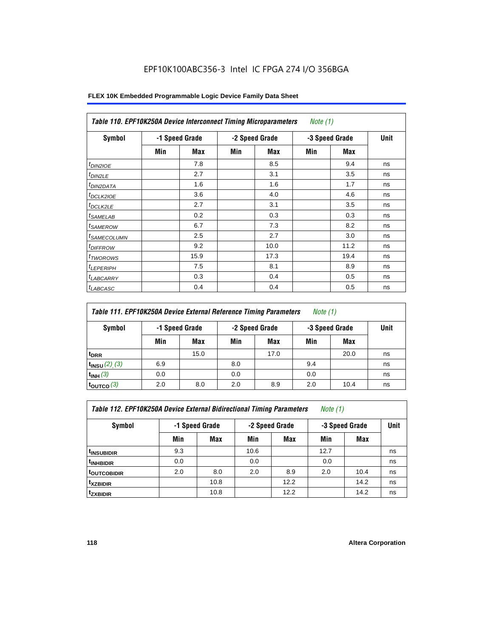# EPF10K100ABC356-3 Intel IC FPGA 274 I/O 356BGA

| <b>Symbol</b>              |     | -1 Speed Grade |     | -2 Speed Grade |     | -3 Speed Grade | Unit |
|----------------------------|-----|----------------|-----|----------------|-----|----------------|------|
|                            | Min | <b>Max</b>     | Min | Max            | Min | Max            |      |
| <i>t<sub>DIN2IOE</sub></i> |     | 7.8            |     | 8.5            |     | 9.4            | ns   |
| t <sub>DIN2LE</sub>        |     | 2.7            |     | 3.1            |     | 3.5            | ns   |
| <sup>t</sup> DIN2DATA      |     | 1.6            |     | 1.6            |     | 1.7            | ns   |
| <sup>t</sup> DCLK2IOE      |     | 3.6            |     | 4.0            |     | 4.6            | ns   |
| $t_{DCLK2LE}$              |     | 2.7            |     | 3.1            |     | 3.5            | ns   |
| <sup>t</sup> SAMELAB       |     | 0.2            |     | 0.3            |     | 0.3            | ns   |
| <sup>t</sup> SAMEROW       |     | 6.7            |     | 7.3            |     | 8.2            | ns   |
| <sup>t</sup> SAMECOLUMN    |     | 2.5            |     | 2.7            |     | 3.0            | ns   |
| <i>t<sub>DIFFROW</sub></i> |     | 9.2            |     | 10.0           |     | 11.2           | ns   |
| <sup>t</sup> TWOROWS       |     | 15.9           |     | 17.3           |     | 19.4           | ns   |
| <sup>t</sup> LEPERIPH      |     | 7.5            |     | 8.1            |     | 8.9            | ns   |
| <sup>t</sup> LABCARRY      |     | 0.3            |     | 0.4            |     | 0.5            | ns   |
| <sup>t</sup> LABCASC       |     | 0.4            |     | 0.4            |     | 0.5            | ns   |

| Table 111. EPF10K250A Device External Reference Timing Parameters<br><i>Note</i> $(1)$ |     |                |                |      |                |      |             |
|----------------------------------------------------------------------------------------|-----|----------------|----------------|------|----------------|------|-------------|
| Symbol                                                                                 |     | -1 Speed Grade | -2 Speed Grade |      | -3 Speed Grade |      | <b>Unit</b> |
|                                                                                        | Min | Max            | Min            | Max  | Min            | Max  |             |
| t <sub>DRR</sub>                                                                       |     | 15.0           |                | 17.0 |                | 20.0 | ns          |
| $t_{INSU} (2) (3)$                                                                     | 6.9 |                | 8.0            |      | 9.4            |      | ns          |
| $t_{INH}$ (3)                                                                          | 0.0 |                | 0.0            |      | 0.0            |      | ns          |
| $t_{\text{OUTCO}}$ (3)                                                                 | 2.0 | 8.0            | 2.0            | 8.9  | 2.0            | 10.4 | ns          |

| Table 112. EPF10K250A Device External Bidirectional Timing Parameters |  |  | Note (1) |  |
|-----------------------------------------------------------------------|--|--|----------|--|
|-----------------------------------------------------------------------|--|--|----------|--|

| Symbol                   | -1 Speed Grade |      |      | -2 Speed Grade | -3 Speed Grade | Unit |    |
|--------------------------|----------------|------|------|----------------|----------------|------|----|
|                          | Min            | Max  | Min  | <b>Max</b>     | Min            | Max  |    |
| I <sup>t</sup> insubidir | 9.3            |      | 10.6 |                | 12.7           |      | ns |
| <sup>t</sup> INHBIDIR    | 0.0            |      | 0.0  |                | 0.0            |      | ns |
| <b>toutcobidir</b>       | 2.0            | 8.0  | 2.0  | 8.9            | 2.0            | 10.4 | ns |
| <sup>t</sup> xzbidir     |                | 10.8 |      | 12.2           |                | 14.2 | ns |
| <sup>t</sup> zxbidir     |                | 10.8 |      | 12.2           |                | 14.2 | ns |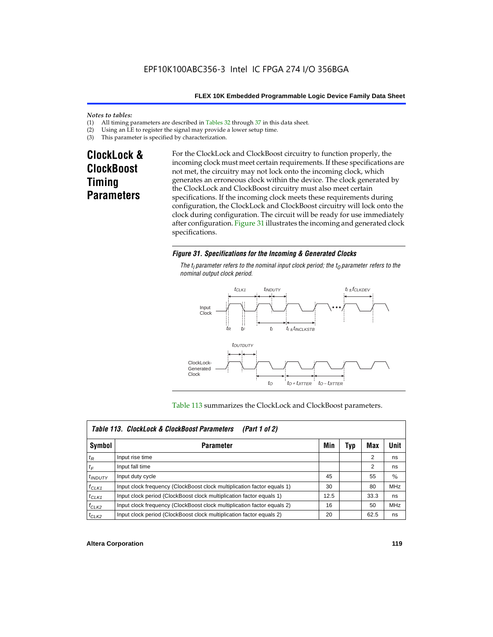#### *Notes to tables:*

- (1) All timing parameters are described in Tables  $32$  through  $37$  in this data sheet.<br>(2) Using an LE to register the signal may provide a lower setup time.
- (2) Using an LE to register the signal may provide a lower setup time.<br>(3) This parameter is specified by characterization.
- This parameter is specified by characterization.

# **ClockLock & ClockBoost Timing Parameters**

For the ClockLock and ClockBoost circuitry to function properly, the incoming clock must meet certain requirements. If these specifications are not met, the circuitry may not lock onto the incoming clock, which generates an erroneous clock within the device. The clock generated by the ClockLock and ClockBoost circuitry must also meet certain specifications. If the incoming clock meets these requirements during configuration, the ClockLock and ClockBoost circuitry will lock onto the clock during configuration. The circuit will be ready for use immediately after configuration. Figure 31 illustrates the incoming and generated clock specifications.

### *Figure 31. Specifications for the Incoming & Generated Clocks*

The  $t_i$  parameter refers to the nominal input clock period; the  $t_0$  parameter refers to the *nominal output clock period.*



#### Table 113 summarizes the ClockLock and ClockBoost parameters.

| Table 113. ClockLock & ClockBoost Parameters<br>(Part 1 of 2) |                                                                         |      |     |                |            |  |  |
|---------------------------------------------------------------|-------------------------------------------------------------------------|------|-----|----------------|------------|--|--|
| Symbol                                                        | <b>Parameter</b>                                                        | Min  | Typ | Max            | Unit       |  |  |
| $t_{R}$                                                       | Input rise time                                                         |      |     | $\overline{2}$ | ns         |  |  |
| $t_F$                                                         | Input fall time                                                         |      |     | 2              | ns         |  |  |
| $t_{INDUTY}$                                                  | Input duty cycle                                                        | 45   |     | 55             | $\%$       |  |  |
| $f_{CLK1}$                                                    | Input clock frequency (ClockBoost clock multiplication factor equals 1) | 30   |     | 80             | <b>MHz</b> |  |  |
| $t$ CLK1                                                      | Input clock period (ClockBoost clock multiplication factor equals 1)    | 12.5 |     | 33.3           | ns         |  |  |
| $f_{CLK2}$                                                    | Input clock frequency (ClockBoost clock multiplication factor equals 2) | 16   |     | 50             | <b>MHz</b> |  |  |
| $t_{CLK2}$                                                    | Input clock period (ClockBoost clock multiplication factor equals 2)    | 20   |     | 62.5           | ns         |  |  |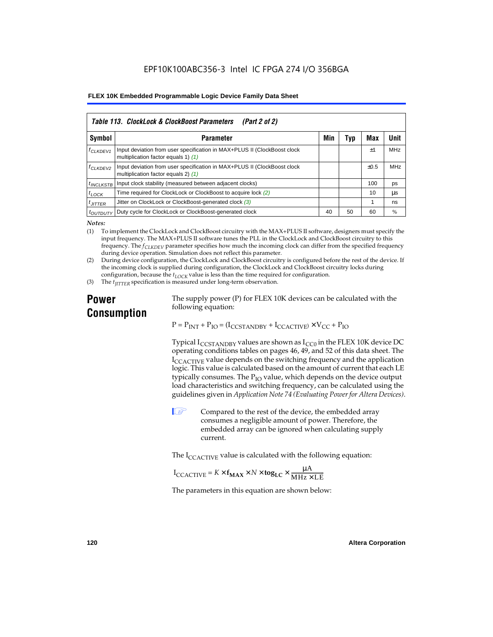| Table 113. ClockLock & ClockBoost Parameters<br>(Part 2 of 2) |                                                                                                                 |     |     |           |            |  |  |  |
|---------------------------------------------------------------|-----------------------------------------------------------------------------------------------------------------|-----|-----|-----------|------------|--|--|--|
| Symbol                                                        | <b>Parameter</b>                                                                                                | Min | Typ | Max       | Unit       |  |  |  |
| <b><i><u>LCLKDEV1</u></i></b>                                 | Input deviation from user specification in MAX+PLUS II (ClockBoost clock<br>multiplication factor equals 1) (1) |     |     | $\pm 1$   | <b>MHz</b> |  |  |  |
| <sup>f</sup> CLKDEV2                                          | Input deviation from user specification in MAX+PLUS II (ClockBoost clock<br>multiplication factor equals 2) (1) |     |     | $\pm 0.5$ | MHz        |  |  |  |
| <sup>t</sup> INCLKSTB                                         | Input clock stability (measured between adjacent clocks)                                                        |     |     | 100       | ps         |  |  |  |
| $t_{LOCK}$                                                    | Time required for ClockLock or ClockBoost to acquire lock (2)                                                   |     |     | 10        | μs         |  |  |  |
| $t_{JITTER}$                                                  | Jitter on ClockLock or ClockBoost-generated clock (3)                                                           |     |     |           | ns         |  |  |  |
| <i>toutbuty</i>                                               | Duty cycle for ClockLock or ClockBoost-generated clock                                                          | 40  | 50  | 60        | %          |  |  |  |

*Notes:*

(1) To implement the ClockLock and ClockBoost circuitry with the MAX+PLUS II software, designers must specify the input frequency. The MAX+PLUS II software tunes the PLL in the ClockLock and ClockBoost circuitry to this frequency. The *fCLKDEV* parameter specifies how much the incoming clock can differ from the specified frequency during device operation. Simulation does not reflect this parameter.

(2) During device configuration, the ClockLock and ClockBoost circuitry is configured before the rest of the device. If the incoming clock is supplied during configuration, the ClockLock and ClockBoost circuitry locks during configuration, because the  $t_{LOCK}$  value is less than the time required for configuration.

(3) The *t<sub>IITTER</sub>* specification is measured under long-term observation.

# **Power Consumption**

The supply power (P) for FLEX 10K devices can be calculated with the following equation:

 $P = P_{INT} + P_{IO} = (I_{CCSTANDBY} + I_{CCACTIVE}) \times V_{CC} + P_{IO}$ 

Typical  $I_{CCSTANDBY}$  values are shown as  $I_{CC0}$  in the FLEX 10K device DC operating conditions tables on pages 46, 49, and 52 of this data sheet. The  $I_{\text{CCACTIVE}}$  value depends on the switching frequency and the application logic. This value is calculated based on the amount of current that each LE typically consumes. The  $P_{IO}$  value, which depends on the device output load characteristics and switching frequency, can be calculated using the guidelines given in *Application Note 74 (Evaluating Power for Altera Devices)*.

 $\Box$  Compared to the rest of the device, the embedded array consumes a negligible amount of power. Therefore, the embedded array can be ignored when calculating supply current.

The  $I_{\text{CCACTIVE}}$  value is calculated with the following equation:

$$
I_{\text{CCACTIVE}} = K \times f_{\text{MAX}} \times N \times \text{tog}_{\text{LC}} \times \frac{\mu A}{\text{MHz} \times \text{LE}}
$$

The parameters in this equation are shown below: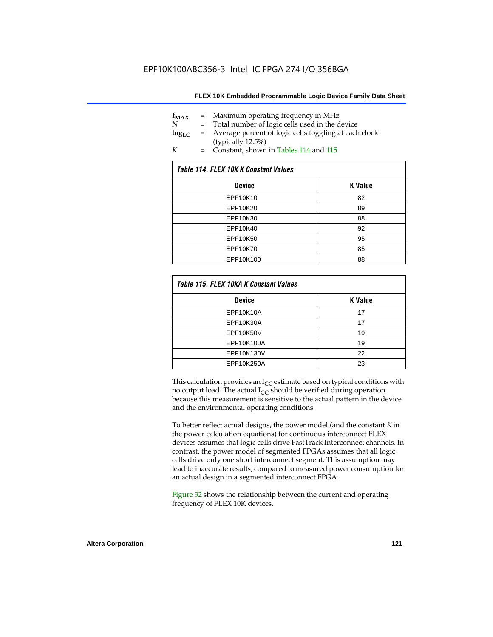| $f_{MAX}$   | $=$ | Maximum operating frequency in MHz                    |
|-------------|-----|-------------------------------------------------------|
| N           |     | Total number of logic cells used in the device        |
| $\log_{LC}$ | $=$ | Average percent of logic cells toggling at each clock |
|             |     | (typically 12.5%)                                     |
| K           | $=$ | Constant, shown in Tables 114 and 115                 |

| Table 114. FLEX 10K K Constant Values |                |  |  |  |  |
|---------------------------------------|----------------|--|--|--|--|
| <b>Device</b>                         | <b>K</b> Value |  |  |  |  |
| EPF10K10                              | 82             |  |  |  |  |
| EPF10K20                              | 89             |  |  |  |  |
| EPF10K30                              | 88             |  |  |  |  |
| EPF10K40                              | 92             |  |  |  |  |
| EPF10K50                              | 95             |  |  |  |  |
| EPF10K70                              | 85             |  |  |  |  |
| EPF10K100                             | 88             |  |  |  |  |

| Table 115. FLEX 10KA K Constant Values |                |
|----------------------------------------|----------------|
| <b>Device</b>                          | <b>K</b> Value |
| <b>EPF10K10A</b>                       | 17             |
| EPF10K30A                              | 17             |
| EPF10K50V                              | 19             |
| EPF10K100A                             | 19             |
| EPF10K130V                             | 22             |
| EPF10K250A                             | 23             |

This calculation provides an  $I_{CC}$  estimate based on typical conditions with no output load. The actual  $I_{CC}$  should be verified during operation because this measurement is sensitive to the actual pattern in the device and the environmental operating conditions.

To better reflect actual designs, the power model (and the constant *K* in the power calculation equations) for continuous interconnect FLEX devices assumes that logic cells drive FastTrack Interconnect channels. In contrast, the power model of segmented FPGAs assumes that all logic cells drive only one short interconnect segment. This assumption may lead to inaccurate results, compared to measured power consumption for an actual design in a segmented interconnect FPGA.

Figure 32 shows the relationship between the current and operating frequency of FLEX 10K devices.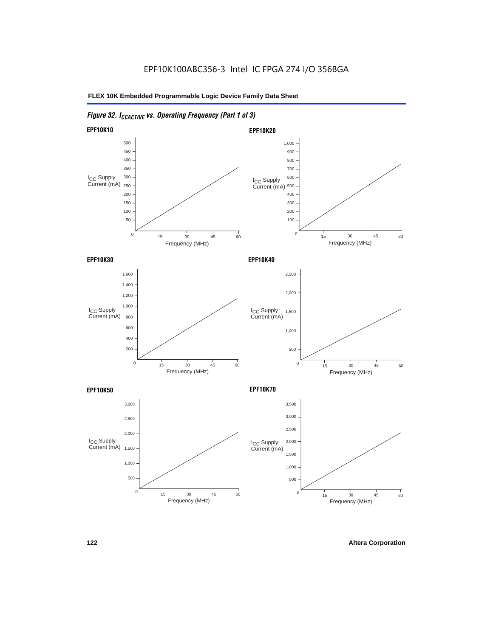# *Figure 32. ICCACTIVE vs. Operating Frequency (Part 1 of 3)*

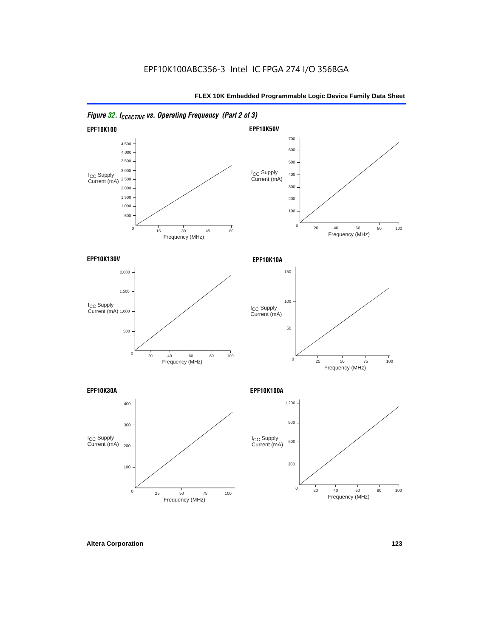

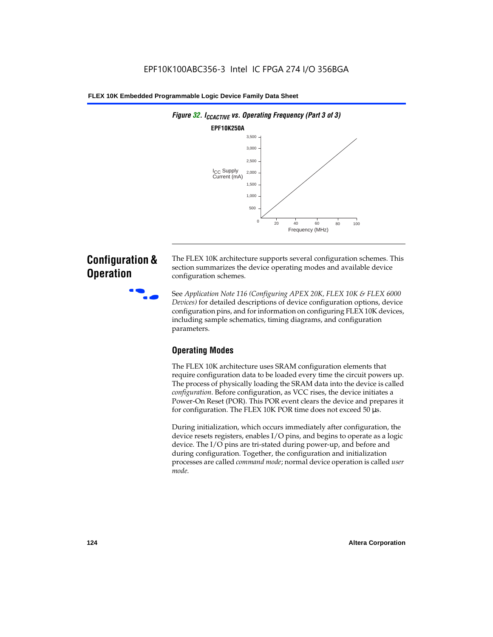

# **Configuration & Operation**

The FLEX 10K architecture supports several configuration schemes. This section summarizes the device operating modes and available device configuration schemes.

f See *Application Note 116 (Configuring APEX 20K, FLEX 10K & FLEX 6000 Devices)* for detailed descriptions of device configuration options, device configuration pins, and for information on configuring FLEX 10K devices, including sample schematics, timing diagrams, and configuration parameters.

# **Operating Modes**

The FLEX 10K architecture uses SRAM configuration elements that require configuration data to be loaded every time the circuit powers up. The process of physically loading the SRAM data into the device is called *configuration*. Before configuration, as VCC rises, the device initiates a Power-On Reset (POR). This POR event clears the device and prepares it for configuration. The FLEX 10K POR time does not exceed 50 µs.

During initialization, which occurs immediately after configuration, the device resets registers, enables I/O pins, and begins to operate as a logic device. The I/O pins are tri-stated during power-up, and before and during configuration. Together, the configuration and initialization processes are called *command mode*; normal device operation is called *user mode*.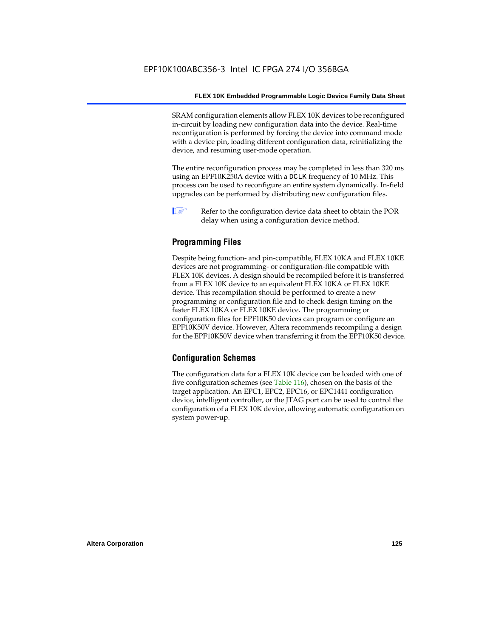SRAM configuration elements allow FLEX 10K devices to be reconfigured in-circuit by loading new configuration data into the device. Real-time reconfiguration is performed by forcing the device into command mode with a device pin, loading different configuration data, reinitializing the device, and resuming user-mode operation.

The entire reconfiguration process may be completed in less than 320 ms using an EPF10K250A device with a DCLK frequency of 10 MHz. This process can be used to reconfigure an entire system dynamically. In-field upgrades can be performed by distributing new configuration files.

 $\Box$  Refer to the configuration device data sheet to obtain the POR delay when using a configuration device method.

## **Programming Files**

Despite being function- and pin-compatible, FLEX 10KA and FLEX 10KE devices are not programming- or configuration-file compatible with FLEX 10K devices. A design should be recompiled before it is transferred from a FLEX 10K device to an equivalent FLEX 10KA or FLEX 10KE device. This recompilation should be performed to create a new programming or configuration file and to check design timing on the faster FLEX 10KA or FLEX 10KE device. The programming or configuration files for EPF10K50 devices can program or configure an EPF10K50V device. However, Altera recommends recompiling a design for the EPF10K50V device when transferring it from the EPF10K50 device.

### **Configuration Schemes**

The configuration data for a FLEX 10K device can be loaded with one of five configuration schemes (see Table 116), chosen on the basis of the target application. An EPC1, EPC2, EPC16, or EPC1441 configuration device, intelligent controller, or the JTAG port can be used to control the configuration of a FLEX 10K device, allowing automatic configuration on system power-up.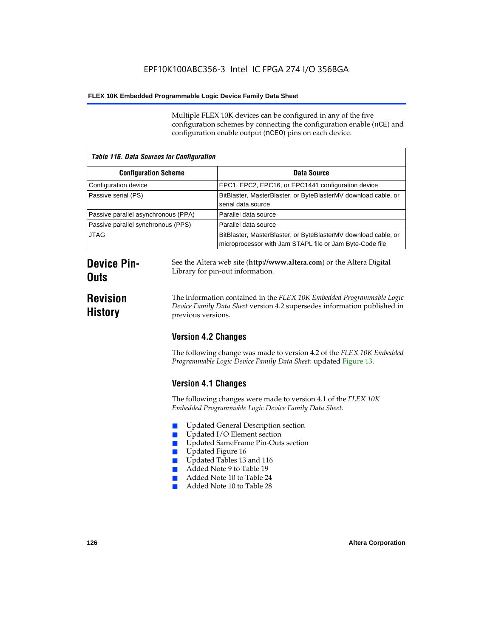Multiple FLEX 10K devices can be configured in any of the five configuration schemes by connecting the configuration enable (nCE) and configuration enable output (nCEO) pins on each device.

| <b>Table 116. Data Sources for Configuration</b> |                                                                                                                            |  |
|--------------------------------------------------|----------------------------------------------------------------------------------------------------------------------------|--|
| <b>Configuration Scheme</b>                      | Data Source                                                                                                                |  |
| Configuration device                             | EPC1, EPC2, EPC16, or EPC1441 configuration device                                                                         |  |
| Passive serial (PS)                              | BitBlaster, MasterBlaster, or ByteBlasterMV download cable, or<br>serial data source                                       |  |
| Passive parallel asynchronous (PPA)              | Parallel data source                                                                                                       |  |
| Passive parallel synchronous (PPS)               | Parallel data source                                                                                                       |  |
| <b>JTAG</b>                                      | BitBlaster, MasterBlaster, or ByteBlasterMV download cable, or<br>microprocessor with Jam STAPL file or Jam Byte-Code file |  |

# **Device Pin-Outs**

# **Revision History**

The information contained in the *FLEX 10K Embedded Programmable Logic Device Family Data Sheet* version 4.2 supersedes information published in

See the Altera web site (**http://www.altera.com**) or the Altera Digital

# **Version 4.2 Changes**

previous versions.

Library for pin-out information.

The following change was made to version 4.2 of the *FLEX 10K Embedded Programmable Logic Device Family Data Sheet*: updated Figure 13.

# **Version 4.1 Changes**

The following changes were made to version 4.1 of the *FLEX 10K Embedded Programmable Logic Device Family Data Sheet*.

- Updated General Description section
- Updated I/O Element section
- Updated SameFrame Pin-Outs section
- Updated Figure 16
- Updated Tables 13 and 116
- Added Note 9 to Table 19
- Added Note 10 to Table 24
- Added Note 10 to Table 28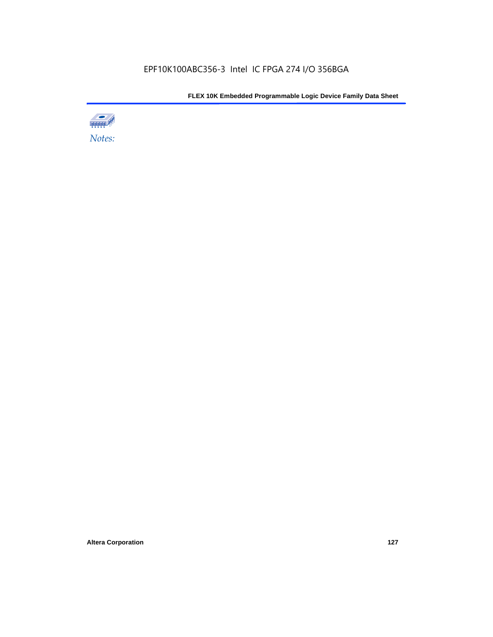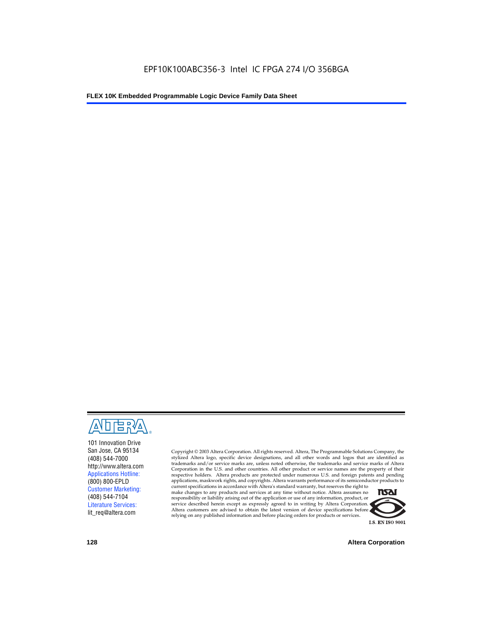

101 Innovation Drive San Jose, CA 95134 (408) 544-7000 http://www.altera.com Applications Hotline: (800) 800-EPLD Customer Marketing: (408) 544-7104 Literature Services: lit\_req@altera.com

Copyright © 2003 Altera Corporation. All rights reserved. Altera, The Programmable Solutions Company, the stylized Altera logo, specific device designations, and all other words and logos that are identified as trademarks and/or service marks are, unless noted otherwise, the trademarks and service marks of Altera Corporation in the U.S. and other countries. All other product or service names are the property of their respective holders. Altera products are protected under numerous U.S. and foreign patents and pending applications, maskwork rights, and copyrights. Altera warrants performance of its semiconductor products to

current specifications in accordance with Altera's standard warranty, but reserves the right to make changes to any products and services at any time without notice. Altera assumes no responsibility or liability arising out of the application or use of any information, product, or service described herein except as expressly agreed to in writing by Altera Corporation. Altera customers are advised to obtain the latest version of device specifications before relying on any published information and before placing orders for products or services.



**128 Altera Corporation**